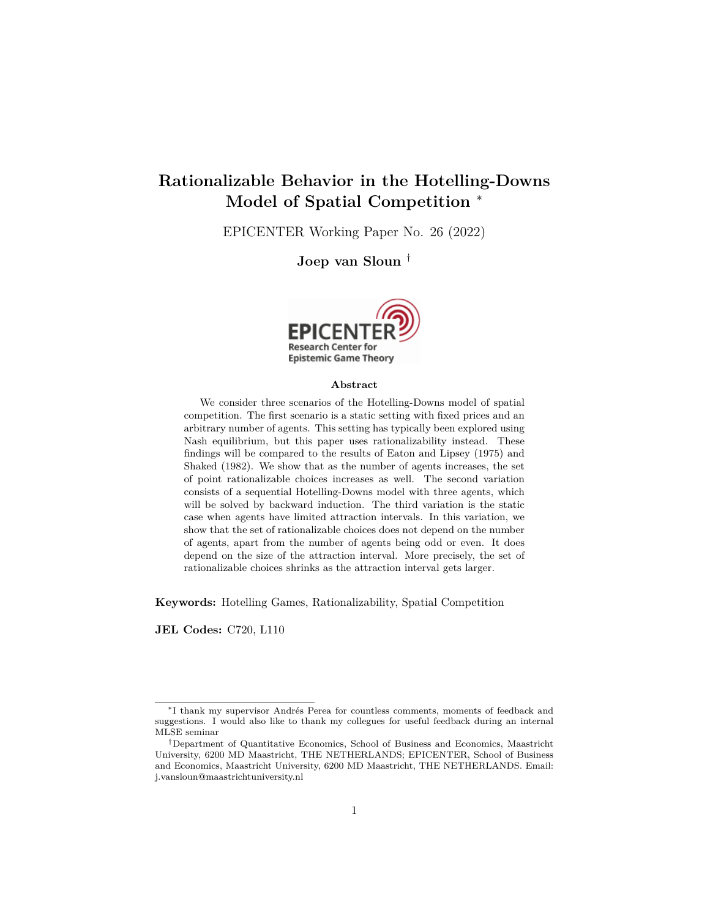# **Rationalizable Behavior in the Hotelling-Downs Model of Spatial Competition** <sup>∗</sup>

EPICENTER Working Paper No. 26 (2022)

**Joep van Sloun** †



#### **Abstract**

We consider three scenarios of the Hotelling-Downs model of spatial competition. The first scenario is a static setting with fixed prices and an arbitrary number of agents. This setting has typically been explored using Nash equilibrium, but this paper uses rationalizability instead. These findings will be compared to the results of Eaton and Lipsey (1975) and Shaked (1982). We show that as the number of agents increases, the set of point rationalizable choices increases as well. The second variation consists of a sequential Hotelling-Downs model with three agents, which will be solved by backward induction. The third variation is the static case when agents have limited attraction intervals. In this variation, we show that the set of rationalizable choices does not depend on the number of agents, apart from the number of agents being odd or even. It does depend on the size of the attraction interval. More precisely, the set of rationalizable choices shrinks as the attraction interval gets larger.

**Keywords:** Hotelling Games, Rationalizability, Spatial Competition

**JEL Codes:** C720, L110

<sup>∗</sup> I thank my supervisor Andrés Perea for countless comments, moments of feedback and suggestions. I would also like to thank my collegues for useful feedback during an internal MLSE seminar

<sup>†</sup>Department of Quantitative Economics, School of Business and Economics, Maastricht University, 6200 MD Maastricht, THE NETHERLANDS; EPICENTER, School of Business and Economics, Maastricht University, 6200 MD Maastricht, THE NETHERLANDS. Email: j.vansloun@maastrichtuniversity.nl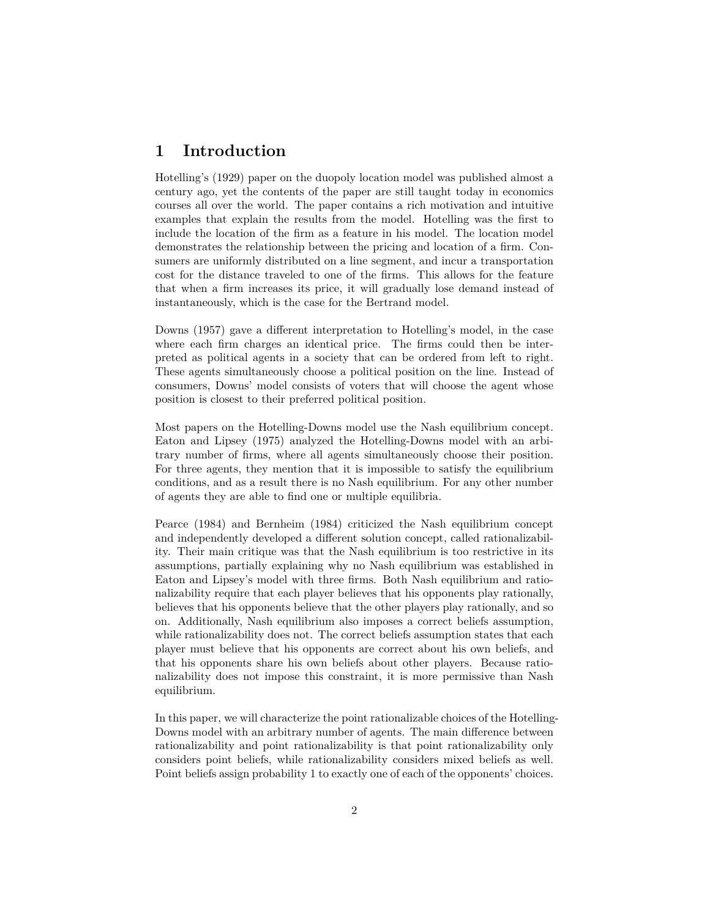## **1 Introduction**

Hotelling's (1929) paper on the duopoly location model was published almost a century ago, yet the contents of the paper are still taught today in economics courses all over the world. The paper contains a rich motivation and intuitive examples that explain the results from the model. Hotelling was the first to include the location of the firm as a feature in his model. The location model demonstrates the relationship between the pricing and location of a firm. Consumers are uniformly distributed on a line segment, and incur a transportation cost for the distance traveled to one of the firms. This allows for the feature that when a firm increases its price, it will gradually lose demand instead of instantaneously, which is the case for the Bertrand model.

Downs (1957) gave a different interpretation to Hotelling's model, in the case where each firm charges an identical price. The firms could then be interpreted as political agents in a society that can be ordered from left to right. These agents simultaneously choose a political position on the line. Instead of consumers, Downs' model consists of voters that will choose the agent whose position is closest to their preferred political position.

Most papers on the Hotelling-Downs model use the Nash equilibrium concept. Eaton and Lipsey (1975) analyzed the Hotelling-Downs model with an arbitrary number of firms, where all agents simultaneously choose their position. For three agents, they mention that it is impossible to satisfy the equilibrium conditions, and as a result there is no Nash equilibrium. For any other number of agents they are able to find one or multiple equilibria.

Pearce (1984) and Bernheim (1984) criticized the Nash equilibrium concept and independently developed a different solution concept, called rationalizability. Their main critique was that the Nash equilibrium is too restrictive in its assumptions, partially explaining why no Nash equilibrium was established in Eaton and Lipsey's model with three firms. Both Nash equilibrium and rationalizability require that each player believes that his opponents play rationally, believes that his opponents believe that the other players play rationally, and so on. Additionally, Nash equilibrium also imposes a correct beliefs assumption, while rationalizability does not. The correct beliefs assumption states that each player must believe that his opponents are correct about his own beliefs, and that his opponents share his own beliefs about other players. Because rationalizability does not impose this constraint, it is more permissive than Nash equilibrium.

In this paper, we will characterize the point rationalizable choices of the Hotelling-Downs model with an arbitrary number of agents. The main difference between rationalizability and point rationalizability is that point rationalizability only considers point beliefs, while rationalizability considers mixed beliefs as well. Point beliefs assign probability 1 to exactly one of each of the opponents' choices.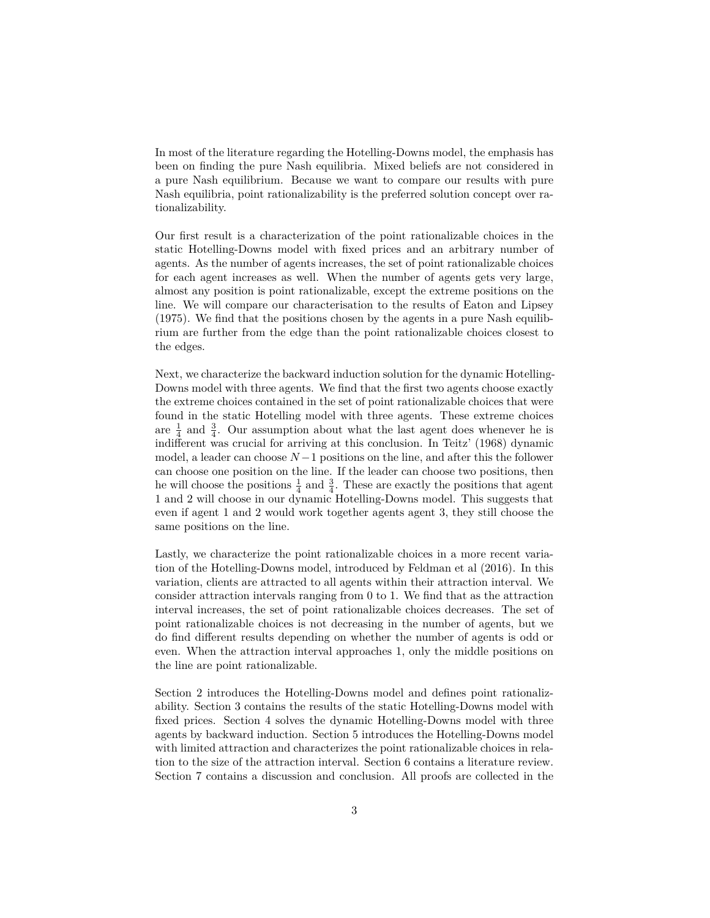In most of the literature regarding the Hotelling-Downs model, the emphasis has been on finding the pure Nash equilibria. Mixed beliefs are not considered in a pure Nash equilibrium. Because we want to compare our results with pure Nash equilibria, point rationalizability is the preferred solution concept over rationalizability.

Our first result is a characterization of the point rationalizable choices in the static Hotelling-Downs model with fixed prices and an arbitrary number of agents. As the number of agents increases, the set of point rationalizable choices for each agent increases as well. When the number of agents gets very large, almost any position is point rationalizable, except the extreme positions on the line. We will compare our characterisation to the results of Eaton and Lipsey (1975). We find that the positions chosen by the agents in a pure Nash equilibrium are further from the edge than the point rationalizable choices closest to the edges.

Next, we characterize the backward induction solution for the dynamic Hotelling-Downs model with three agents. We find that the first two agents choose exactly the extreme choices contained in the set of point rationalizable choices that were found in the static Hotelling model with three agents. These extreme choices are  $\frac{1}{4}$  and  $\frac{3}{4}$ . Our assumption about what the last agent does whenever he is indifferent was crucial for arriving at this conclusion. In Teitz' (1968) dynamic model, a leader can choose *N* −1 positions on the line, and after this the follower can choose one position on the line. If the leader can choose two positions, then he will choose the positions  $\frac{1}{4}$  and  $\frac{3}{4}$ . These are exactly the positions that agent 1 and 2 will choose in our dynamic Hotelling-Downs model. This suggests that even if agent 1 and 2 would work together agents agent 3, they still choose the same positions on the line.

Lastly, we characterize the point rationalizable choices in a more recent variation of the Hotelling-Downs model, introduced by Feldman et al (2016). In this variation, clients are attracted to all agents within their attraction interval. We consider attraction intervals ranging from 0 to 1. We find that as the attraction interval increases, the set of point rationalizable choices decreases. The set of point rationalizable choices is not decreasing in the number of agents, but we do find different results depending on whether the number of agents is odd or even. When the attraction interval approaches 1, only the middle positions on the line are point rationalizable.

Section 2 introduces the Hotelling-Downs model and defines point rationalizability. Section 3 contains the results of the static Hotelling-Downs model with fixed prices. Section 4 solves the dynamic Hotelling-Downs model with three agents by backward induction. Section 5 introduces the Hotelling-Downs model with limited attraction and characterizes the point rationalizable choices in relation to the size of the attraction interval. Section 6 contains a literature review. Section 7 contains a discussion and conclusion. All proofs are collected in the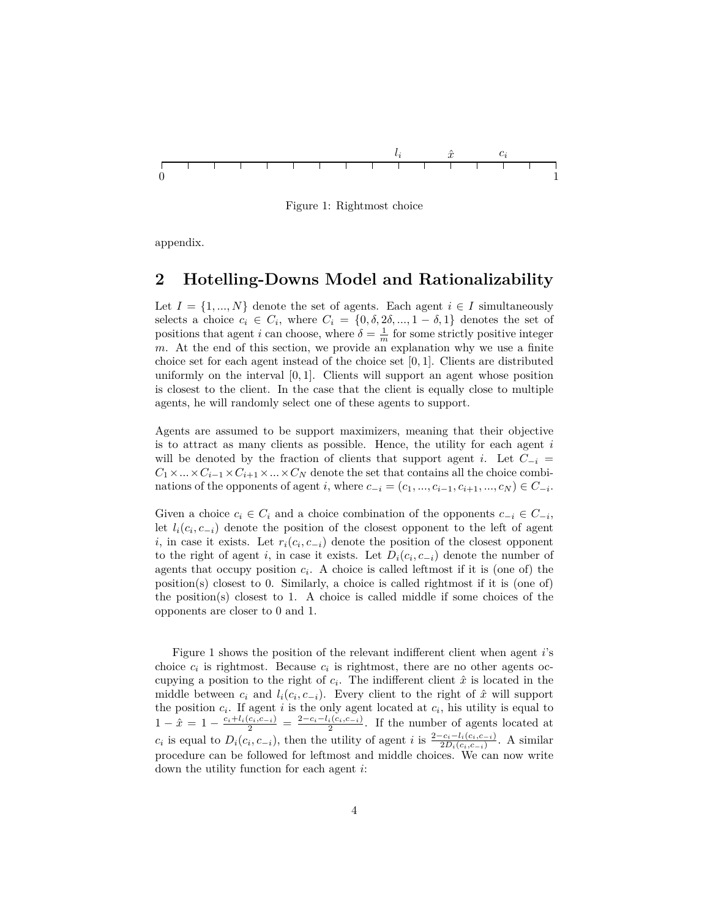

Figure 1: Rightmost choice

appendix.

## **2 Hotelling-Downs Model and Rationalizability**

Let  $I = \{1, ..., N\}$  denote the set of agents. Each agent  $i \in I$  simultaneously selects a choice  $c_i \in C_i$ , where  $C_i = \{0, \delta, 2\delta, ..., 1 - \delta, 1\}$  denotes the set of positions that agent *i* can choose, where  $\delta = \frac{1}{m}$  for some strictly positive integer *m*. At the end of this section, we provide an explanation why we use a finite choice set for each agent instead of the choice set [0*,* 1]. Clients are distributed uniformly on the interval [0*,* 1]. Clients will support an agent whose position is closest to the client. In the case that the client is equally close to multiple agents, he will randomly select one of these agents to support.

Agents are assumed to be support maximizers, meaning that their objective is to attract as many clients as possible. Hence, the utility for each agent *i* will be denoted by the fraction of clients that support agent *i*. Let  $C_{-i}$  =  $C_1 \times \ldots \times C_{i-1} \times C_{i+1} \times \ldots \times C_N$  denote the set that contains all the choice combinations of the opponents of agent *i*, where  $c_{-i} = (c_1, ..., c_{i-1}, c_{i+1}, ..., c_N) \in C_{-i}$ .

Given a choice  $c_i \in C_i$  and a choice combination of the opponents  $c_{-i} \in C_{-i}$ , let  $l_i(c_i, c_{-i})$  denote the position of the closest opponent to the left of agent *i*, in case it exists. Let  $r_i(c_i, c_{-i})$  denote the position of the closest opponent to the right of agent *i*, in case it exists. Let  $D_i(c_i, c_{-i})$  denote the number of agents that occupy position  $c_i$ . A choice is called leftmost if it is (one of) the position(s) closest to 0. Similarly, a choice is called rightmost if it is (one of) the position(s) closest to 1. A choice is called middle if some choices of the opponents are closer to 0 and 1.

Figure 1 shows the position of the relevant indifferent client when agent *i*'s choice  $c_i$  is rightmost. Because  $c_i$  is rightmost, there are no other agents occupying a position to the right of  $c_i$ . The indifferent client  $\hat{x}$  is located in the middle between  $c_i$  and  $l_i(c_i, c_{-i})$ . Every client to the right of  $\hat{x}$  will support the position  $c_i$ . If agent *i* is the only agent located at  $c_i$ , his utility is equal to  $1 - \hat{x} = 1 - \frac{c_i + l_i(c_i, c_{-i})}{2} = \frac{2 - c_i - l_i(c_i, c_{-i})}{2}$ . If the number of agents located at  $c_i$  is equal to  $D_i(c_i, c_{-i})$ , then the utility of agent i is  $\frac{2-c_i-l_i(c_i, c_{-i})}{2D_i(c_i, c_{-i})}$ . A similar procedure can be followed for leftmost and middle choices. We can now write down the utility function for each agent *i*: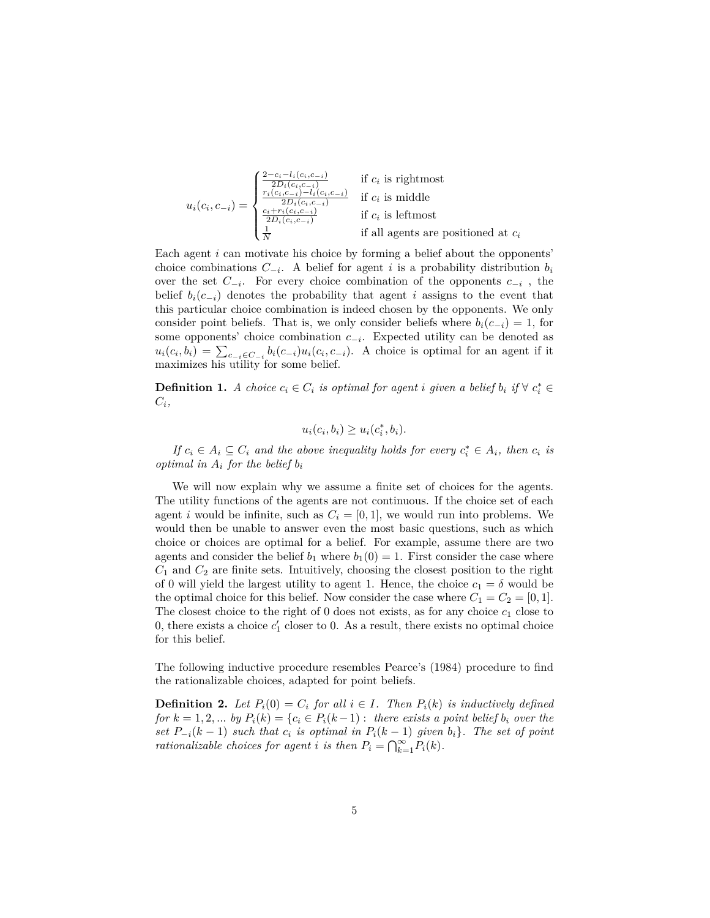$$
u_i(c_i, c_{-i}) = \begin{cases} \frac{2-c_i - l_i(c_i, c_{-i})}{2D_i(c_i, c_{-i})} & \text{if } c_i \text{ is rightmost} \\ \frac{r_i(c_i, c_{-i}) - l_i(c_i, c_{-i})}{2D_i(c_i, c_{-i})} & \text{if } c_i \text{ is middle} \\ \frac{c_i + r_i(c_i, c_{-i})}{2D_i(c_i, c_{-i})} & \text{if } c_i \text{ is leftmost} \\ \frac{1}{N} & \text{if all agents are positioned at } c_i \end{cases}
$$

Each agent *i* can motivate his choice by forming a belief about the opponents' choice combinations  $C_{-i}$ . A belief for agent *i* is a probability distribution  $b_i$ over the set *C*−*<sup>i</sup>* . For every choice combination of the opponents *c*−*<sup>i</sup>* , the belief  $b_i(c_{-i})$  denotes the probability that agent *i* assigns to the event that this particular choice combination is indeed chosen by the opponents. We only consider point beliefs. That is, we only consider beliefs where  $b_i(c_{-i}) = 1$ , for some opponents' choice combination  $c_{-i}$ . Expected utility can be denoted as  $u_i(c_i, b_i) = \sum_{c_{-i} \in C_{-i}} b_i(c_{-i})u_i(c_i, c_{-i})$ . A choice is optimal for an agent if it maximizes his utility for some belief.

**Definition 1.** *A choice*  $c_i \in C_i$  *is optimal for agent i given a belief*  $b_i$  *if*  $\forall$   $c_i^* \in C_i$ *Ci,*

$$
u_i(c_i, b_i) \ge u_i(c_i^*, b_i).
$$

*If*  $c_i \in A_i \subseteq C_i$  *and the above inequality holds for every*  $c_i^* \in A_i$ *, then*  $c_i$  *is optimal in A<sup>i</sup> for the belief b<sup>i</sup>*

We will now explain why we assume a finite set of choices for the agents. The utility functions of the agents are not continuous. If the choice set of each agent *i* would be infinite, such as  $C_i = [0, 1]$ , we would run into problems. We would then be unable to answer even the most basic questions, such as which choice or choices are optimal for a belief. For example, assume there are two agents and consider the belief  $b_1$  where  $b_1(0) = 1$ . First consider the case where *C*<sup>1</sup> and *C*<sup>2</sup> are finite sets. Intuitively, choosing the closest position to the right of 0 will yield the largest utility to agent 1. Hence, the choice  $c_1 = \delta$  would be the optimal choice for this belief. Now consider the case where  $C_1 = C_2 = [0, 1]$ . The closest choice to the right of  $0$  does not exists, as for any choice  $c_1$  close to 0, there exists a choice  $c'_1$  closer to 0. As a result, there exists no optimal choice for this belief.

The following inductive procedure resembles Pearce's (1984) procedure to find the rationalizable choices, adapted for point beliefs.

**Definition 2.** Let  $P_i(0) = C_i$  for all  $i \in I$ . Then  $P_i(k)$  is inductively defined *for*  $k = 1, 2, \ldots$  *by*  $P_i(k) = \{c_i \in P_i(k-1): \text{ there exists a point belief } b_i \text{ over the } i \in \mathbb{Z} \}$ *set*  $P_{-i}(k-1)$  *such that*  $c_i$  *is optimal in*  $P_i(k-1)$  *given*  $b_i$ *}. The set of point rationalizable choices for agent i is then*  $P_i = \bigcap_{k=1}^{\infty} P_i(k)$ .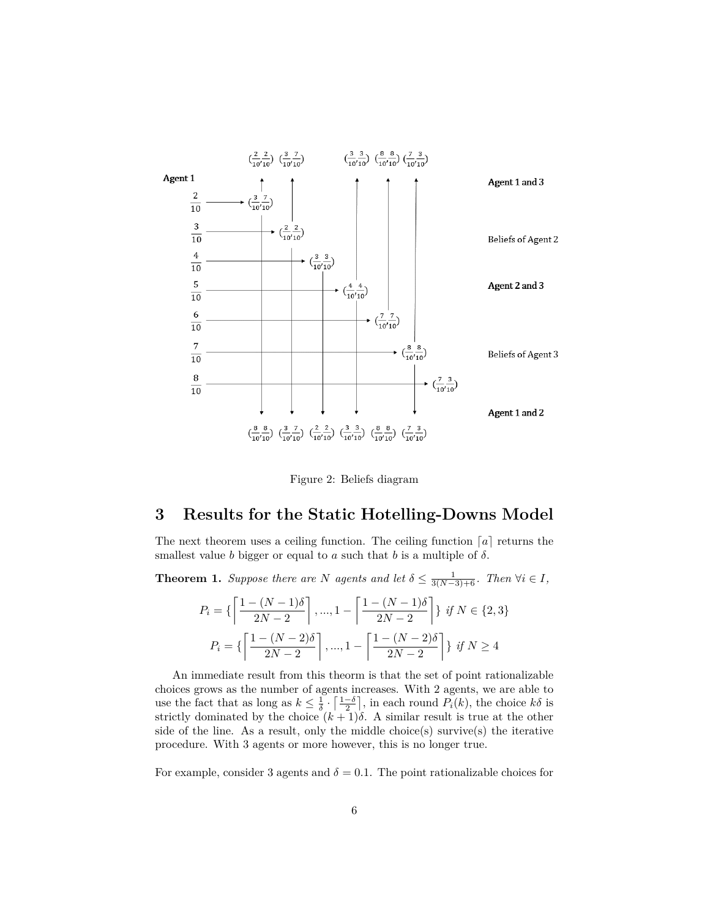

Figure 2: Beliefs diagram

## **3 Results for the Static Hotelling-Downs Model**

The next theorem uses a ceiling function. The ceiling function  $\lceil a \rceil$  returns the smallest value *b* bigger or equal to *a* such that *b* is a multiple of  $\delta$ .

**Theorem 1.** *Suppose there are N agents and let*  $\delta \leq \frac{1}{3(N-3)+6}$ *. Then*  $\forall i \in I$ *,* 

$$
P_i = \left\{ \left\lceil \frac{1 - (N - 1)\delta}{2N - 2} \right\rceil, ..., 1 - \left\lceil \frac{1 - (N - 1)\delta}{2N - 2} \right\rceil \right\} \text{ if } N \in \{2, 3\}
$$

$$
P_i = \left\{ \left\lceil \frac{1 - (N - 2)\delta}{2N - 2} \right\rceil, ..., 1 - \left\lceil \frac{1 - (N - 2)\delta}{2N - 2} \right\rceil \right\} \text{ if } N \ge 4
$$

An immediate result from this theorm is that the set of point rationalizable choices grows as the number of agents increases. With 2 agents, we are able to use the fact that as long as  $k \leq \frac{1}{\delta} \cdot \left[\frac{1-\delta}{2}\right]$ , in each round  $P_i(k)$ , the choice  $k\delta$  is strictly dominated by the choice  $(k+1)\delta$ . A similar result is true at the other side of the line. As a result, only the middle choice(s) survive(s) the iterative procedure. With 3 agents or more however, this is no longer true.

For example, consider 3 agents and  $\delta = 0.1$ . The point rationalizable choices for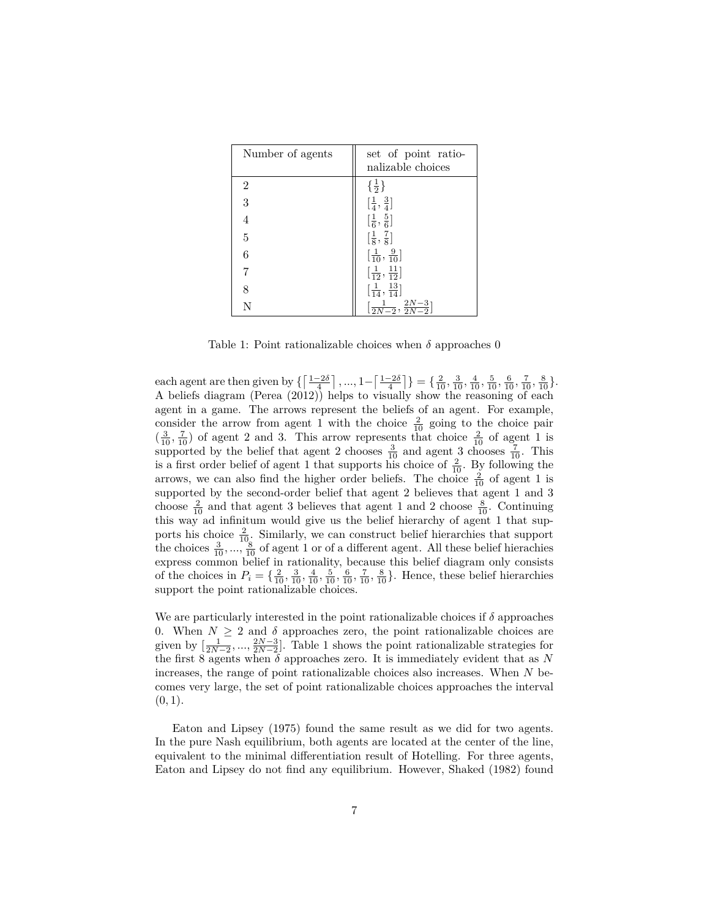| Number of agents | set of point ratio-<br>nalizable choices  |
|------------------|-------------------------------------------|
| $\overline{2}$   | $\{\frac{1}{2}\}\$                        |
| 3                | $[\frac{1}{4}, \frac{3}{4}]$              |
| $\overline{4}$   | $[\frac{1}{6}, \frac{5}{6}]$              |
| $\overline{5}$   | $[\frac{1}{8}, \frac{7}{8}]$              |
| 6                | $\left[\frac{1}{10}, \frac{9}{10}\right]$ |
| 7                | $\left[\frac{1}{12},\frac{11}{12}\right]$ |
| 8                | $\left[\frac{1}{14},\frac{13}{14}\right]$ |
| N                | $\frac{1}{2N-2}, \frac{2N-3}{2N-2}$       |

Table 1: Point rationalizable choices when *δ* approaches 0

each agent are then given by  $\left\{ \left\lceil \frac{1-2\delta}{4} \right\rceil, ..., 1-\left\lceil \frac{1-2\delta}{4} \right\rceil \right\} = \left\{ \frac{2}{10}, \frac{3}{10}, \frac{4}{10}, \frac{5}{10}, \frac{6}{10}, \frac{7}{10}, \frac{8}{10} \right\}.$ A beliefs diagram (Perea (2012)) helps to visually show the reasoning of each agent in a game. The arrows represent the beliefs of an agent. For example, consider the arrow from agent 1 with the choice  $\frac{2}{10}$  going to the choice pair  $\left(\frac{3}{10}, \frac{7}{10}\right)$  of agent 2 and 3. This arrow represents that choice  $\frac{2}{10}$  of agent 1 is supported by the belief that agent 2 chooses  $\frac{3}{10}$  and agent 3 chooses  $\frac{7}{10}$ . This is a first order belief of agent 1 that supports his choice of  $\frac{2}{10}$ . By following the arrows, we can also find the higher order beliefs. The choice  $\frac{2}{10}$  of agent 1 is supported by the second-order belief that agent 2 believes that agent 1 and 3 choose  $\frac{2}{10}$  and that agent 3 believes that agent 1 and 2 choose  $\frac{8}{10}$ . Continuing this way ad infinitum would give us the belief hierarchy of agent 1 that supports his choice  $\frac{2}{10}$ . Similarly, we can construct belief hierarchies that support the choices  $\frac{3}{10}, \ldots, \frac{8}{10}$  of agent 1 or of a different agent. All these belief hierachies express common belief in rationality, because this belief diagram only consists of the choices in  $P_i = \{\frac{2}{10}, \frac{3}{10}, \frac{4}{10}, \frac{5}{10}, \frac{6}{10}, \frac{7}{10}, \frac{8}{10}\}\.$  Hence, these belief hierarchies support the point rationalizable choices.

We are particularly interested in the point rationalizable choices if  $\delta$  approaches 0. When  $N \geq 2$  and  $\delta$  approaches zero, the point rationalizable choices are given by  $\left[\frac{1}{2N-2}, \ldots, \frac{2N-3}{2N-2}\right]$ . Table 1 shows the point rationalizable strategies for the first  $8$  agents when  $\delta$  approaches zero. It is immediately evident that as N increases, the range of point rationalizable choices also increases. When *N* becomes very large, the set of point rationalizable choices approaches the interval  $(0, 1)$ .

Eaton and Lipsey (1975) found the same result as we did for two agents. In the pure Nash equilibrium, both agents are located at the center of the line, equivalent to the minimal differentiation result of Hotelling. For three agents, Eaton and Lipsey do not find any equilibrium. However, Shaked (1982) found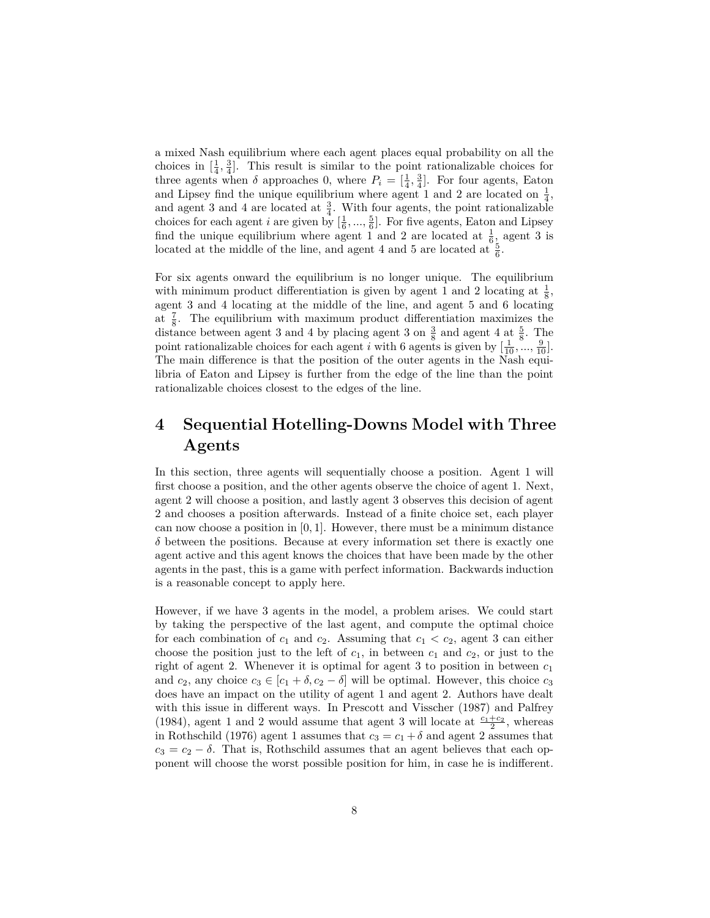a mixed Nash equilibrium where each agent places equal probability on all the choices in  $\left[\frac{1}{4}, \frac{3}{4}\right]$ . This result is similar to the point rationalizable choices for three agents when  $\delta$  approaches 0, where  $P_i = \left[\frac{1}{4}, \frac{3}{4}\right]$ . For four agents, Eaton and Lipsey find the unique equilibrium where agent 1 and 2 are located on  $\frac{1}{4}$ , and agent 3 and 4 are located at  $\frac{3}{4}$ . With four agents, the point rationalizable choices for each agent *i* are given by  $\left[\frac{1}{6},\ldots,\frac{5}{6}\right]$ . For five agents, Eaton and Lipsey find the unique equilibrium where agent 1 and 2 are located at  $\frac{1}{6}$ , agent 3 is located at the middle of the line, and agent 4 and 5 are located at  $\frac{5}{6}$ .

For six agents onward the equilibrium is no longer unique. The equilibrium with minimum product differentiation is given by agent 1 and 2 locating at  $\frac{1}{8}$ , agent 3 and 4 locating at the middle of the line, and agent 5 and 6 locating at  $\frac{7}{8}$ . The equilibrium with maximum product differentiation maximizes the distance between agent 3 and 4 by placing agent 3 on  $\frac{3}{8}$  and agent 4 at  $\frac{5}{8}$ . The point rationalizable choices for each agent *i* with 6 agents is given by  $\left[\frac{1}{10}, \ldots, \frac{9}{10}\right]$ . The main difference is that the position of the outer agents in the Nash equilibria of Eaton and Lipsey is further from the edge of the line than the point rationalizable choices closest to the edges of the line.

# **4 Sequential Hotelling-Downs Model with Three Agents**

In this section, three agents will sequentially choose a position. Agent 1 will first choose a position, and the other agents observe the choice of agent 1. Next, agent 2 will choose a position, and lastly agent 3 observes this decision of agent 2 and chooses a position afterwards. Instead of a finite choice set, each player can now choose a position in [0*,* 1]. However, there must be a minimum distance  $\delta$  between the positions. Because at every information set there is exactly one agent active and this agent knows the choices that have been made by the other agents in the past, this is a game with perfect information. Backwards induction is a reasonable concept to apply here.

However, if we have 3 agents in the model, a problem arises. We could start by taking the perspective of the last agent, and compute the optimal choice for each combination of  $c_1$  and  $c_2$ . Assuming that  $c_1 < c_2$ , agent 3 can either choose the position just to the left of  $c_1$ , in between  $c_1$  and  $c_2$ , or just to the right of agent 2. Whenever it is optimal for agent 3 to position in between  $c_1$ and  $c_2$ , any choice  $c_3 \in [c_1 + \delta, c_2 - \delta]$  will be optimal. However, this choice  $c_3$ does have an impact on the utility of agent 1 and agent 2. Authors have dealt with this issue in different ways. In Prescott and Visscher (1987) and Palfrey (1984), agent 1 and 2 would assume that agent 3 will locate at  $\frac{c_1+c_2}{2}$ , whereas in Rothschild (1976) agent 1 assumes that  $c_3 = c_1 + \delta$  and agent 2 assumes that  $c_3 = c_2 - \delta$ . That is, Rothschild assumes that an agent believes that each opponent will choose the worst possible position for him, in case he is indifferent.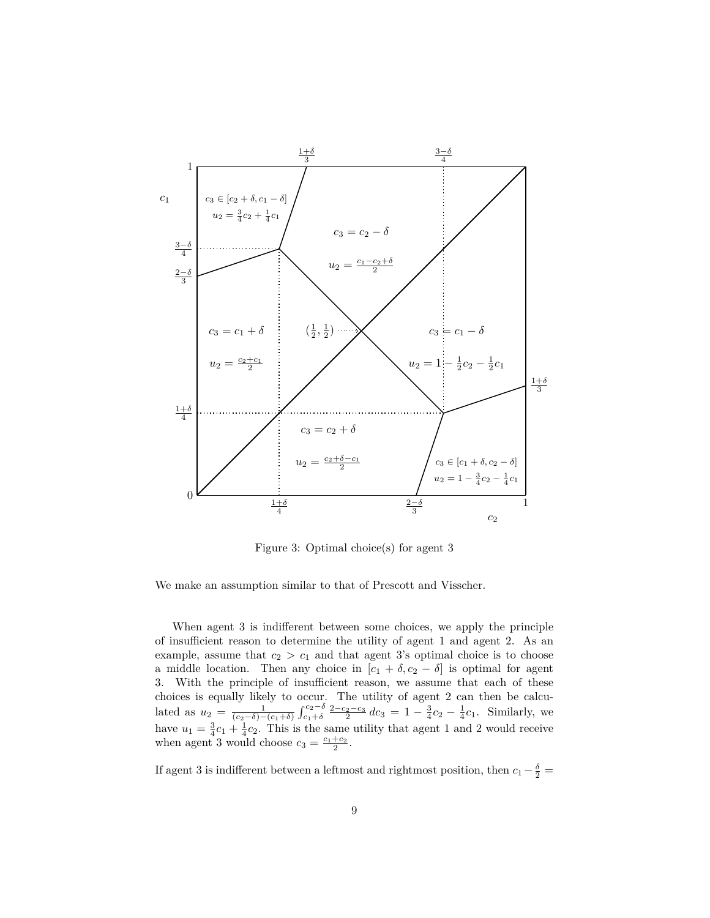

Figure 3: Optimal choice(s) for agent 3

We make an assumption similar to that of Prescott and Visscher.

When agent 3 is indifferent between some choices, we apply the principle of insufficient reason to determine the utility of agent 1 and agent 2. As an example, assume that  $c_2 > c_1$  and that agent 3's optimal choice is to choose a middle location. Then any choice in  $[c_1 + \delta, c_2 - \delta]$  is optimal for agent 3. With the principle of insufficient reason, we assume that each of these choices is equally likely to occur. The utility of agent 2 can then be calculated as  $u_2 = \frac{1}{(c_2-\delta)-(c_1+\delta)} \int_{c_1+\delta}^{c_2-\delta} \frac{2-c_2-c_3}{2} dc_3 = 1 - \frac{3}{4}c_2 - \frac{1}{4}c_1$ . Similarly, we have  $u_1 = \frac{3}{4}c_1 + \frac{1}{4}c_2$ . This is the same utility that agent 1 and 2 would receive when agent 3 would choose  $c_3 = \frac{c_1+c_2}{2}$ .

If agent 3 is indifferent between a leftmost and rightmost position, then  $c_1 - \frac{\delta}{2} =$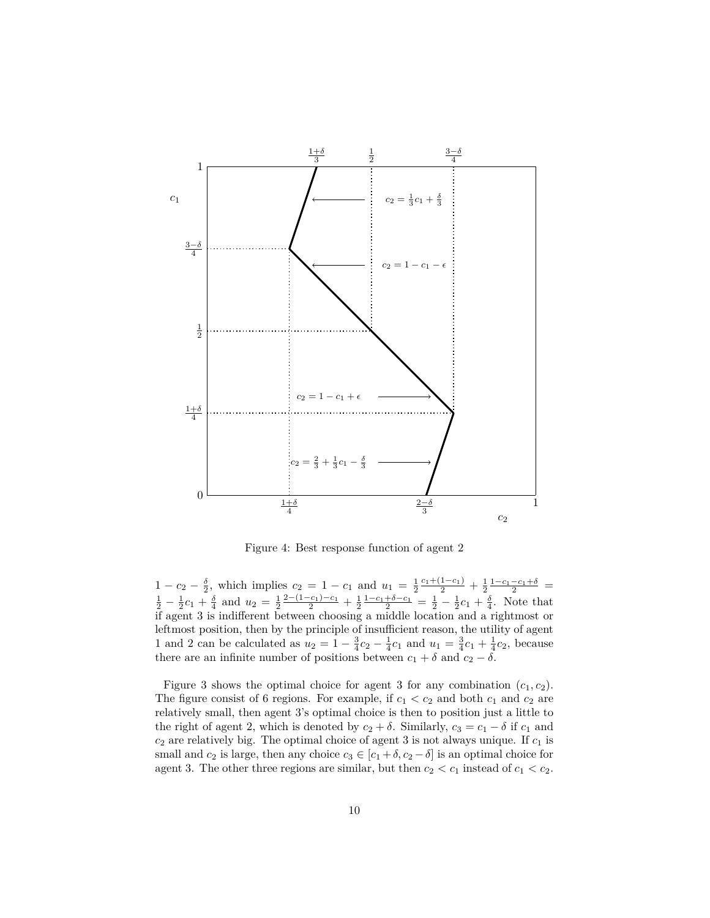

Figure 4: Best response function of agent 2

 $1 - c_2 - \frac{\delta}{2}$ , which implies  $c_2 = 1 - c_1$  and  $u_1 = \frac{1}{2} \frac{c_1 + (1 - c_1)}{2} + \frac{1}{2} \frac{1 - c_1 - c_1 + \delta}{2} = \frac{1}{2} - \frac{1}{2}c_1 + \frac{\delta}{4}$  and  $u_2 = \frac{1}{2} \frac{2 - (1 - c_1) - c_1}{2} + \frac{1}{2} \frac{1 - c_1 + \delta - c_1}{2} = \frac{1}{2} - \frac{1}{2}c_1 + \frac{\delta}{4}$ if agent 3 is indifferent between choosing a middle location and a rightmost or leftmost position, then by the principle of insufficient reason, the utility of agent 1 and 2 can be calculated as  $u_2 = 1 - \frac{3}{4}c_2 - \frac{1}{4}c_1$  and  $u_1 = \frac{3}{4}c_1 + \frac{1}{4}c_2$ , because there are an infinite number of positions between  $c_1 + \delta$  and  $c_2 - \delta$ .

Figure 3 shows the optimal choice for agent 3 for any combination  $(c_1, c_2)$ . The figure consist of 6 regions. For example, if  $c_1 < c_2$  and both  $c_1$  and  $c_2$  are relatively small, then agent 3's optimal choice is then to position just a little to the right of agent 2, which is denoted by  $c_2 + \delta$ . Similarly,  $c_3 = c_1 - \delta$  if  $c_1$  and  $c_2$  are relatively big. The optimal choice of agent 3 is not always unique. If  $c_1$  is small and  $c_2$  is large, then any choice  $c_3 \in [c_1 + \delta, c_2 - \delta]$  is an optimal choice for agent 3. The other three regions are similar, but then  $c_2 < c_1$  instead of  $c_1 < c_2$ .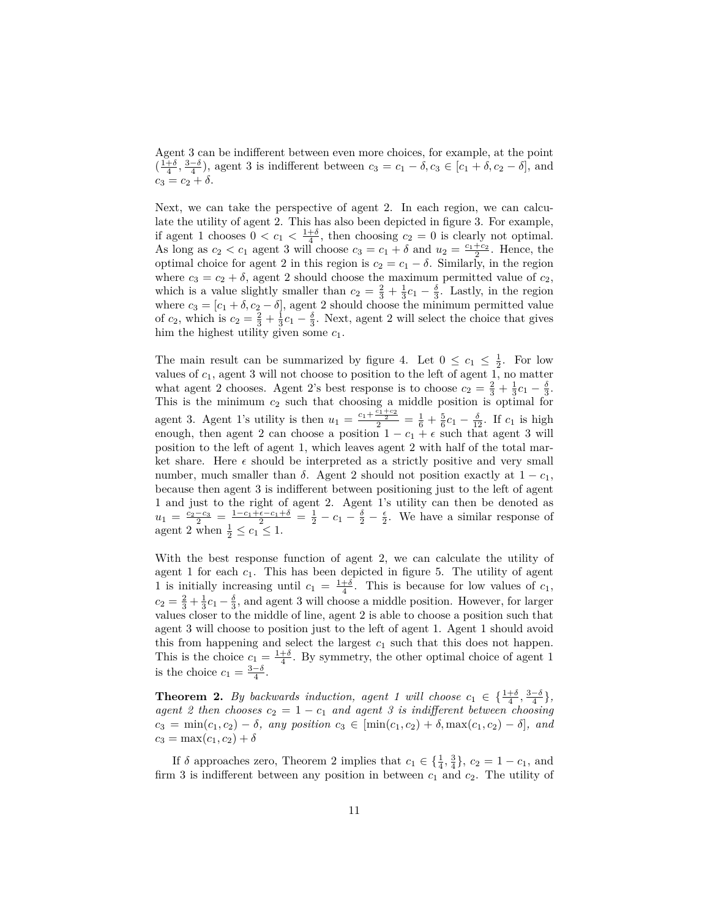Agent 3 can be indifferent between even more choices, for example, at the point  $(\frac{1+\delta}{4}, \frac{3-\delta}{4})$ , agent 3 is indifferent between  $c_3 = c_1 - \delta$ ,  $c_3 \in [c_1 + \delta, c_2 - \delta]$ , and  $c_3 = c_2 + \delta$ .

Next, we can take the perspective of agent 2. In each region, we can calculate the utility of agent 2. This has also been depicted in figure 3. For example, if agent 1 chooses  $0 < c_1 < \frac{1+\delta}{4}$ , then choosing  $c_2 = 0$  is clearly not optimal. As long as  $c_2 < c_1$  agent 3 will choose  $c_3 = c_1 + \delta$  and  $u_2 = \frac{c_1+c_2}{2}$ . Hence, the optimal choice for agent 2 in this region is  $c_2 = c_1 - \delta$ . Similarly, in the region where  $c_3 = c_2 + \delta$ , agent 2 should choose the maximum permitted value of  $c_2$ , which is a value slightly smaller than  $c_2 = \frac{2}{3} + \frac{1}{3}c_1 - \frac{5}{3}$ . Lastly, in the region where  $c_3 = [c_1 + \delta, c_2 - \delta]$ , agent 2 should choose the minimum permitted value of  $c_2$ , which is  $c_2 = \frac{2}{3} + \frac{1}{3}c_1 - \frac{3}{3}$ . Next, agent 2 will select the choice that gives him the highest utility given some *c*1.

The main result can be summarized by figure 4. Let  $0 \leq c_1 \leq \frac{1}{2}$ . For low values of *c*1, agent 3 will not choose to position to the left of agent 1, no matter what agent 2 chooses. Agent 2's best response is to choose  $c_2 = \frac{2}{3} + \frac{1}{3}c_1 - \frac{5}{3}$ . what agent 2 chooses. Agent 2's best response is to choose  $c_2 = \frac{1}{3} + \frac{1}{3}c_1$   $\frac{1}{3}$ .<br>This is the minimum  $c_2$  such that choosing a middle position is optimal for agent 3. Agent 1's utility is then  $u_1 = \frac{c_1 + \frac{c_1 + c_2}{2}}{2} = \frac{1}{6} + \frac{5}{6}c_1 - \frac{\delta}{12}$ . If  $c_1$  is high enough, then agent 2 can choose a position  $1 - c_1 + \epsilon$  such that agent 3 will position to the left of agent 1, which leaves agent 2 with half of the total market share. Here  $\epsilon$  should be interpreted as a strictly positive and very small number, much smaller than  $\delta$ . Agent 2 should not position exactly at  $1 - c_1$ , because then agent 3 is indifferent between positioning just to the left of agent 1 and just to the right of agent 2. Agent 1's utility can then be denoted as  $u_1 = \frac{c_2-c_3}{2} = \frac{1-c_1+\epsilon-c_1+\delta}{2} = \frac{1}{2}-c_1-\frac{\delta}{2}-\frac{\epsilon}{2}$ . We have a similar response of agent 2 when  $\frac{1}{2} \leq c_1 \leq 1$ .

With the best response function of agent 2, we can calculate the utility of agent 1 for each  $c_1$ . This has been depicted in figure 5. The utility of agent 1 is initially increasing until  $c_1 = \frac{1+\delta}{4}$ . This is because for low values of  $c_1$ ,  $c_2 = \frac{2}{3} + \frac{1}{3}c_1 - \frac{5}{3}$ , and agent 3 will choose a middle position. However, for larger values closer to the middle of line, agent 2 is able to choose a position such that agent 3 will choose to position just to the left of agent 1. Agent 1 should avoid this from happening and select the largest  $c_1$  such that this does not happen. This is the choice  $c_1 = \frac{1+\delta}{4}$ . By symmetry, the other optimal choice of agent 1 is the choice  $c_1 = \frac{3-\delta}{4}$ .

**Theorem 2.** *By backwards induction, agent 1 will choose*  $c_1 \in \{\frac{1+\delta}{4}, \frac{3-\delta}{4}\},\$ *agent 2 then chooses*  $c_2 = 1 - c_1$  *and agent 3 is indifferent between choosing*  $c_3 = \min(c_1, c_2) - \delta$ *, any position*  $c_3 \in [\min(c_1, c_2) + \delta, \max(c_1, c_2) - \delta]$ *, and*  $c_3 = \max(c_1, c_2) + \delta$ 

If  $\delta$  approaches zero, Theorem 2 implies that  $c_1 \in \{\frac{1}{4}, \frac{3}{4}\}, c_2 = 1 - c_1$ , and firm 3 is indifferent between any position in between  $c_1$  and  $c_2$ . The utility of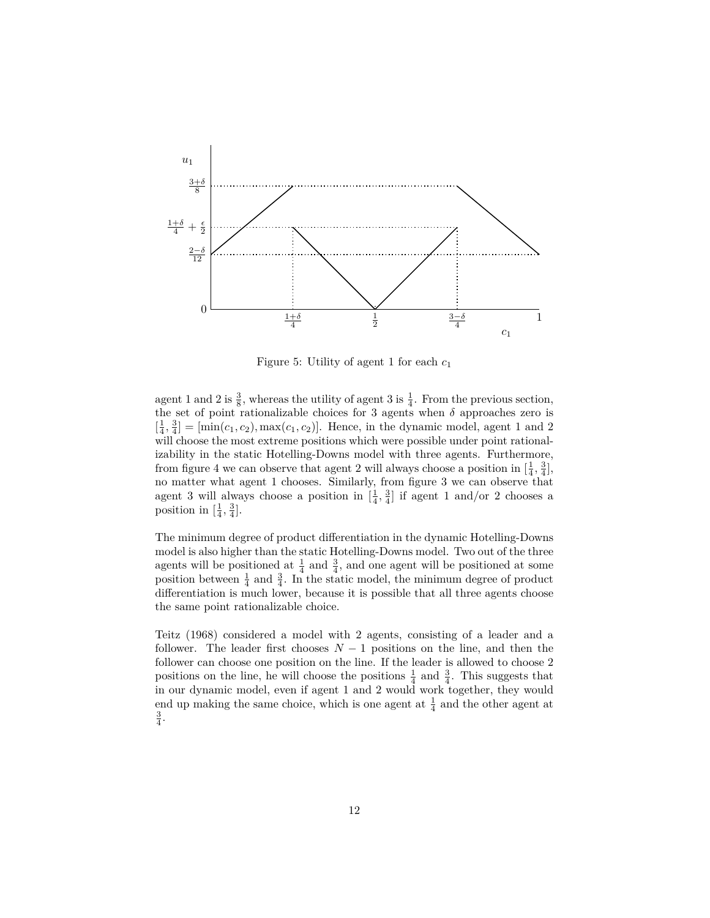

Figure 5: Utility of agent 1 for each *c*<sup>1</sup>

agent 1 and 2 is  $\frac{3}{8}$ , whereas the utility of agent 3 is  $\frac{1}{4}$ . From the previous section, the set of point rationalizable choices for 3 agents when  $\delta$  approaches zero is  $\left[\frac{1}{4}, \frac{3}{4}\right] = \left[\min(c_1, c_2), \max(c_1, c_2)\right]$ . Hence, in the dynamic model, agent 1 and 2 will choose the most extreme positions which were possible under point rationalizability in the static Hotelling-Downs model with three agents. Furthermore, from figure 4 we can observe that agent 2 will always choose a position in  $\left[\frac{1}{4}, \frac{3}{4}\right]$ , no matter what agent 1 chooses. Similarly, from figure 3 we can observe that agent 3 will always choose a position in  $\left[\frac{1}{4}, \frac{3}{4}\right]$  if agent 1 and/or 2 chooses a position in  $\left[\frac{1}{4}, \frac{3}{4}\right]$ .

The minimum degree of product differentiation in the dynamic Hotelling-Downs model is also higher than the static Hotelling-Downs model. Two out of the three agents will be positioned at  $\frac{1}{4}$  and  $\frac{3}{4}$ , and one agent will be positioned at some position between  $\frac{1}{4}$  and  $\frac{3}{4}$ . In the static model, the minimum degree of product differentiation is much lower, because it is possible that all three agents choose the same point rationalizable choice.

Teitz (1968) considered a model with 2 agents, consisting of a leader and a follower. The leader first chooses  $N-1$  positions on the line, and then the follower can choose one position on the line. If the leader is allowed to choose 2 positions on the line, he will choose the positions  $\frac{1}{4}$  and  $\frac{3}{4}$ . This suggests that in our dynamic model, even if agent 1 and 2 would work together, they would end up making the same choice, which is one agent at  $\frac{1}{4}$  and the other agent at  $\frac{3}{4}$ .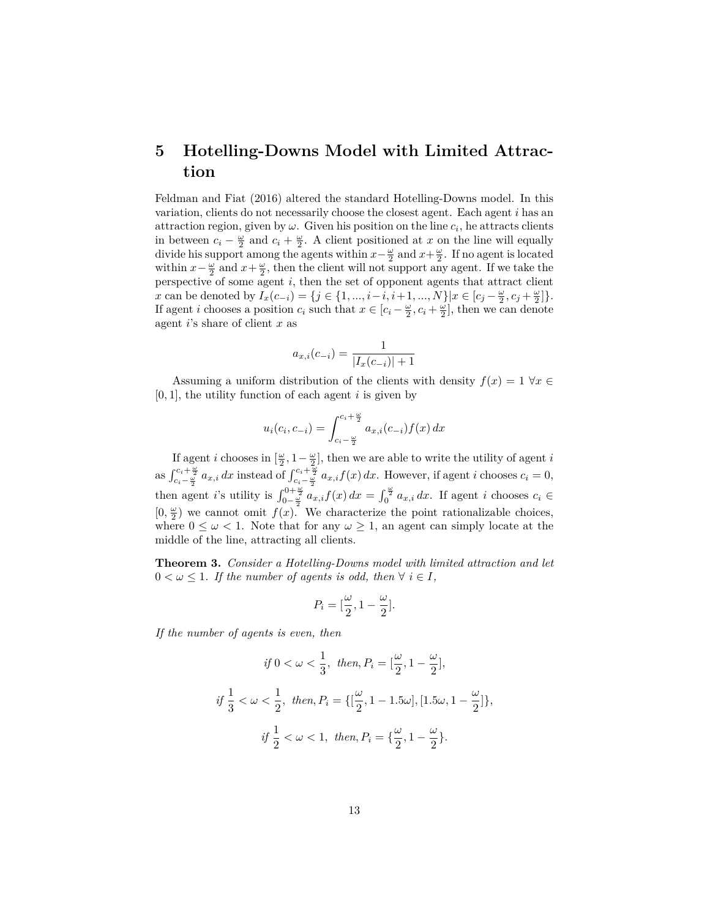## **5 Hotelling-Downs Model with Limited Attraction**

Feldman and Fiat (2016) altered the standard Hotelling-Downs model. In this variation, clients do not necessarily choose the closest agent. Each agent *i* has an attraction region, given by  $\omega$ . Given his position on the line  $c_i$ , he attracts clients in between  $c_i - \frac{\omega}{2}$  and  $c_i + \frac{\omega}{2}$ . A client positioned at *x* on the line will equally divide his support among the agents within  $x-\frac{\omega}{2}$  and  $x+\frac{\omega}{2}$ . If no agent is located within  $x-\frac{\omega}{2}$  and  $x+\frac{\omega}{2}$ , then the client will not support any agent. If we take the perspective of some agent *i*, then the set of opponent agents that attract client *x* can be denoted by  $I_x(c_{-i}) = \{j \in \{1, ..., i-i, i+1, ..., N\} | x \in [c_j - \frac{\omega}{2}, c_j + \frac{\omega}{2}]\}.$ If agent *i* chooses a position  $c_i$  such that  $x \in [c_i - \frac{\omega}{2}, c_i + \frac{\omega}{2}]$ , then we can denote agent *i*'s share of client *x* as

$$
a_{x,i}(c_{-i}) = \frac{1}{|I_x(c_{-i})| + 1}
$$

Assuming a uniform distribution of the clients with density  $f(x) = 1 \,\forall x \in$ [0*,* 1], the utility function of each agent *i* is given by

$$
u_i(c_i, c_{-i}) = \int_{c_i - \frac{\omega}{2}}^{c_i + \frac{\omega}{2}} a_{x,i}(c_{-i}) f(x) dx
$$

If agent *i* chooses in  $\left[\frac{\omega}{2}, 1-\frac{\omega}{2}\right]$ , then we are able to write the utility of agent *i* as  $\int_{c_i - \frac{\omega}{2}}^{c_i + \frac{\omega}{2}} a_{x,i} dx$  instead of  $\int_{c_i - \frac{\omega}{2}}^{c_i + \frac{\omega}{2}} a_{x,i} f(x) dx$ . However, if agent *i* chooses  $c_i = 0$ , then agent *i*'s utility is  $\int_{0-\frac{\omega}{2}}^{0+\frac{\omega}{2}} a_{x,i} f(x) dx = \int_{0}^{\frac{\omega}{2}} a_{x,i} dx$ . If agent *i* chooses  $c_i \in$  $(0, \frac{\omega}{2})$  we cannot omit  $f(x)$ . We characterize the point rationalizable choices, where  $0 \leq \omega < 1$ . Note that for any  $\omega \geq 1$ , an agent can simply locate at the middle of the line, attracting all clients.

**Theorem 3.** *Consider a Hotelling-Downs model with limited attraction and let*  $0 < \omega \leq 1$ *. If the number of agents is odd, then*  $\forall i \in I$ *,* 

$$
P_i = \left[\frac{\omega}{2}, 1 - \frac{\omega}{2}\right].
$$

*If the number of agents is even, then*

$$
if \ 0 < \omega < \frac{1}{3}, \ then, P_i = \left[\frac{\omega}{2}, 1 - \frac{\omega}{2}\right],
$$
\n
$$
if \ \frac{1}{3} < \omega < \frac{1}{2}, \ then, P_i = \left\{\left[\frac{\omega}{2}, 1 - 1.5\omega\right], \left[1.5\omega, 1 - \frac{\omega}{2}\right]\right\},
$$
\n
$$
if \ \frac{1}{2} < \omega < 1, \ then, P_i = \left\{\frac{\omega}{2}, 1 - \frac{\omega}{2}\right\}.
$$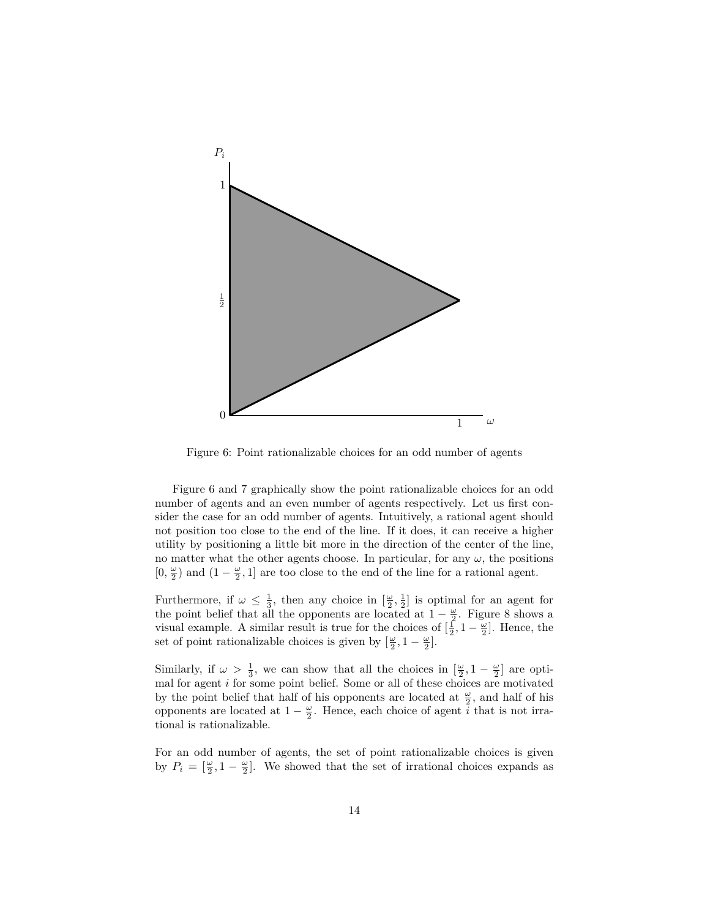

Figure 6: Point rationalizable choices for an odd number of agents

Figure 6 and 7 graphically show the point rationalizable choices for an odd number of agents and an even number of agents respectively. Let us first consider the case for an odd number of agents. Intuitively, a rational agent should not position too close to the end of the line. If it does, it can receive a higher utility by positioning a little bit more in the direction of the center of the line, no matter what the other agents choose. In particular, for any  $\omega$ , the positions  $[0, \frac{\omega}{2})$  and  $(1 - \frac{\omega}{2}, 1]$  are too close to the end of the line for a rational agent.

Furthermore, if  $\omega \leq \frac{1}{3}$ , then any choice in  $\left[\frac{\omega}{2}, \frac{1}{2}\right]$  is optimal for an agent for the point belief that all the opponents are located at  $1 - \frac{\omega}{2}$ . Figure 8 shows a visual example. A similar result is true for the choices of  $\left[\frac{1}{2}, 1 - \frac{\omega}{2}\right]$ . Hence, the set of point rationalizable choices is given by  $\left[\frac{\omega}{2}, 1 - \frac{\omega}{2}\right]$ .

Similarly, if  $\omega > \frac{1}{3}$ , we can show that all the choices in  $\left[\frac{\omega}{2}, 1 - \frac{\omega}{2}\right]$  are optimal for agent *i* for some point belief. Some or all of these choices are motivated by the point belief that half of his opponents are located at  $\frac{\omega}{2}$ , and half of his opponents are located at  $1 - \frac{\omega}{2}$ . Hence, each choice of agent  $\overline{i}$  that is not irrational is rationalizable.

For an odd number of agents, the set of point rationalizable choices is given by  $P_i = \left[\frac{\omega}{2}, 1 - \frac{\omega}{2}\right]$ . We showed that the set of irrational choices expands as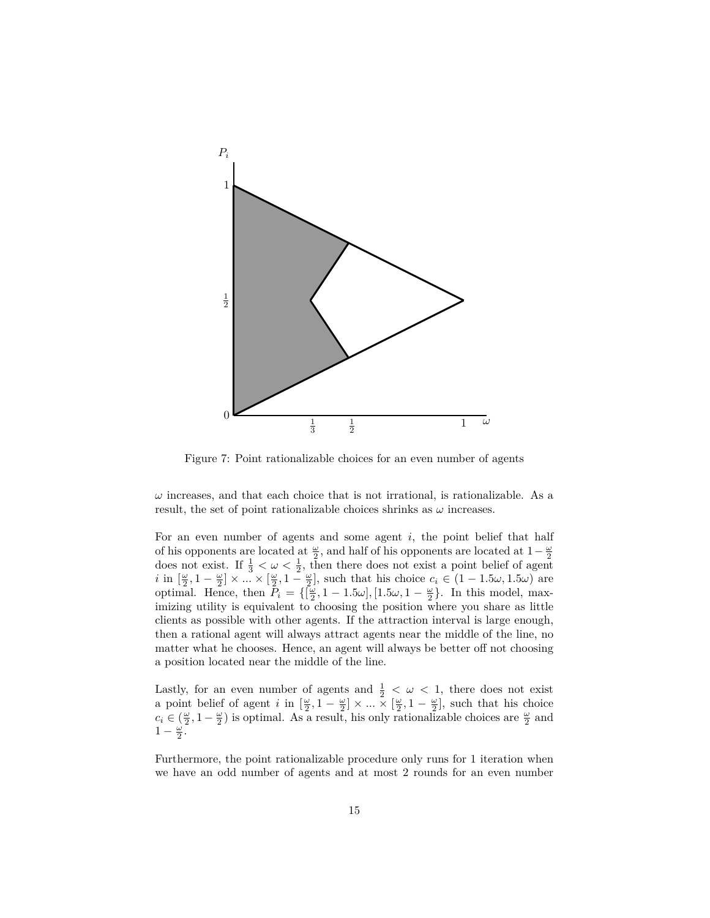

Figure 7: Point rationalizable choices for an even number of agents

*ω* increases, and that each choice that is not irrational, is rationalizable. As a result, the set of point rationalizable choices shrinks as  $\omega$  increases.

For an even number of agents and some agent *i*, the point belief that half of his opponents are located at  $\frac{\omega}{2}$ , and half of his opponents are located at  $1-\frac{\omega}{2}$ does not exist. If  $\frac{1}{3} < \omega < \frac{1}{2}$ , then there does not exist a point belief of agent  $i$  in  $\left[\frac{\omega}{2}, 1 - \frac{\omega}{2}\right] \times \ldots \times \left[\frac{\omega}{2}, 1 - \frac{\omega}{2}\right]$ , such that his choice  $c_i \in (1 - 1.5\omega, 1.5\omega)$  are optimal. Hence, then  $\bar{P}_i = \{\left[\frac{\omega}{2}, 1 - 1.5\omega\right], \left[1.5\omega, 1 - \frac{\omega}{2}\right\}$ . In this model, maximizing utility is equivalent to choosing the position where you share as little clients as possible with other agents. If the attraction interval is large enough, then a rational agent will always attract agents near the middle of the line, no matter what he chooses. Hence, an agent will always be better off not choosing a position located near the middle of the line.

Lastly, for an even number of agents and  $\frac{1}{2} < \omega < 1$ , there does not exist a point belief of agent *i* in  $\left[\frac{\omega}{2}, 1 - \frac{\omega}{2}\right] \times \dots \times \left[\frac{\omega}{2}, 1 - \frac{\omega}{2}\right]$ , such that his choice  $c_i \in (\frac{\omega}{2}, 1 - \frac{\omega}{2})$  is optimal. As a result, his only rationalizable choices are  $\frac{\omega}{2}$  and  $1-\frac{\omega}{2}$ .

Furthermore, the point rationalizable procedure only runs for 1 iteration when we have an odd number of agents and at most 2 rounds for an even number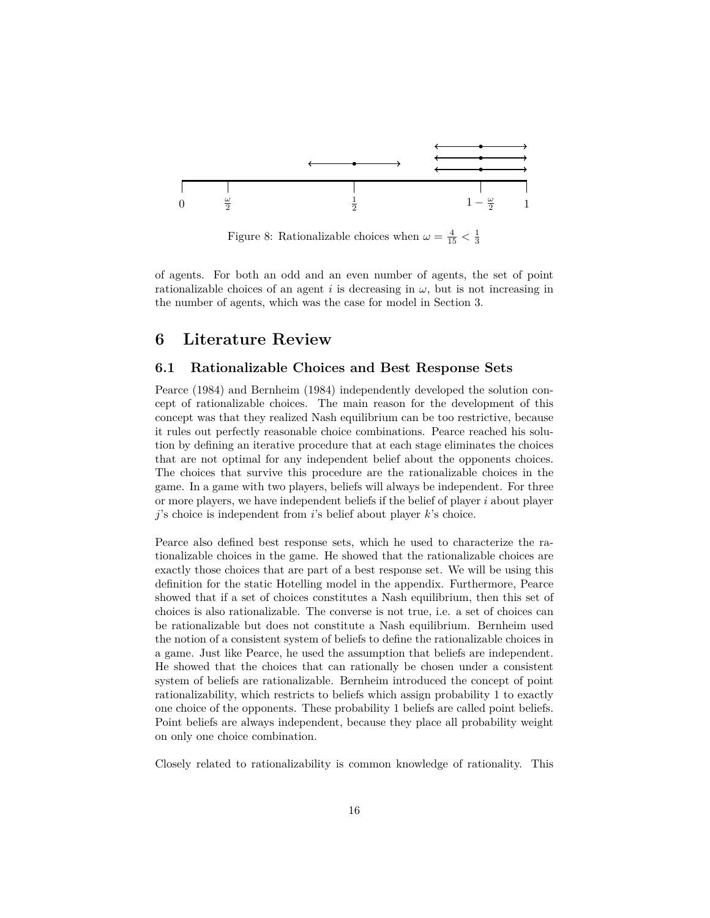

Figure 8: Rationalizable choices when  $\omega = \frac{4}{15} < \frac{1}{3}$ 

of agents. For both an odd and an even number of agents, the set of point rationalizable choices of an agent *i* is decreasing in  $\omega$ , but is not increasing in the number of agents, which was the case for model in Section 3.

## **6 Literature Review**

### **6.1 Rationalizable Choices and Best Response Sets**

Pearce (1984) and Bernheim (1984) independently developed the solution concept of rationalizable choices. The main reason for the development of this concept was that they realized Nash equilibrium can be too restrictive, because it rules out perfectly reasonable choice combinations. Pearce reached his solution by defining an iterative procedure that at each stage eliminates the choices that are not optimal for any independent belief about the opponents choices. The choices that survive this procedure are the rationalizable choices in the game. In a game with two players, beliefs will always be independent. For three or more players, we have independent beliefs if the belief of player *i* about player *j*'s choice is independent from *i*'s belief about player *k*'s choice.

Pearce also defined best response sets, which he used to characterize the rationalizable choices in the game. He showed that the rationalizable choices are exactly those choices that are part of a best response set. We will be using this definition for the static Hotelling model in the appendix. Furthermore, Pearce showed that if a set of choices constitutes a Nash equilibrium, then this set of choices is also rationalizable. The converse is not true, i.e. a set of choices can be rationalizable but does not constitute a Nash equilibrium. Bernheim used the notion of a consistent system of beliefs to define the rationalizable choices in a game. Just like Pearce, he used the assumption that beliefs are independent. He showed that the choices that can rationally be chosen under a consistent system of beliefs are rationalizable. Bernheim introduced the concept of point rationalizability, which restricts to beliefs which assign probability 1 to exactly one choice of the opponents. These probability 1 beliefs are called point beliefs. Point beliefs are always independent, because they place all probability weight on only one choice combination.

Closely related to rationalizability is common knowledge of rationality. This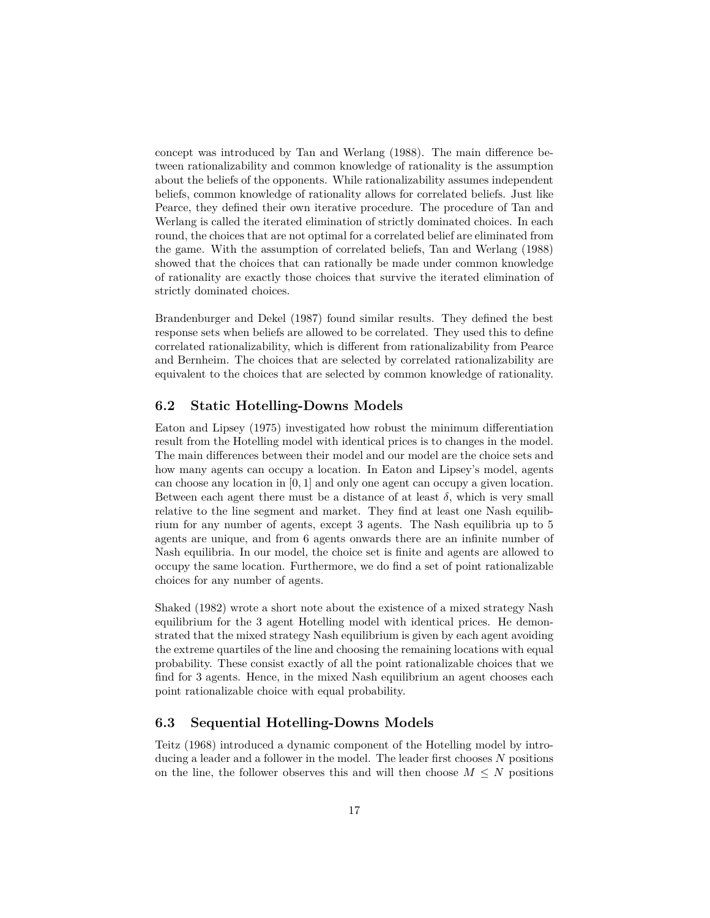concept was introduced by Tan and Werlang (1988). The main difference between rationalizability and common knowledge of rationality is the assumption about the beliefs of the opponents. While rationalizability assumes independent beliefs, common knowledge of rationality allows for correlated beliefs. Just like Pearce, they defined their own iterative procedure. The procedure of Tan and Werlang is called the iterated elimination of strictly dominated choices. In each round, the choices that are not optimal for a correlated belief are eliminated from the game. With the assumption of correlated beliefs, Tan and Werlang (1988) showed that the choices that can rationally be made under common knowledge of rationality are exactly those choices that survive the iterated elimination of strictly dominated choices.

Brandenburger and Dekel (1987) found similar results. They defined the best response sets when beliefs are allowed to be correlated. They used this to define correlated rationalizability, which is different from rationalizability from Pearce and Bernheim. The choices that are selected by correlated rationalizability are equivalent to the choices that are selected by common knowledge of rationality.

### **6.2 Static Hotelling-Downs Models**

Eaton and Lipsey (1975) investigated how robust the minimum differentiation result from the Hotelling model with identical prices is to changes in the model. The main differences between their model and our model are the choice sets and how many agents can occupy a location. In Eaton and Lipsey's model, agents can choose any location in [0*,* 1] and only one agent can occupy a given location. Between each agent there must be a distance of at least  $\delta$ , which is very small relative to the line segment and market. They find at least one Nash equilibrium for any number of agents, except 3 agents. The Nash equilibria up to 5 agents are unique, and from 6 agents onwards there are an infinite number of Nash equilibria. In our model, the choice set is finite and agents are allowed to occupy the same location. Furthermore, we do find a set of point rationalizable choices for any number of agents.

Shaked (1982) wrote a short note about the existence of a mixed strategy Nash equilibrium for the 3 agent Hotelling model with identical prices. He demonstrated that the mixed strategy Nash equilibrium is given by each agent avoiding the extreme quartiles of the line and choosing the remaining locations with equal probability. These consist exactly of all the point rationalizable choices that we find for 3 agents. Hence, in the mixed Nash equilibrium an agent chooses each point rationalizable choice with equal probability.

### **6.3 Sequential Hotelling-Downs Models**

Teitz (1968) introduced a dynamic component of the Hotelling model by introducing a leader and a follower in the model. The leader first chooses *N* positions on the line, the follower observes this and will then choose  $M \leq N$  positions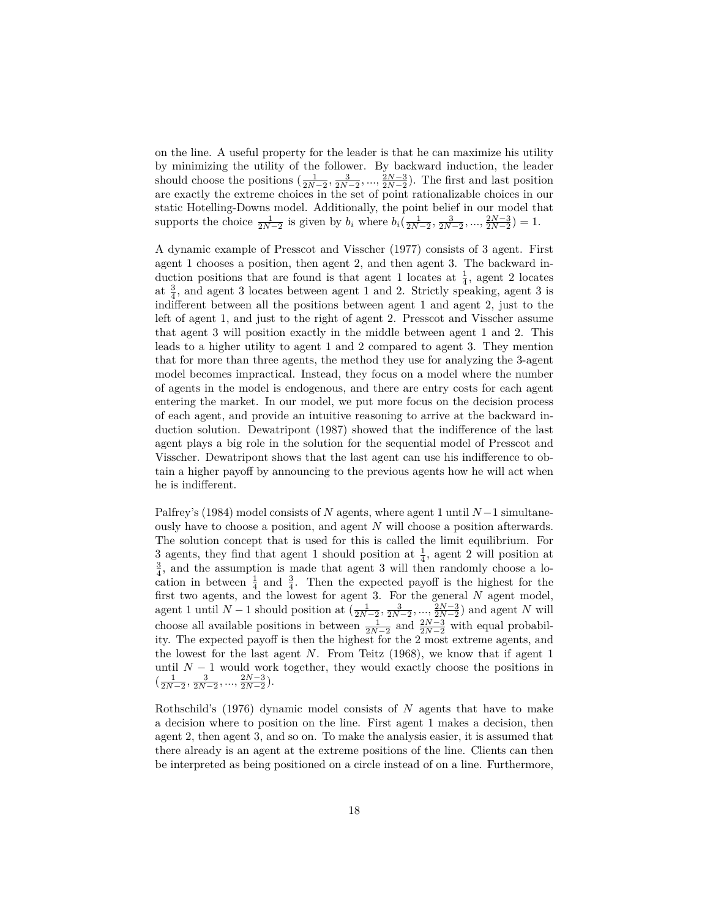on the line. A useful property for the leader is that he can maximize his utility by minimizing the utility of the follower. By backward induction, the leader should choose the positions  $\left(\frac{1}{2N-2}, \frac{3}{2N-2}, \ldots, \frac{2N-3}{2N-2}\right)$ . The first and last position are exactly the extreme choices in the set of point rationalizable choices in our static Hotelling-Downs model. Additionally, the point belief in our model that supports the choice  $\frac{1}{2N-2}$  is given by  $b_i$  where  $b_i(\frac{1}{2N-2}, \frac{3}{2N-2}, ..., \frac{2N-3}{2N-2}) = 1$ .

A dynamic example of Presscot and Visscher (1977) consists of 3 agent. First agent 1 chooses a position, then agent 2, and then agent 3. The backward induction positions that are found is that agent 1 locates at  $\frac{1}{4}$ , agent 2 locates at  $\frac{3}{4}$ , and agent 3 locates between agent 1 and 2. Strictly speaking, agent 3 is indifferent between all the positions between agent 1 and agent 2, just to the left of agent 1, and just to the right of agent 2. Presscot and Visscher assume that agent 3 will position exactly in the middle between agent 1 and 2. This leads to a higher utility to agent 1 and 2 compared to agent 3. They mention that for more than three agents, the method they use for analyzing the 3-agent model becomes impractical. Instead, they focus on a model where the number of agents in the model is endogenous, and there are entry costs for each agent entering the market. In our model, we put more focus on the decision process of each agent, and provide an intuitive reasoning to arrive at the backward induction solution. Dewatripont (1987) showed that the indifference of the last agent plays a big role in the solution for the sequential model of Presscot and Visscher. Dewatripont shows that the last agent can use his indifference to obtain a higher payoff by announcing to the previous agents how he will act when he is indifferent.

Palfrey's (1984) model consists of *N* agents, where agent 1 until *N* −1 simultaneously have to choose a position, and agent *N* will choose a position afterwards. The solution concept that is used for this is called the limit equilibrium. For 3 agents, they find that agent 1 should position at  $\frac{1}{4}$ , agent 2 will position at  $\frac{3}{4}$ , and the assumption is made that agent 3 will then randomly choose a location in between  $\frac{1}{4}$  and  $\frac{3}{4}$ . Then the expected payoff is the highest for the  $\frac{4}{4}$  and  $\frac{4}{4}$ . Then the expected payon is the highest for the first two agents, and the lowest for agent 3. For the general *N* agent model, agent 1 until  $N-1$  should position at  $(\frac{1}{2N-2}, \frac{3}{2N-2}, ..., \frac{2N-3}{2N-2})$  and agent *N* will choose all available positions in between  $\frac{1}{2N-2}$  and  $\frac{2N-3}{2N-2}$  with equal probability. The expected payoff is then the highest for the 2 most extreme agents, and the lowest for the last agent *N*. From Teitz (1968), we know that if agent 1 until  $N-1$  would work together, they would exactly choose the positions in  $\left(\frac{1}{2N-2}, \frac{3}{2N-2}, \ldots, \frac{2N-3}{2N-2}\right).$ 

Rothschild's (1976) dynamic model consists of *N* agents that have to make a decision where to position on the line. First agent 1 makes a decision, then agent 2, then agent 3, and so on. To make the analysis easier, it is assumed that there already is an agent at the extreme positions of the line. Clients can then be interpreted as being positioned on a circle instead of on a line. Furthermore,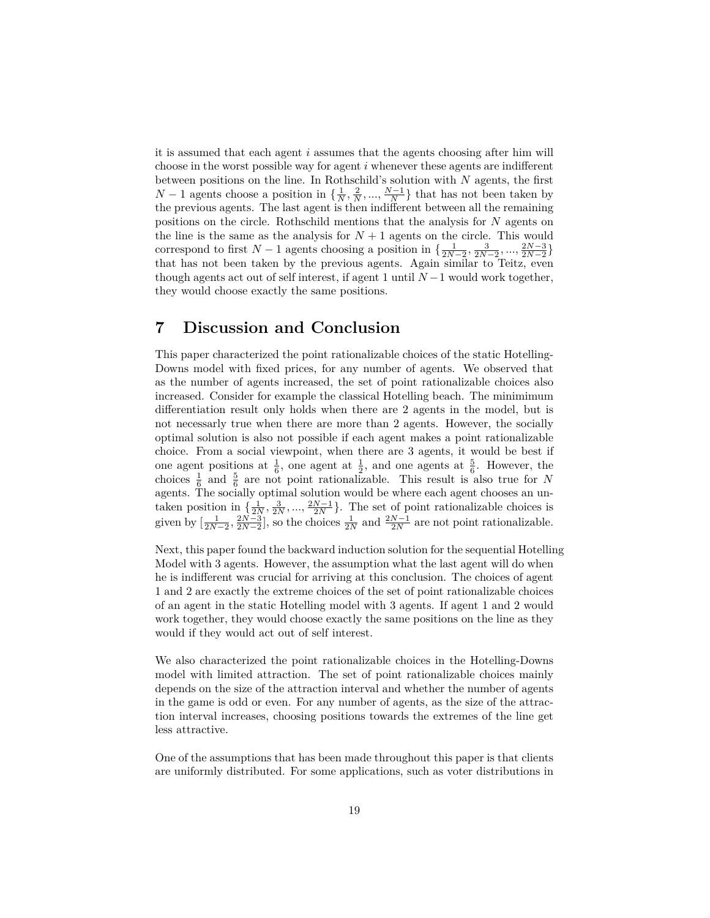it is assumed that each agent *i* assumes that the agents choosing after him will choose in the worst possible way for agent *i* whenever these agents are indifferent between positions on the line. In Rothschild's solution with *N* agents, the first *N* − 1 agents choose a position in  $\{\frac{1}{N}, \frac{2}{N}, ..., \frac{N-1}{N}\}$  that has not been taken by the previous agents. The last agent is then indifferent between all the remaining positions on the circle. Rothschild mentions that the analysis for *N* agents on the line is the same as the analysis for  $N+1$  agents on the circle. This would correspond to first  $N-1$  agents choosing a position in  $\{\frac{1}{2N-2}, \frac{3}{2N-2}, ..., \frac{2N-3}{2N-2}\}$ that has not been taken by the previous agents. Again similar to Teitz, even though agents act out of self interest, if agent 1 until  $N-1$  would work together, they would choose exactly the same positions.

## **7 Discussion and Conclusion**

This paper characterized the point rationalizable choices of the static Hotelling-Downs model with fixed prices, for any number of agents. We observed that as the number of agents increased, the set of point rationalizable choices also increased. Consider for example the classical Hotelling beach. The minimimum differentiation result only holds when there are 2 agents in the model, but is not necessarly true when there are more than 2 agents. However, the socially optimal solution is also not possible if each agent makes a point rationalizable choice. From a social viewpoint, when there are 3 agents, it would be best if one agent positions at  $\frac{1}{6}$ , one agent at  $\frac{1}{2}$ , and one agents at  $\frac{5}{6}$ . However, the choices  $\frac{1}{6}$  and  $\frac{5}{6}$  are not point rationalizable. This result is also true for *N* agents. The socially optimal solution would be where each agent chooses an untaken position in  $\{\frac{1}{2N}, \frac{3}{2N}, ..., \frac{2N-1}{2N}\}$ . The set of point rationalizable choices is given by  $\left[\frac{1}{2N-2}, \frac{2N-3}{2N-2}\right]$ , so the choices  $\frac{1}{2N}$  and  $\frac{2N-1}{2N}$  are not point rationalizable.

Next, this paper found the backward induction solution for the sequential Hotelling Model with 3 agents. However, the assumption what the last agent will do when he is indifferent was crucial for arriving at this conclusion. The choices of agent 1 and 2 are exactly the extreme choices of the set of point rationalizable choices of an agent in the static Hotelling model with 3 agents. If agent 1 and 2 would work together, they would choose exactly the same positions on the line as they would if they would act out of self interest.

We also characterized the point rationalizable choices in the Hotelling-Downs model with limited attraction. The set of point rationalizable choices mainly depends on the size of the attraction interval and whether the number of agents in the game is odd or even. For any number of agents, as the size of the attraction interval increases, choosing positions towards the extremes of the line get less attractive.

One of the assumptions that has been made throughout this paper is that clients are uniformly distributed. For some applications, such as voter distributions in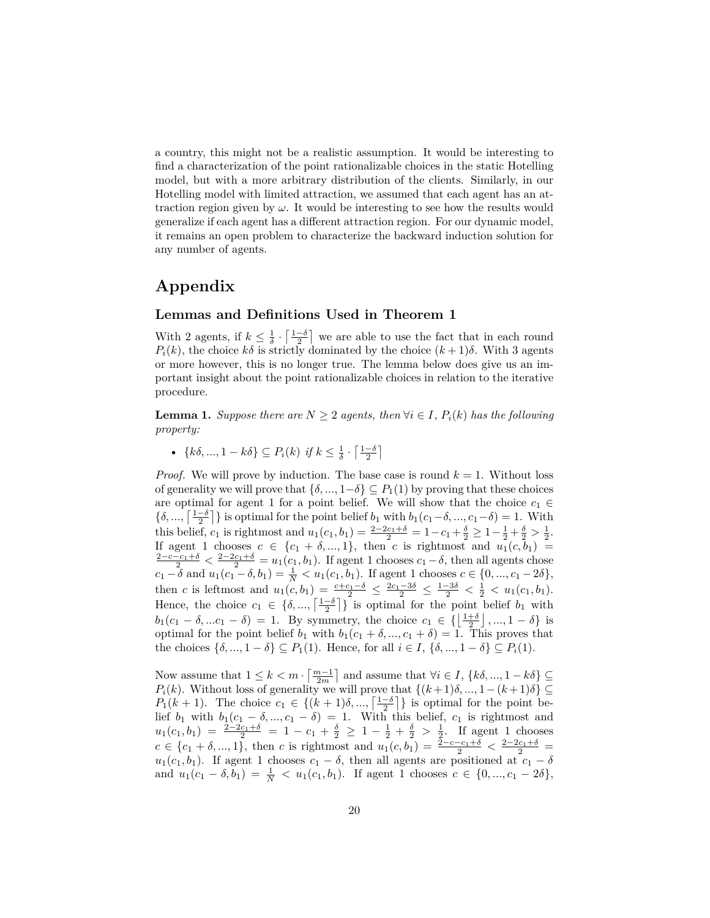a country, this might not be a realistic assumption. It would be interesting to find a characterization of the point rationalizable choices in the static Hotelling model, but with a more arbitrary distribution of the clients. Similarly, in our Hotelling model with limited attraction, we assumed that each agent has an attraction region given by  $\omega$ . It would be interesting to see how the results would generalize if each agent has a different attraction region. For our dynamic model, it remains an open problem to characterize the backward induction solution for any number of agents.

## **Appendix**

#### **Lemmas and Definitions Used in Theorem 1**

With 2 agents, if  $k \leq \frac{1}{\delta} \cdot \left\lceil \frac{1-\delta}{2} \right\rceil$  we are able to use the fact that in each round  $P_i(k)$ , the choice  $k\delta$  is strictly dominated by the choice  $(k+1)\delta$ . With 3 agents or more however, this is no longer true. The lemma below does give us an important insight about the point rationalizable choices in relation to the iterative procedure.

**Lemma 1.** *Suppose there are*  $N \geq 2$  *agents, then*  $\forall i \in I$ ,  $P_i(k)$  *has the following property:*

•  ${k\delta, ..., 1 - k\delta} \subseteq P_i(k)$  *if*  $k \leq \frac{1}{\delta} \cdot \lceil \frac{1-\delta}{2} \rceil$ 

*Proof.* We will prove by induction. The base case is round  $k = 1$ . Without loss of generality we will prove that  $\{\delta, ..., 1-\delta\} \subseteq P_1(1)$  by proving that these choices are optimal for agent 1 for a point belief. We will show that the choice  $c_1 \in$  $\{\delta, ..., \left\lceil \frac{1-\delta}{2} \right\rceil\}$  is optimal for the point belief *b*<sub>1</sub> with  $b_1(c_1-\delta, ..., c_1-\delta) = 1$ . With this belief, *c*<sub>1</sub> is rightmost and  $u_1(c_1, b_1) = \frac{2 - 2c_1 + \delta}{2} = 1 - c_1 + \frac{\delta}{2} \ge 1 - \frac{1}{2} + \frac{\delta}{2} > \frac{1}{2}$ . If agent 1 chooses  $c \in \{c_1 + \delta, ..., 1\}$ , then c is rightmost and  $u_1(c, b_1) = \frac{2-c-c_1+\delta}{2} < \frac{2-2c_1+\delta}{2} = u_1(c_1, b_1)$ . If agent 1 chooses  $c_1 - \delta$ , then all agents chose  $c_1 - \delta$  and  $u_1(c_1 - \delta, b_1) = \frac{1}{N} < u_1(c_1, b_1)$ . If agent 1 chooses  $c \in \{0, ..., c_1 - 2\delta\}$ , then *c* is leftmost and  $u_1(c, b_1) = \frac{c+c_1-\delta}{2} \le \frac{2c_1-3\delta}{2} \le \frac{1-3\delta}{2} < \frac{1}{2} < u_1(c_1, b_1)$ . Hence, the choice  $c_1 \in \{ \delta, ..., \lceil \frac{1-\delta}{2} \rceil \}$  is optimal for the point belief  $b_1$  with  $b_1(c_1 - \delta, ...c_1 - \delta) = 1$ . By symmetry, the choice  $c_1 \in \left\{ \left\lfloor \frac{1+\delta}{2} \right\rfloor, ..., 1-\delta \right\}$  is optimal for the point belief  $b_1$  with  $b_1(c_1 + \delta, ..., c_1 + \delta) = 1$ . This proves that the choices  $\{\delta, ..., 1 - \delta\}$  ⊆ *P*<sub>1</sub>(1). Hence, for all *i* ∈ *I*,  $\{\delta, ..., 1 - \delta\}$  ⊆ *P<sub>i</sub>*(1).

Now assume that  $1 \leq k < m \cdot \left\lceil \frac{m-1}{2m} \right\rceil$  and assume that  $\forall i \in I$ ,  $\{k\delta, ..., 1 - k\delta\} \subseteq$ *P*<sub>*i*</sub>(*k*). Without loss of generality we will prove that  $\{(k+1)\delta, ..., 1-(k+1)\delta\} \subseteq$ *P*<sub>1</sub>(*k* + 1). The choice  $c_1 \in \{(k+1)\delta, ..., \lceil \frac{1-\delta}{2} \rceil\}$  is optimal for the point belief  $b_1$  with  $b_1(c_1 - \delta, ..., c_1 - \delta) = 1$ . With this belief,  $c_1$  is rightmost and  $u_1(c_1, b_1) = \frac{2-2c_1+\delta}{2} = 1 - c_1 + \frac{\delta}{2} \ge 1 - \frac{1}{2} + \frac{\delta}{2} > \frac{1}{2}$ . If agent 1 chooses  $c \in \{c_1 + \delta, ..., 1\}$ , then *c* is rightmost and  $u_1(c, b_1) = \frac{2 - c - c_1 + \delta}{2} < \frac{2 - 2c_1 + \delta}{2}$ *u*<sub>1</sub>(*c*<sub>1</sub>*, b*<sub>1</sub>). If agent 1 chooses  $c_1 - \delta$ , then all agents are positioned at  $c_1 - \delta$ and  $u_1(c_1 - \delta, b_1) = \frac{1}{N} < u_1(c_1, b_1)$ . If agent 1 chooses  $c \in \{0, ..., c_1 - 2\delta\}$ ,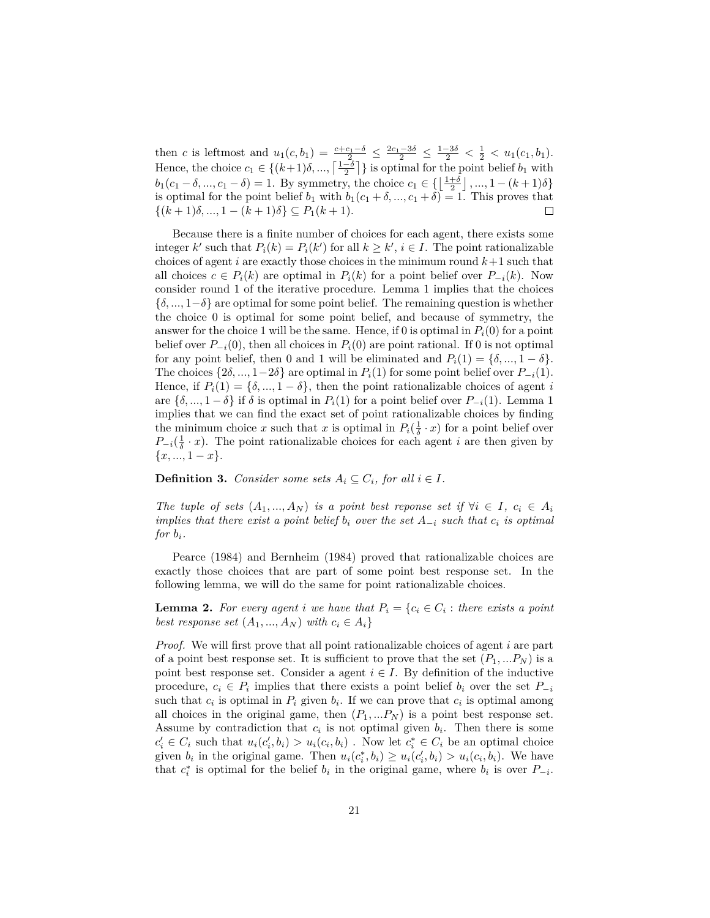then *c* is leftmost and  $u_1(c, b_1) = \frac{c+c_1-\delta}{2} \le \frac{2c_1-3\delta}{2} \le \frac{1-3\delta}{2} < \frac{1}{2} < u_1(c_1, b_1)$ . Hence, the choice  $c_1 \in \{(k+1)\delta, ..., \lceil \frac{1-\delta}{2} \rceil\}$  is optimal for the point belief  $b_1$  with  $b_1(c_1 - \delta, ..., c_1 - \delta) = 1$ . By symmetry, the choice  $c_1 \in \{ \left\lfloor \frac{1+\delta}{2} \right\rfloor, ..., 1-(k+1)\delta \}$ is optimal for the point belief  $b_1$  with  $b_1(c_1 + \delta, ..., c_1 + \delta) = 1$ . This proves that  ${(k+1)\delta, ..., 1 - (k+1)\delta}$  ⊆  $P_1(k+1)$ .

Because there is a finite number of choices for each agent, there exists some integer *k*' such that  $P_i(k) = P_i(k')$  for all  $k \geq k'$ ,  $i \in I$ . The point rationalizable choices of agent  $i$  are exactly those choices in the minimum round  $k+1$  such that all choices  $c \in P_i(k)$  are optimal in  $P_i(k)$  for a point belief over  $P_{-i}(k)$ . Now consider round 1 of the iterative procedure. Lemma 1 implies that the choices {*δ, ...,* 1−*δ*} are optimal for some point belief. The remaining question is whether the choice 0 is optimal for some point belief, and because of symmetry, the answer for the choice 1 will be the same. Hence, if 0 is optimal in  $P_i(0)$  for a point belief over  $P_{-i}(0)$ , then all choices in  $P_i(0)$  are point rational. If 0 is not optimal for any point belief, then 0 and 1 will be eliminated and  $P_i(1) = \{\delta, ..., 1 - \delta\}.$ The choices  $\{2\delta, ..., 1-2\delta\}$  are optimal in  $P_i(1)$  for some point belief over  $P_{-i}(1)$ . Hence, if  $P_i(1) = \{\delta, ..., 1 - \delta\}$ , then the point rationalizable choices of agent *i* are  $\{\delta, ..., 1 - \delta\}$  if  $\delta$  is optimal in  $P_i(1)$  for a point belief over  $P_{-i}(1)$ . Lemma 1 implies that we can find the exact set of point rationalizable choices by finding the minimum choice *x* such that *x* is optimal in  $P_i(\frac{1}{\delta} \cdot x)$  for a point belief over  $P_{-i}(\frac{1}{\delta} \cdot x)$ . The point rationalizable choices for each agent *i* are then given by  $\{x, ..., 1-x\}.$ 

**Definition 3.** *Consider some sets*  $A_i \subseteq C_i$ *, for all*  $i \in I$ *.* 

*The tuple of sets*  $(A_1, ..., A_N)$  *is a point best reponse set if*  $\forall i \in I$ ,  $c_i \in A_i$ *implies that there exist a point belief*  $b_i$  *over the set*  $A_{-i}$  *such that*  $c_i$  *is optimal for*  $b_i$ *.* 

Pearce (1984) and Bernheim (1984) proved that rationalizable choices are exactly those choices that are part of some point best response set. In the following lemma, we will do the same for point rationalizable choices.

**Lemma 2.** For every agent *i* we have that  $P_i = \{c_i \in C_i : \text{there exists a point}\}$ *best response set*  $(A_1, ..., A_N)$  *with*  $c_i \in A_i$ 

*Proof.* We will first prove that all point rationalizable choices of agent *i* are part of a point best response set. It is sufficient to prove that the set  $(P_1, \ldots, P_N)$  is a point best response set. Consider a agent  $i \in I$ . By definition of the inductive procedure,  $c_i \in P_i$  implies that there exists a point belief  $b_i$  over the set  $P_{-i}$ such that  $c_i$  is optimal in  $P_i$  given  $b_i$ . If we can prove that  $c_i$  is optimal among all choices in the original game, then  $(P_1, \ldots, P_N)$  is a point best response set. Assume by contradiction that  $c_i$  is not optimal given  $b_i$ . Then there is some  $c'_i \in C_i$  such that  $u_i(c'_i, b_i) > u_i(c_i, b_i)$ . Now let  $c_i^* \in C_i$  be an optimal choice given  $b_i$  in the original game. Then  $u_i(c_i^*, b_i) \ge u_i(c_i', b_i) > u_i(c_i, b_i)$ . We have that  $c_i^*$  is optimal for the belief  $b_i$  in the original game, where  $b_i$  is over  $P_{-i}$ .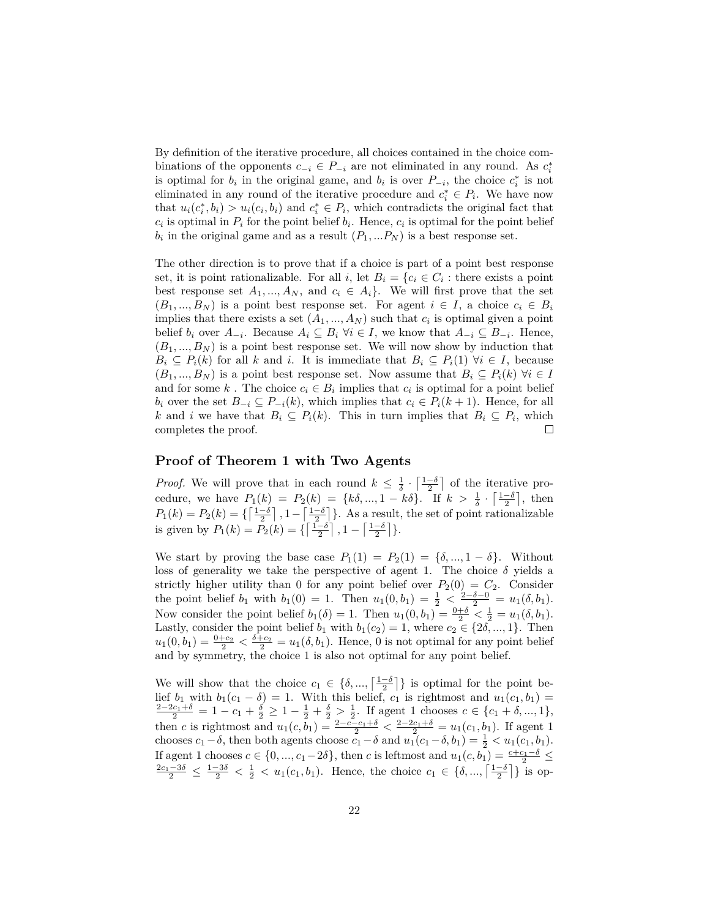By definition of the iterative procedure, all choices contained in the choice combinations of the opponents  $c_{-i} \in P_{-i}$  are not eliminated in any round. As  $c_i^*$ is optimal for  $b_i$  in the original game, and  $b_i$  is over  $P_{-i}$ , the choice  $c_i^*$  is not eliminated in any round of the iterative procedure and  $c_i^* \in P_i$ . We have now that  $u_i(c_i^*, b_i) > u_i(c_i, b_i)$  and  $c_i^* \in P_i$ , which contradicts the original fact that  $c_i$  is optimal in  $P_i$  for the point belief  $b_i$ . Hence,  $c_i$  is optimal for the point belief  $b_i$  in the original game and as a result  $(P_1, \ldots P_N)$  is a best response set.

The other direction is to prove that if a choice is part of a point best response set, it is point rationalizable. For all *i*, let  $B_i = \{c_i \in C_i : \text{there exists a point} \}$ best response set  $A_1, ..., A_N$ , and  $c_i \in A_i$ . We will first prove that the set  $(B_1, ..., B_N)$  is a point best response set. For agent  $i \in I$ , a choice  $c_i \in B_i$ implies that there exists a set  $(A_1, ..., A_N)$  such that  $c_i$  is optimal given a point belief  $b_i$  over  $A_{-i}$ . Because  $A_i \subseteq B_i \ \forall i \in I$ , we know that  $A_{-i} \subseteq B_{-i}$ . Hence,  $(B_1, \ldots, B_N)$  is a point best response set. We will now show by induction that  $B_i \subseteq P_i(k)$  for all *k* and *i*. It is immediate that  $B_i \subseteq P_i(1)$   $\forall i \in I$ , because  $(B_1, ..., B_N)$  is a point best response set. Now assume that  $B_i \subseteq P_i(k)$   $\forall i \in I$ and for some  $k$ . The choice  $c_i \in B_i$  implies that  $c_i$  is optimal for a point belief *b*<sup>*i*</sup> over the set *B*<sub>−*i*</sub> ⊆ *P*<sub>−*i*</sub>(*k*), which implies that *c<sub>i</sub>* ∈ *P*<sub>*i*</sub>(*k* + 1). Hence, for all *k* and *i* we have that  $B_i \subseteq P_i(k)$ . This in turn implies that  $B_i \subseteq P_i$ , which completes the proof.  $\mathbb{R}^n$ 

### **Proof of Theorem 1 with Two Agents**

*Proof.* We will prove that in each round  $k \leq \frac{1}{\delta} \cdot \left\lceil \frac{1-\delta}{2} \right\rceil$  of the iterative procedure, we have  $P_1(k) = P_2(k) = \{k\delta, ..., 1 - k\delta\}$ . If  $k > \frac{1}{\delta} \cdot \lceil \frac{1-\delta}{2} \rceil$ , then  $P_1(k) = P_2(k) = \left\{ \left\lceil \frac{1-\delta}{2} \right\rceil, 1-\left\lceil \frac{1-\delta}{2} \right\rceil \right\}$ . As a result, the set of point rationalizable is given by  $P_1(k) = P_2(k) = \left\{ \left\lceil \frac{1-\delta}{2} \right\rceil, 1 - \left\lceil \frac{1-\delta}{2} \right\rceil \right\}.$ 

We start by proving the base case  $P_1(1) = P_2(1) = \{\delta, ..., 1 - \delta\}$ . Without loss of generality we take the perspective of agent 1. The choice  $\delta$  yields a strictly higher utility than 0 for any point belief over  $P_2(0) = C_2$ . Consider the point belief *b*<sub>1</sub> with *b*<sub>1</sub>(0) = 1. Then  $u_1(0, b_1) = \frac{1}{2} < \frac{2-\delta-0}{2} = u_1(\delta, b_1)$ . Now consider the point belief  $b_1(\delta) = 1$ . Then  $u_1(0, b_1) = \frac{0+\delta}{2} < \frac{1}{2} = u_1(\delta, b_1)$ . Lastly, consider the point belief *b*<sub>1</sub> with  $b_1(c_2) = 1$ , where  $c_2 \in \{2\delta, ..., 1\}$ . Then  $u_1(0, b_1) = \frac{0+c_2}{2} < \frac{\delta+c_2}{2} = u_1(\delta, b_1)$ . Hence, 0 is not optimal for any point belief and by symmetry, the choice 1 is also not optimal for any point belief.

We will show that the choice  $c_1 \in \{ \delta, ..., \left\lfloor \frac{1-\delta}{2} \right\rfloor \}$  is optimal for the point belief  $b_1$  with  $b_1(c_1 - \delta) = 1$ . With this belief,  $c_1$  is rightmost and  $u_1(c_1, b_1) = \frac{2-2c_1+\delta}{2} = 1 - c_1 + \frac{\delta}{2} \ge 1 - \frac{1}{2} + \frac{\delta}{2} > \frac{1}{2}$ . If agent 1 chooses  $c \in \{c_1 + \delta, ..., 1\}$ , then *c* is rightmost and  $u_1(c, b_1) = \frac{2-c-c_1+\delta}{2} < \frac{2-2c_1+\delta}{2} = u_1(c_1, b_1)$ . If agent 1 chooses  $c_1 - \delta$ , then both agents choose  $c_1 - \delta$  and  $u_1(c_1 - \delta, b_1) = \frac{1}{2} < u_1(c_1, b_1)$ . If agent 1 chooses  $c \in \{0, ..., c_1-2\delta\}$ , then *c* is leftmost and  $u_1(c, b_1) = \frac{c+c_1-\delta}{2} \le$  $\frac{2c_1-3\delta}{2}$  ≤  $\frac{1-3\delta}{2}$  <  $\frac{1}{2}$  <  $u_1(c_1, b_1)$ . Hence, the choice  $c_1 \in \{\delta, ..., \lceil \frac{1-\delta}{2} \rceil\}$  is op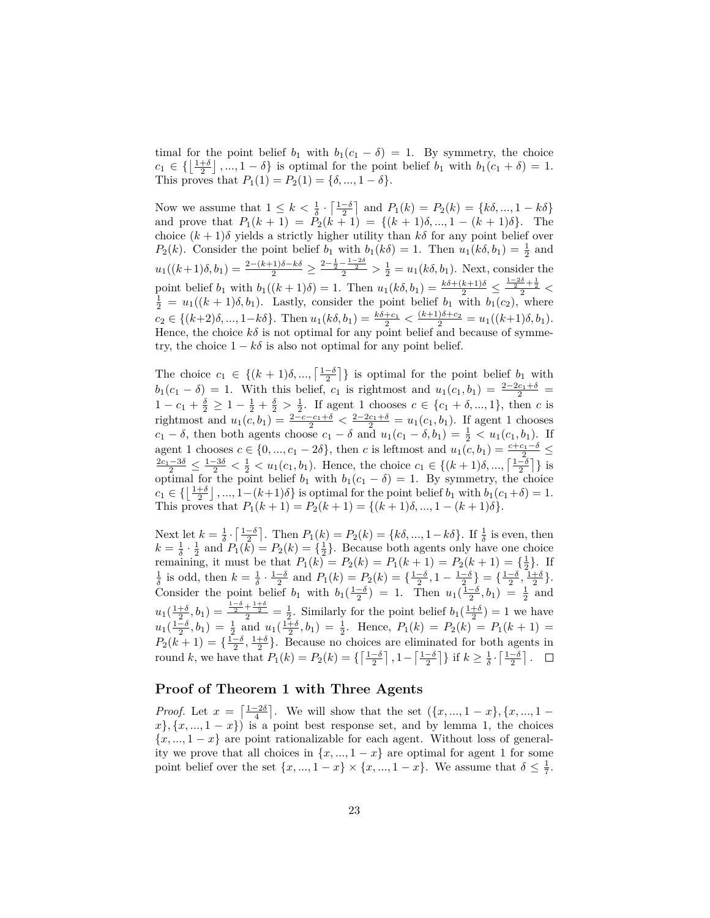timal for the point belief  $b_1$  with  $b_1(c_1 - \delta) = 1$ . By symmetry, the choice  $c_1 \in \left\{ \left[ \frac{1+\delta}{2} \right], ..., 1-\delta \right\}$  is optimal for the point belief  $b_1$  with  $b_1(c_1 + \delta) = 1$ . This proves that  $P_1(1) = P_2(1) = \{\delta, ..., 1 - \delta\}.$ 

Now we assume that  $1 \leq k < \frac{1}{\delta} \cdot \left[ \frac{1-\delta}{2} \right]$  and  $P_1(k) = P_2(k) = \{k\delta, ..., 1 - k\delta\}$ and prove that  $P_1(k + 1) = P_2(k + 1) = \{(k + 1)\delta, ..., 1 - (k + 1)\delta\}$ . The choice  $(k+1)\delta$  yields a strictly higher utility than  $k\delta$  for any point belief over *P*<sub>2</sub>(*k*). Consider the point belief *b*<sub>1</sub> with  $b_1(k\delta) = 1$ . Then  $u_1(k\delta, b_1) = \frac{1}{2}$  and  $u_1((k+1)\delta, b_1) = \frac{2-(k+1)\delta - k\delta}{2} \ge \frac{2-\frac{1}{2}-\frac{1-2\delta}{2}}{2} > \frac{1}{2} = u_1(k\delta, b_1)$ . Next, consider the point belief  $b_1$  with  $b_1((k+1)\delta) = 1$ . Then  $u_1(k\delta, b_1) = \frac{k\delta + (k+1)\delta}{2} \le \frac{\frac{1-2\delta}{2} + \frac{1}{2}}{2} < \frac{1}{2} = u_1((k+1)\delta, b_1)$ . Lastly, consider the point belief  $b_1$  with  $b_1(c_2)$ , where  $c_2 \in \{(k+2)\delta, ..., 1-k\delta\}$ . Then  $u_1(k\delta, b_1) = \frac{k\delta + c_1}{2} < \frac{(k+1)\delta + c_2}{2} = u_1((k+1)\delta, b_1)$ . Hence, the choice  $k\delta$  is not optimal for any point belief and because of symmetry, the choice  $1 - k\delta$  is also not optimal for any point belief.

The choice  $c_1 \in \{(k+1)\delta, ..., \lceil \frac{1-\delta}{2} \rceil\}$  is optimal for the point belief  $b_1$  with  $b_1(c_1 - \delta) = 1$ . With this belief,  $c_1$  is rightmost and  $u_1(c_1, b_1) = \frac{2 - 2c_1 + \delta}{2}$  $1 - c_1 + \frac{\delta}{2} \geq 1 - \frac{1}{2} + \frac{\delta}{2} > \frac{1}{2}$ . If agent 1 chooses  $c \in \{c_1 + \delta, ..., 1\}$ , then *c* is rightmost and  $u_1(c, b_1) = \frac{2 - c - c_1 + \delta}{2} < \frac{2 - 2c_1 + \delta}{2} = u_1(c_1, b_1)$ . If agent 1 chooses  $c_1 - \delta$ , then both agents choose  $c_1 - \delta$  and  $u_1(c_1 - \delta, b_1) = \frac{1}{2} < u_1(c_1, b_1)$ . If agent 1 chooses  $c \in \{0, ..., c_1 - 2\delta\}$ , then *c* is leftmost and  $u_1(c, b_1) = \frac{c+c_1-\delta}{2}$  $\frac{2c_1-3\delta}{2}$  ≤  $\frac{1-3\delta}{2}$  <  $\frac{1}{2}$  < *u*<sub>1</sub>(*c*<sub>1</sub>*, b*<sub>1</sub>). Hence, the choice *c*<sub>1</sub> ∈ {(*k* + 1)*δ*, ...,  $\left[\frac{1-\delta}{2}\right]$ } is optimal for the point belief  $b_1$  with  $b_1(c_1 - \delta) = 1$ . By symmetry, the choice  $c_1 \in \left\{ \left\lfloor \frac{1+\delta}{2} \right\rfloor, ..., 1-(k+1)\delta \right\}$  is optimal for the point belief  $b_1$  with  $b_1(c_1+\delta) = 1$ . This proves that  $P_1(k+1) = P_2(k+1) = \{(k+1)\delta, ..., 1 - (k+1)\delta\}.$ 

Next let  $k = \frac{1}{\delta} \cdot \left[\frac{1-\delta}{2}\right]$ . Then  $P_1(k) = P_2(k) = \{k\delta, ..., 1-k\delta\}$ . If  $\frac{1}{\delta}$  is even, then  $k = \frac{1}{\delta} \cdot \frac{1}{2}$  and  $P_1(\tilde{k}) = P_2(k) = \{\frac{1}{2}\}\.$  Because both agents only have one choice remaining, it must be that  $P_1(k) = P_2(k) = P_1(k+1) = P_2(k+1) = \{\frac{1}{2}\}.$  If  $\frac{1}{\delta}$  is odd, then  $k = \frac{1}{\delta} \cdot \frac{1-\delta}{2}$  and  $P_1(k) = P_2(k) = \left\{ \frac{1-\delta}{2}, 1 - \frac{1-\delta}{2} \right\} = \left\{ \frac{1-\delta}{2}, \frac{1+\delta}{2} \right\}.$ Consider the point belief  $b_1$  with  $b_1(\frac{1-\delta}{2}) = 1$ . Then  $u_1(\frac{1-\delta}{2}, b_1) = \frac{1}{2}$  and  $u_1(\frac{1+\delta}{2},b_1) = \frac{\frac{1-\delta}{2} + \frac{1+\delta}{2}}{2} = \frac{1}{2}$ . Similarly for the point belief  $b_1(\frac{1+\delta}{2}) = 1$  we have  $u_1(\frac{1-\delta}{2}, b_1) = \frac{1}{2}$  and  $u_1(\frac{1+\delta}{2}, b_1) = \frac{1}{2}$ . Hence,  $P_1(k) = P_2(k) = P_1(k+1) =$  $P_2(k+1) = {\frac{1-\delta}{2}, \frac{1+\delta}{2}}$ . Because no choices are eliminated for both agents in round *k*, we have that  $P_1(k) = P_2(k) = \left\{ \left\lceil \frac{1-\delta}{2} \right\rceil, 1 - \left\lceil \frac{1-\delta}{2} \right\rceil \right\}$  if  $k \ge \frac{1}{\delta} \cdot \left\lceil \frac{1-\delta}{2} \right\rceil$ .

### **Proof of Theorem 1 with Three Agents**

*Proof.* Let  $x = \left[\frac{1-2\delta}{4}\right]$ . We will show that the set  $(\{x, ..., 1-x\}, \{x, ..., 1-x\})$  $x$ <sup>}</sup>, { $x$ , ..., 1 –  $x$ }) is a point best response set, and by lemma 1, the choices  ${x, ..., 1-x}$  are point rationalizable for each agent. Without loss of generality we prove that all choices in  $\{x, ..., 1 - x\}$  are optimal for agent 1 for some point belief over the set  $\{x, ..., 1 - x\} \times \{x, ..., 1 - x\}$ . We assume that  $\delta \leq \frac{1}{7}$ .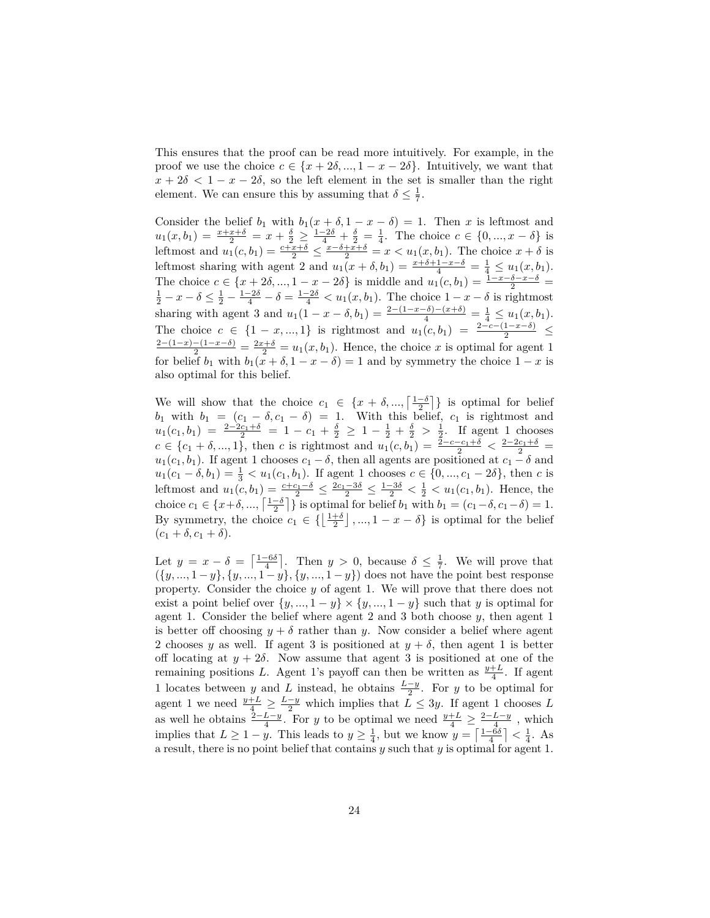This ensures that the proof can be read more intuitively. For example, in the proof we use the choice  $c \in \{x + 2\delta, ..., 1 - x - 2\delta\}$ . Intuitively, we want that  $x + 2\delta < 1 - x - 2\delta$ , so the left element in the set is smaller than the right element. We can ensure this by assuming that  $\delta \leq \frac{1}{7}$ .

Consider the belief  $b_1$  with  $b_1(x + \delta, 1 - x - \delta) = 1$ . Then *x* is leftmost and  $u_1(x, b_1) = \frac{x + x + \delta}{2} = x + \frac{\delta}{2} \ge \frac{1 - 2\delta}{4} + \frac{\delta}{2} = \frac{1}{4}$ . The choice  $c \in \{0, ..., x - \delta\}$  is leftmost and  $u_1(c, b_1) = \frac{c+x+\delta}{2} \le \frac{x-\delta+x+\delta}{2} = x < u_1(x, b_1)$ . The choice  $x + \delta$  is leftmost sharing with agent 2 and  $u_1(x + \delta, b_1) = \frac{x + \delta + 1 - x - \delta}{4} = \frac{1}{4} \le u_1(x, b_1)$ . The choice  $c \in \{x + 2\delta, ..., 1 - x - 2\delta\}$  is middle and  $u_1(c, b_1) = \frac{1 - x - \delta - x - \delta}{2} = \frac{1}{2} - x - \delta \le \frac{1}{2} - \frac{1 - 2\delta}{4} - \delta = \frac{1 - 2\delta}{4} < u_1(x, b_1)$ . The choice  $1 - x - \delta$  is rightmost sharing with agent 3 and  $u_1(1 - x - \delta, b_1) = \frac{2 - (1 - x - \delta) - (x + \delta)}{4} = \frac{1}{4} \le u_1(x, b_1)$ . The choice  $c \in \{1 - x, ..., 1\}$  is rightmost and  $u_1(c, b_1) = \frac{2 - c - (1 - x - \delta)}{2}$  ≤  $\frac{2-(1-x)-(1-x-\delta)}{2} = \frac{2x+\delta}{2} = u_1(x, b_1)$ . Hence, the choice *x* is optimal for agent 1 for belief  $b_1$  with  $b_1(x + \delta, 1 - x - \delta) = 1$  and by symmetry the choice  $1 - x$  is also optimal for this belief.

We will show that the choice  $c_1 \in \{x + \delta, ..., \lfloor \frac{1-\delta}{2} \rfloor\}$  is optimal for belief *b*<sub>1</sub> with  $b_1 = (c_1 - \delta, c_1 - \delta) = 1$ . With this belief,  $c_1$  is rightmost and  $u_1(c_1, b_1) = \frac{2-2c_1+\delta}{2} = 1 - c_1 + \frac{\delta}{2} \ge 1 - \frac{1}{2} + \frac{\delta}{2} > \frac{1}{2}$ . If agent 1 chooses  $c \in \{c_1 + \delta, ..., 1\}$ , then *c* is rightmost and  $u_1(c, b_1) = \frac{2 - c - c_1 + \delta}{2} < \frac{2 - 2c_1 + \delta}{2}$  $u_1(c_1, b_1)$ . If agent 1 chooses  $c_1 - \delta$ , then all agents are positioned at  $c_1 - \delta$  and  $u_1(c_1 - \delta, b_1) = \frac{1}{3} < u_1(c_1, b_1)$ . If agent 1 chooses  $c \in \{0, ..., c_1 - 2\delta\}$ , then *c* is leftmost and  $u_1(c, b_1) = \frac{c+c_1-\delta}{2} \le \frac{2c_1-3\delta}{2} \le \frac{1-3\delta}{2} < \frac{1}{2} < u_1(c_1, b_1)$ . Hence, the choice  $c_1 \in \{x + \delta, ..., \lfloor \frac{1-\delta}{2} \rfloor\}$  is optimal for belief  $b_1$  with  $b_1 = (c_1 - \delta, c_1 - \delta) = 1$ . By symmetry, the choice  $c_1 \in \{\left[\frac{1+\delta}{2}\right], ..., 1-x-\delta\}$  is optimal for the belief  $(c_1 + \delta, c_1 + \delta).$ 

Let  $y = x - \delta = \left[\frac{1-6\delta}{4}\right]$ . Then  $y > 0$ , because  $\delta \leq \frac{1}{7}$ . We will prove that  $({y, ..., 1-y}, {y, ..., 1-y}, {y, ..., 1-y})$  does not have the point best response property. Consider the choice *y* of agent 1. We will prove that there does not exist a point belief over  $\{y, ..., 1 - y\} \times \{y, ..., 1 - y\}$  such that *y* is optimal for agent 1. Consider the belief where agent 2 and 3 both choose *y*, then agent 1 is better off choosing  $y + \delta$  rather than *y*. Now consider a belief where agent 2 chooses *y* as well. If agent 3 is positioned at  $y + \delta$ , then agent 1 is better off locating at  $y + 2\delta$ . Now assume that agent 3 is positioned at one of the remaining positions *L*. Agent 1's payoff can then be written as  $\frac{y+L}{4}$ . If agent 1 locates between *y* and *L* instead, he obtains  $\frac{L-y}{2}$ . For *y* to be optimal for agent 1 we need  $\frac{y+L}{4} \geq \frac{L-y}{2}$  which implies that  $L \leq 3y$ . If agent 1 chooses *L* as well he obtains  $\frac{2-L-y}{4}$ . For *y* to be optimal we need  $\frac{y+L}{4} \geq \frac{2-L-y}{4}$ , which implies that  $L \geq 1 - y$ . This leads to  $y \geq \frac{1}{4}$ , but we know  $y = \left\lceil \frac{1-6\delta}{4} \right\rceil < \frac{1}{4}$ . As a result, there is no point belief that contains *y* such that *y* is optimal for agent 1.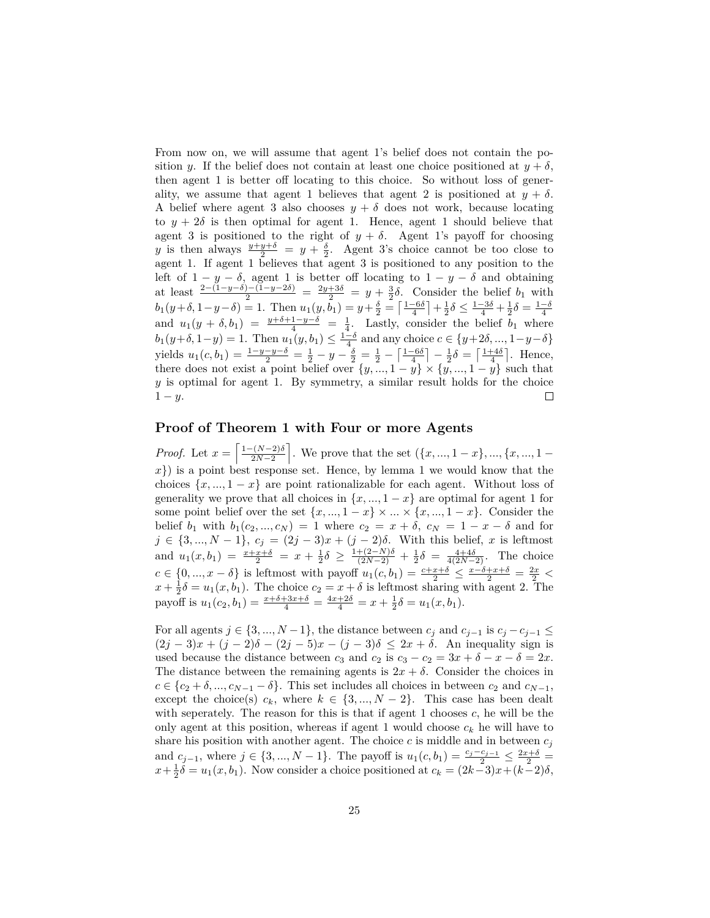From now on, we will assume that agent 1's belief does not contain the position *y*. If the belief does not contain at least one choice positioned at  $y + \delta$ , then agent 1 is better off locating to this choice. So without loss of generality, we assume that agent 1 believes that agent 2 is positioned at  $y + \delta$ . A belief where agent 3 also chooses  $y + \delta$  does not work, because locating to  $y + 2\delta$  is then optimal for agent 1. Hence, agent 1 should believe that agent 3 is positioned to the right of  $y + \delta$ . Agent 1's payoff for choosing *y* is then always  $\frac{y+y+\delta}{2} = y + \frac{\delta}{2}$ . Agent 3's choice cannot be too close to agent 1. If agent 1 believes that agent 3 is positioned to any position to the left of  $1 - y - \delta$ , agent 1 is better off locating to  $1 - y - \delta$  and obtaining at least  $\frac{2-(1-y-\delta)-(1-y-2\delta)}{2} = \frac{2y+3\delta}{2} = y + \frac{3}{2}\delta$ . Consider the belief *b*<sub>1</sub> with  $b_1(y+\delta, 1-y-\delta) = 1$ . Then  $u_1(y, b_1) = y + \frac{\delta}{2} = \left\lceil \frac{1-6\delta}{4} \right\rceil + \frac{1}{2}\delta \le \frac{1-3\delta}{4} + \frac{1}{2}\delta = \frac{1-\delta}{4}$ <br>and  $u_1(y+\delta, b_1) = \frac{y+\delta+1-y-\delta}{4} = \frac{1}{4}$ . Lastly, consider the belief  $b_1$  where  $b_1(y+\delta, 1-y) = 1$ . Then  $u_1(y, b_1) \leq \frac{1-\delta}{4}$  and any choice  $c \in \{y+2\delta, ..., 1-y-\delta\}$ yields  $u_1(c, b_1) = \frac{1-y-y-\delta}{2} = \frac{1}{2} - y - \frac{\delta}{2} = \frac{1}{2} - \left[\frac{1-6\delta}{4}\right] - \frac{1}{2}\delta = \left[\frac{1+4\delta}{4}\right]$ . Hence, there does not exist a point belief over  $\{y, ..., 1 - y\} \times \{y, ..., 1 - y\}$  such that *y* is optimal for agent 1. By symmetry, a similar result holds for the choice  $1 - y$ .  $\Box$ 

### **Proof of Theorem 1 with Four or more Agents**

*Proof.* Let  $x = \left[\frac{1-(N-2)\delta}{2N-2}\right]$  $\frac{-(N-2)\delta}{2N-2}$ . We prove that the set  $({x, ..., 1-x}, ..., {x, ..., 1-x})$ . *x*}) is a point best response set. Hence, by lemma 1 we would know that the choices  $\{x, ..., 1 - x\}$  are point rationalizable for each agent. Without loss of generality we prove that all choices in  $\{x, ..., 1 - x\}$  are optimal for agent 1 for some point belief over the set  $\{x, ..., 1 - x\} \times ... \times \{x, ..., 1 - x\}$ . Consider the belief *b*<sub>1</sub> with  $b_1(c_2, ..., c_N) = 1$  where  $c_2 = x + \delta$ ,  $c_N = 1 - x - \delta$  and for *j* ∈ {3, ..., *N* − 1}, *c<sub>j</sub>* = (2*j* − 3)*x* + (*j* − 2)*δ*. With this belief, *x* is leftmost and  $u_1(x, b_1) = \frac{x + x + \delta}{2} = x + \frac{1}{2}\delta \ge \frac{1 + (2 - N)\delta}{(2N - 2)} + \frac{1}{2}\delta = \frac{4 + 4\delta}{4(2N - 2)}$ . The choice  $c \in \{0, ..., x - \delta\}$  is leftmost with payoff  $u_1(c, b_1) = \frac{c+x+\delta}{2} \le \frac{x-\delta+x+\delta}{2} = \frac{2x}{2}$  $x + \frac{1}{2}\delta = u_1(x, b_1)$ . The choice  $c_2 = x + \delta$  is leftmost sharing with agent 2. The payoff is  $u_1(c_2, b_1) = \frac{x + \delta + 3x + \delta}{4} = \frac{4x + 2\delta}{4} = x + \frac{1}{2}\delta = u_1(x, b_1).$ 

For all agents *j* ∈ {3, ..., *N* − 1}, the distance between  $c_j$  and  $c_{j-1}$  is  $c_j - c_{j-1}$  ≤  $(2j - 3)x + (j - 2)\delta - (2j - 5)x - (j - 3)\delta$  ≤ 2*x* +  $\delta$ . An inequality sign is used because the distance between  $c_3$  and  $c_2$  is  $c_3 - c_2 = 3x + \delta - x - \delta = 2x$ . The distance between the remaining agents is  $2x + \delta$ . Consider the choices in  $c \in \{c_2 + \delta, ..., c_{N-1} - \delta\}$ . This set includes all choices in between  $c_2$  and  $c_{N-1}$ , except the choice(s)  $c_k$ , where  $k \in \{3, ..., N-2\}$ . This case has been dealt with seperately. The reason for this is that if agent 1 chooses *c*, he will be the only agent at this position, whereas if agent 1 would choose  $c_k$  he will have to share his position with another agent. The choice  $c$  is middle and in between  $c_j$ and  $c_{j-1}$ , where  $j \in \{3, ..., N-1\}$ . The payoff is  $u_1(c, b_1) = \frac{c_j - c_{j-1}}{2} \le \frac{2x + \delta}{2} =$  $x + \frac{1}{2}\delta = u_1(x, b_1)$ . Now consider a choice positioned at  $c_k = (2k-3)x + (k-2)\delta$ ,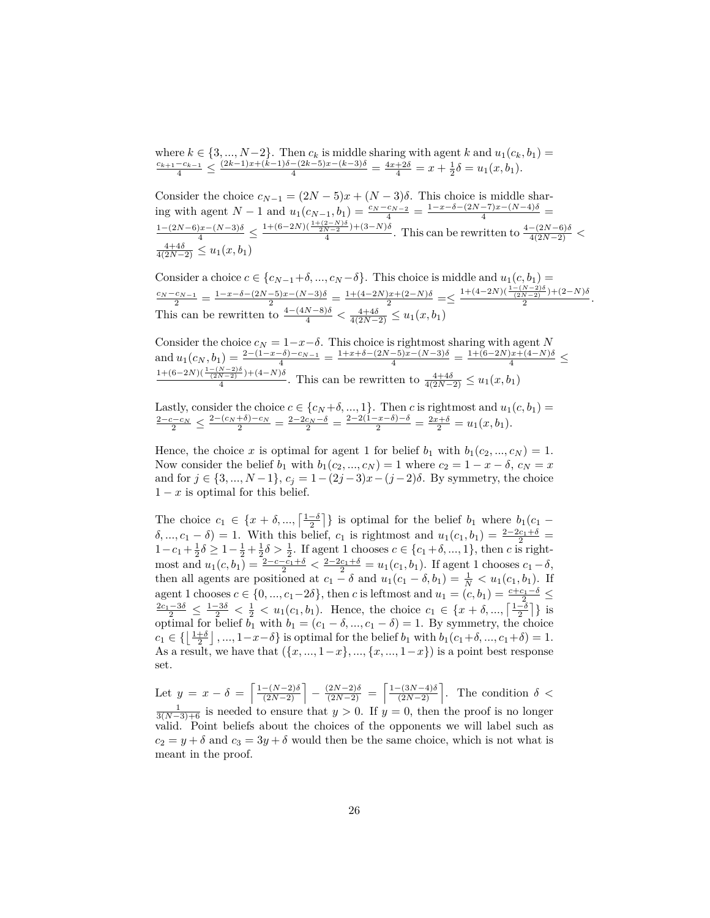where  $k \in \{3, ..., N-2\}$ . Then  $c_k$  is middle sharing with agent k and  $u_1(c_k, b_1) = \frac{c_{k+1} - c_{k-1}}{4} \le \frac{(2k-1)x + (k-1)\delta - (2k-5)x - (k-3)\delta}{4} = \frac{4x+2\delta}{4} = x + \frac{1}{2}\delta = u_1(x, b_1)$ .

Consider the choice  $c_{N-1} = (2N-5)x + (N-3)\delta$ . This choice is middle sharing with agent  $N-1$  and  $u_1(c_{N-1}, b_1) = \frac{c_N - c_{N-2}}{4} = \frac{1-x-\delta - (2N-7)x - (N-4)\delta}{4}$  $\frac{1-(2N-6)x-(N-3)\delta}{4}$   $\leq \frac{1+(6-2N)(\frac{1+(2-N)\delta}{2N-2})+(3-N)\delta}{4}$  $\frac{1-(2N-6)x-(N-3)\delta}{4}$   $\leq \frac{\frac{1+(6-2N)(\frac{N}{2N-2})+(3-N)\delta}{4}}{4}$ . This can be rewritten to  $\frac{4-(2N-6)\delta}{4(2N-2)}$   $\leq u_1(x, b_1)$ 

Consider a choice  $c \in \{c_{N-1}+ \delta, ..., c_N - \delta\}$ . This choice is middle and  $u_1(c, b_1)$  $\frac{c_N - c_{N-1}}{2} = \frac{1 - x - \delta - (2N - 5)x - (N-3)\delta}{2} = \frac{1 + (4 - 2N)x + (2 - N)\delta}{2} = \leq \frac{1 + (4 - 2N)(\frac{1 - (N-2)\delta}{(2N-2)}) + (2 - N)\delta}{2}$  $\frac{N-2}{2}$ . This can be rewritten to  $\frac{4-(4N-8)\delta}{4} < \frac{4+4\delta}{4(2N-2)} \leq u_1(x, b_1)$ 

Consider the choice  $c_N = 1-x-\delta$ . This choice is rightmost sharing with agent *N* and  $u_1(c_N, b_1) = \frac{2 - (1 - x - \delta) - c_{N-1}}{4} = \frac{1 + x + \delta - (2N - \delta)x - (N-3)\delta}{4} = \frac{1 + (6 - 2N)x + (4 - N)\delta}{4} \le$  $1+(6-2N)(\frac{1-(N-2)\delta}{(2N-2)})+(4-N)\delta$  $\frac{4+4\delta}{4}$  +  $\frac{4}{4(2N-2)} \leq u_1(x, b_1)$ . This can be rewritten to  $\frac{4+4\delta}{4(2N-2)} \leq u_1(x, b_1)$ 

Lastly, consider the choice  $c \in \{c_N + \delta, ..., 1\}$ . Then *c* is rightmost and  $u_1(c, b_1) =$  $\frac{2-c-c_N}{2} \le \frac{2-(c_N+\delta)-c_N}{2} = \frac{2-2c_N-\delta}{2} = \frac{2-2(1-x-\delta)-\delta}{2} = \frac{2x+\delta}{2} = u_1(x, b_1).$ 

Hence, the choice *x* is optimal for agent 1 for belief  $b_1$  with  $b_1(c_2, ..., c_N) = 1$ . Now consider the belief  $b_1$  with  $b_1(c_2, ..., c_N) = 1$  where  $c_2 = 1 - x - \delta$ ,  $c_N = x$ and for  $j \in \{3, ..., N-1\}$ ,  $c_j = 1 - (2j-3)x - (j-2)\delta$ . By symmetry, the choice  $1 - x$  is optimal for this belief.

The choice  $c_1 \in \{x + \delta, ..., \lfloor \frac{1-\delta}{2} \rfloor\}$  is optimal for the belief  $b_1$  where  $b_1(c_1$ *δ*, ..., *c*<sub>1</sub> − *δ*) = 1. With this belief, *c*<sub>1</sub> is rightmost and  $u_1(c_1, b_1) = \frac{2 - 2c_1 + \delta}{2}$  $1-c_1+\frac{1}{2}\delta \geq 1-\frac{1}{2}+\frac{1}{2}\delta > \frac{1}{2}$ . If agent 1 chooses *c* ∈ {*c*<sub>1</sub> +  $\delta$ , ..., 1}, then *c* is rightmost and  $u_1(c, b_1) = \frac{2 - c - c_1 + \delta}{2} < \frac{2 - 2c_1 + \delta}{2} = u_1(c_1, b_1)$ . If agent 1 chooses  $c_1 - \delta$ , then all agents are positioned at  $c_1 - \delta$  and  $u_1(c_1 - \delta, b_1) = \frac{1}{N} < u_1(c_1, b_1)$ . If agent 1 chooses  $c \in \{0, ..., c_1-2\delta\}$ , then *c* is leftmost and  $u_1 = (c, b_1) = \frac{c+c_1-\delta}{2}$  $\frac{2c_1-3\delta}{2}$  ≤  $\frac{1-3\delta}{2}$  <  $\frac{1}{2}$  < *u*<sub>1</sub>(*c*<sub>1</sub>*, b*<sub>1</sub>). Hence, the choice *c*<sub>1</sub> ∈ {*x* + *δ, ...,*  $\left[\frac{1-\delta}{2}\right]$ } is optimal for belief  $b_1$  with  $b_1 = (c_1 - \delta, ..., c_1 - \delta) = 1$ . By symmetry, the choice  $c_1 \in \left\{ \left[ \frac{1+\delta}{2} \right], ..., 1-x-\delta \right\}$  is optimal for the belief  $b_1$  with  $b_1(c_1+\delta, ..., c_1+\delta) = 1$ . As a result, we have that  $({x, ..., 1-x}, ..., {x, ..., 1-x})$  is a point best response set.

Let  $y = x - \delta = \left[\frac{1-(N-2)\delta}{(2N-2)}\right] - \frac{(2N-2)\delta}{(2N-2)} = \left[\frac{1-(3N-4)\delta}{(2N-2)}\right]$ . The condition  $\delta$  <  $\frac{1}{3(N-3)+6}$  is needed to ensure that  $y > 0$ . If  $y = 0$ , then the proof is no longer valid. Point beliefs about the choices of the opponents we will label such as  $c_2 = y + \delta$  and  $c_3 = 3y + \delta$  would then be the same choice, which is not what is meant in the proof.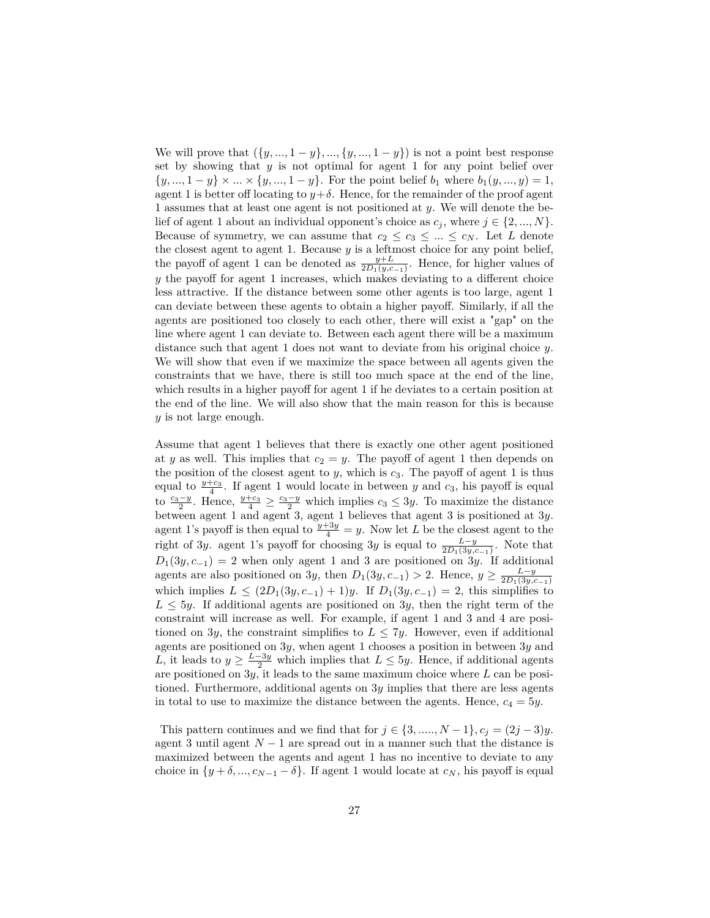We will prove that  $({y, ..., 1 - y}, ..., {y, ..., 1 - y})$  is not a point best response set by showing that *y* is not optimal for agent 1 for any point belief over  $\{y, ..., 1 - y\} \times ... \times \{y, ..., 1 - y\}$ . For the point belief  $b_1$  where  $b_1(y, ..., y) = 1$ , agent 1 is better off locating to  $y+\delta$ . Hence, for the remainder of the proof agent 1 assumes that at least one agent is not positioned at *y*. We will denote the belief of agent 1 about an individual opponent's choice as  $c_j$ , where  $j \in \{2, ..., N\}$ . Because of symmetry, we can assume that  $c_2 \leq c_3 \leq ... \leq c_N$ . Let *L* denote the closest agent to agent 1. Because *y* is a leftmost choice for any point belief, the payoff of agent 1 can be denoted as  $\frac{y+L}{2D_1(y,c_{-1})}$ . Hence, for higher values of *y* the payoff for agent 1 increases, which makes deviating to a different choice less attractive. If the distance between some other agents is too large, agent 1 can deviate between these agents to obtain a higher payoff. Similarly, if all the agents are positioned too closely to each other, there will exist a "gap" on the line where agent 1 can deviate to. Between each agent there will be a maximum distance such that agent 1 does not want to deviate from his original choice *y*. We will show that even if we maximize the space between all agents given the constraints that we have, there is still too much space at the end of the line, which results in a higher payoff for agent 1 if he deviates to a certain position at the end of the line. We will also show that the main reason for this is because *y* is not large enough.

Assume that agent 1 believes that there is exactly one other agent positioned at *y* as well. This implies that  $c_2 = y$ . The payoff of agent 1 then depends on the position of the closest agent to  $y$ , which is  $c_3$ . The payoff of agent 1 is thus equal to  $\frac{y+c_3}{4}$ . If agent 1 would locate in between *y* and *c*<sub>3</sub>, his payoff is equal to  $\frac{c_3-y}{2}$ . Hence,  $\frac{y+c_3}{4} \ge \frac{c_3-y}{2}$  which implies  $c_3 \le 3y$ . To maximize the distance between agent 1 and agent 3, agent 1 believes that agent 3 is positioned at 3*y*. agent 1's payoff is then equal to  $\frac{y+3y}{4} = y$ . Now let *L* be the closest agent to the right of 3*y*. agent 1's payoff for choosing 3*y* is equal to  $\frac{L-y}{2D_1(3y,c_{-1})}$ . Note that  $D_1(3y, c_{-1}) = 2$  when only agent 1 and 3 are positioned on 3*y*. If additional agents are also positioned on 3*y*, then  $D_1(3y, c_{-1}) > 2$ . Hence,  $y \ge \frac{L-y}{2D_1(3y, c_{-1})}$ which implies  $L ≤ (2D_1(3y, c_{-1}) + 1)y$ . If  $D_1(3y, c_{-1}) = 2$ , this simplifies to  $L \leq 5y$ . If additional agents are positioned on 3y, then the right term of the constraint will increase as well. For example, if agent 1 and 3 and 4 are positioned on 3*y*, the constraint simplifies to  $L < 7y$ . However, even if additional agents are positioned on 3*y*, when agent 1 chooses a position in between 3*y* and *L*, it leads to  $y \geq \frac{L-3y}{2}$  which implies that  $L \leq 5y$ . Hence, if additional agents are positioned on 3*y*, it leads to the same maximum choice where *L* can be positioned. Furthermore, additional agents on 3*y* implies that there are less agents in total to use to maximize the distance between the agents. Hence,  $c_4 = 5y$ .

This pattern continues and we find that for  $j \in \{3, \ldots, N-1\}$ ,  $c_j = (2j-3)y$ . agent 3 until agent *N* − 1 are spread out in a manner such that the distance is maximized between the agents and agent 1 has no incentive to deviate to any choice in  $\{y + \delta, ..., c_{N-1} - \delta\}$ . If agent 1 would locate at  $c_N$ , his payoff is equal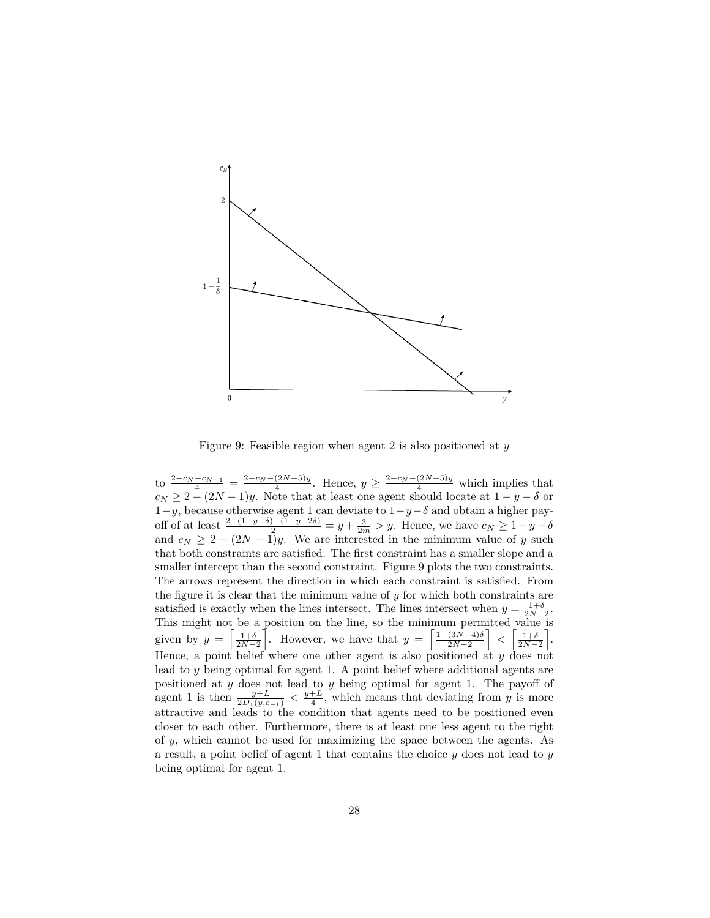

Figure 9: Feasible region when agent 2 is also positioned at *y*

to  $\frac{2-c_N-c_{N-1}}{4} = \frac{2-c_N-(2N-5)y}{4}$ . Hence,  $y \ge \frac{2-c_N-(2N-5)y}{4}$  which implies that  $c_N \geq 2 - (2N - 1)y$ . Note that at least one agent should locate at  $1 - y - \delta$  or 1−*y*, because otherwise agent 1 can deviate to 1−*y*−*δ* and obtain a higher payoff of at least  $\frac{2-(1-y-\delta)-(1-y-2\delta)}{2} = y + \frac{3}{2m} > y$ . Hence, we have  $c_N \geq 1 - y - \delta$ and  $c_N \geq 2 - (2N - 1)y$ . We are interested in the minimum value of *y* such that both constraints are satisfied. The first constraint has a smaller slope and a smaller intercept than the second constraint. Figure 9 plots the two constraints. The arrows represent the direction in which each constraint is satisfied. From the figure it is clear that the minimum value of *y* for which both constraints are satisfied is exactly when the lines intersect. The lines intersect when  $y = \frac{1+\delta}{2N-2}$ . 2*N*−2<sup>2</sup><br>This might not be a position on the line, so the minimum permitted value is given by  $y = \left[\frac{1+\delta}{2N-2}\right]$ . However, we have that  $y = \left[\frac{1-(3N-4)\delta}{2N-2}\right]$  $\left[\frac{(3N-4)\delta}{2N-2}\right] < \left[\frac{1+\delta}{2N-2}\right].$ Hence, a point belief where one other agent is also positioned at *y* does not lead to *y* being optimal for agent 1. A point belief where additional agents are positioned at *y* does not lead to *y* being optimal for agent 1. The payoff of agent 1 is then  $\frac{y+L}{2D_1(y,c_{-1})} < \frac{y+L}{4}$ , which means that deviating from *y* is more attractive and leads to the condition that agents need to be positioned even closer to each other. Furthermore, there is at least one less agent to the right of *y*, which cannot be used for maximizing the space between the agents. As a result, a point belief of agent 1 that contains the choice *y* does not lead to *y* being optimal for agent 1.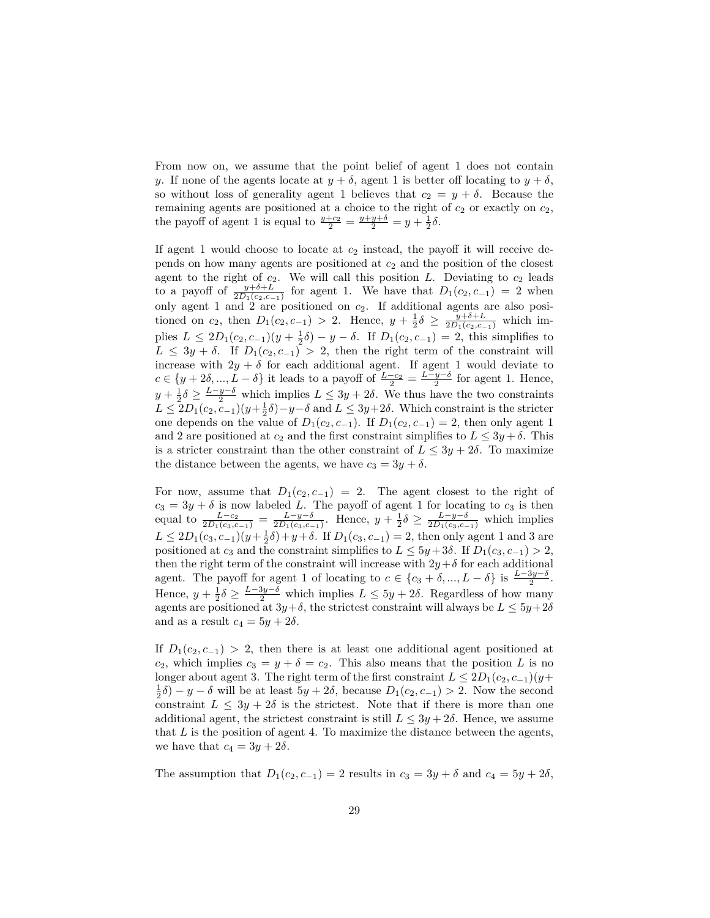From now on, we assume that the point belief of agent 1 does not contain *y*. If none of the agents locate at  $y + \delta$ , agent 1 is better off locating to  $y + \delta$ , so without loss of generality agent 1 believes that  $c_2 = y + \delta$ . Because the remaining agents are positioned at a choice to the right of  $c_2$  or exactly on  $c_2$ , the payoff of agent 1 is equal to  $\frac{y+c_2}{2} = \frac{y+y+\delta}{2} = y + \frac{1}{2}\delta$ .

If agent 1 would choose to locate at  $c_2$  instead, the payoff it will receive depends on how many agents are positioned at *c*<sup>2</sup> and the position of the closest agent to the right of  $c_2$ . We will call this position  $L$ . Deviating to  $c_2$  leads to a payoff of  $\frac{y+\delta+L}{2D_1(c_2,c_{-1})}$  for agent 1. We have that  $D_1(c_2,c_{-1}) = 2$  when only agent 1 and 2 are positioned on *c*2. If additional agents are also positioned on *c*<sub>2</sub>, then  $D_1(c_2, c_{-1}) > 2$ . Hence,  $y + \frac{1}{2}\delta \ge \frac{y + \delta + L}{2D_1(c_2, c_{-1})}$  which implies  $L \leq 2D_1(c_2, c_{-1})(y + \frac{1}{2}\delta) - y - \delta$ . If  $D_1(c_2, c_{-1}) = 2$ , this simplifies to  $L \leq 3y + \delta$ . If  $D_1(c_2, c_{-1}) > 2$ , then the right term of the constraint will increase with  $2y + \delta$  for each additional agent. If agent 1 would deviate to *c* ∈ {*y* + 2*δ*, ..., *L* − *δ*} it leads to a payoff of  $\frac{L-c_2}{2} = \frac{L-y-δ}{2}$  for agent 1. Hence,  $y + \frac{1}{2}\delta \geq \frac{L-y-\delta}{2}$  which implies  $L \leq 3y + 2\delta$ . We thus have the two constraints  $L \leq 2D_1(c_2, c_{-1})(y+\frac{1}{2}\delta)-y-\delta$  and  $L \leq 3y+2\delta$ . Which constraint is the stricter one depends on the value of  $D_1(c_2, c_{-1})$ . If  $D_1(c_2, c_{-1}) = 2$ , then only agent 1 and 2 are positioned at  $c_2$  and the first constraint simplifies to  $L \leq 3y + \delta$ . This is a stricter constraint than the other constraint of  $L \leq 3y + 2\delta$ . To maximize the distance between the agents, we have  $c_3 = 3y + \delta$ .

For now, assume that  $D_1(c_2, c_{-1}) = 2$ . The agent closest to the right of  $c_3 = 3y + \delta$  is now labeled *L*. The payoff of agent 1 for locating to  $c_3$  is then equal to  $\frac{L-c_2}{2D_1(c_3,c_{-1})} = \frac{L-y-\delta}{2D_1(c_3,c_{-1})}$ . Hence,  $y + \frac{1}{2}\delta \ge \frac{L-y-\delta}{2D_1(c_3,c_{-1})}$  which implies  $L \leq 2D_1(c_3, c_{-1})(y+\frac{1}{2}\delta) + y+\delta$ . If  $D_1(c_3, c_{-1}) = 2$ , then only agent 1 and 3 are positioned at  $c_3$  and the constraint simplifies to  $L \leq 5y + 3\delta$ . If  $D_1(c_3, c_{-1}) > 2$ , then the right term of the constraint will increase with  $2y + \delta$  for each additional agent. The payoff for agent 1 of locating to  $c \in \{c_3 + \delta, ..., L - \delta\}$  is  $\frac{L-3y-\delta}{2}$ . Hence,  $y + \frac{1}{2}\delta \geq \frac{L-3y-\delta}{2}$  which implies  $L \leq 5y + 2\delta$ . Regardless of how many agents are positioned at  $3y+\delta$ , the strictest constraint will always be  $L \leq 5y+2\delta$ and as a result  $c_4 = 5y + 2\delta$ .

If  $D_1(c_2, c_{-1}) > 2$ , then there is at least one additional agent positioned at  $c_2$ , which implies  $c_3 = y + \delta = c_2$ . This also means that the position *L* is no longer about agent 3. The right term of the first constraint  $L \leq 2D_1(c_2, c_{-1})(y+1)$  $\frac{1}{2}\delta$  *j* − *y* − *δ* will be at least 5*y* + 2*δ*, because  $D_1(c_2, c_{-1}) > 2$ . Now the second constraint  $L \leq 3y + 2\delta$  is the strictest. Note that if there is more than one additional agent, the strictest constraint is still  $L \leq 3y + 2\delta$ . Hence, we assume that *L* is the position of agent 4. To maximize the distance between the agents, we have that  $c_4 = 3y + 2\delta$ .

The assumption that  $D_1(c_2, c_{-1}) = 2$  results in  $c_3 = 3y + \delta$  and  $c_4 = 5y + 2\delta$ ,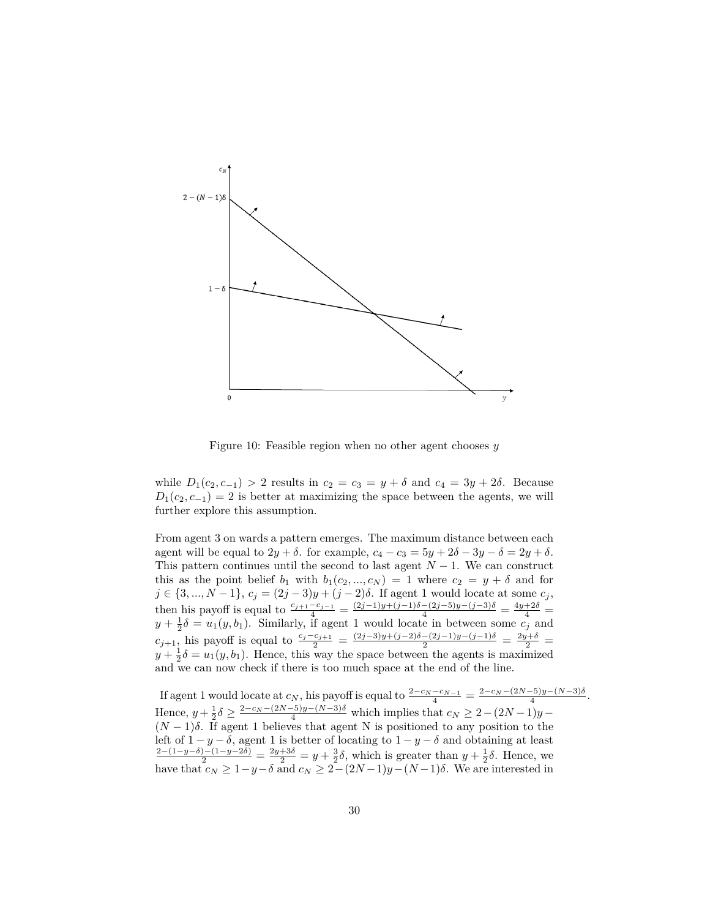

Figure 10: Feasible region when no other agent chooses *y*

while *D*<sub>1</sub>(*c*<sub>2</sub>*, c*<sub>−1</sub>) > 2 results in *c*<sub>2</sub> = *c*<sub>3</sub> = *y* + *δ* and *c*<sub>4</sub> = 3*y* + 2*δ*. Because  $D_1(c_2, c_{-1}) = 2$  is better at maximizing the space between the agents, we will further explore this assumption.

From agent 3 on wards a pattern emerges. The maximum distance between each agent will be equal to  $2y + \delta$ , for example,  $c_4 - c_3 = 5y + 2\delta - 3y - \delta = 2y + \delta$ . This pattern continues until the second to last agent  $N-1$ . We can construct this as the point belief  $b_1$  with  $b_1(c_2, ..., c_N) = 1$  where  $c_2 = y + \delta$  and for *j* ∈ {3, ..., *N* − 1}, *c<sub>j</sub>* = (2*j* − 3)*y* + (*j* − 2)*δ*. If agent 1 would locate at some *c<sub>j</sub>*, then his payoff is equal to  $\frac{c_{j+1}-c_{j-1}}{4} = \frac{(2j-1)y+(j-1)\delta-(2j-5)y-(j-3)\delta}{4} = \frac{4y+2\delta}{4}$  $y + \frac{1}{2}\delta = u_1(y, b_1)$ . Similarly, if agent 1 would locate in between some  $c_j$  and  $c_{j+1}$ , his payoff is equal to  $\frac{c_j-c_{j+1}}{2} = \frac{(2j-3)y+(j-2)\delta-(2j-1)y-(j-1)\delta}{2} = \frac{2y+\delta}{2}$  $y + \frac{1}{2}\delta = u_1(y, b_1)$ . Hence, this way the space between the agents is maximized and we can now check if there is too much space at the end of the line.

If agent 1 would locate at  $c_N$ , his payoff is equal to  $\frac{2-c_N-c_{N-1}}{4} = \frac{2-c_N-(2N-5)y-(N-3)\delta}{4}$ . Hence, *y* +  $\frac{1}{2}δ ≥ \frac{2 - c_N - (2N - 5)y - (N - 3)δ}{4}$  which implies that  $c_N ≥ 2 - (2N - 1)y (N-1)\delta$ . If agent 1 believes that agent N is positioned to any position to the left of  $1 - y - \delta$ , agent 1 is better of locating to  $1 - y - \delta$  and obtaining at least  $\frac{2 - (1 - y - \delta) - (1 - y - 2\delta)}{2} = \frac{2y + 3\delta}{2} = y + \frac{3}{2}\delta$ , which is greater than  $y + \frac{1}{2}\delta$ . Hence, we have that  $c_N \geq 1 - y - \delta$  and  $c_N \geq 2 - (2N - 1)y - (N - 1)\delta$ . We are interested in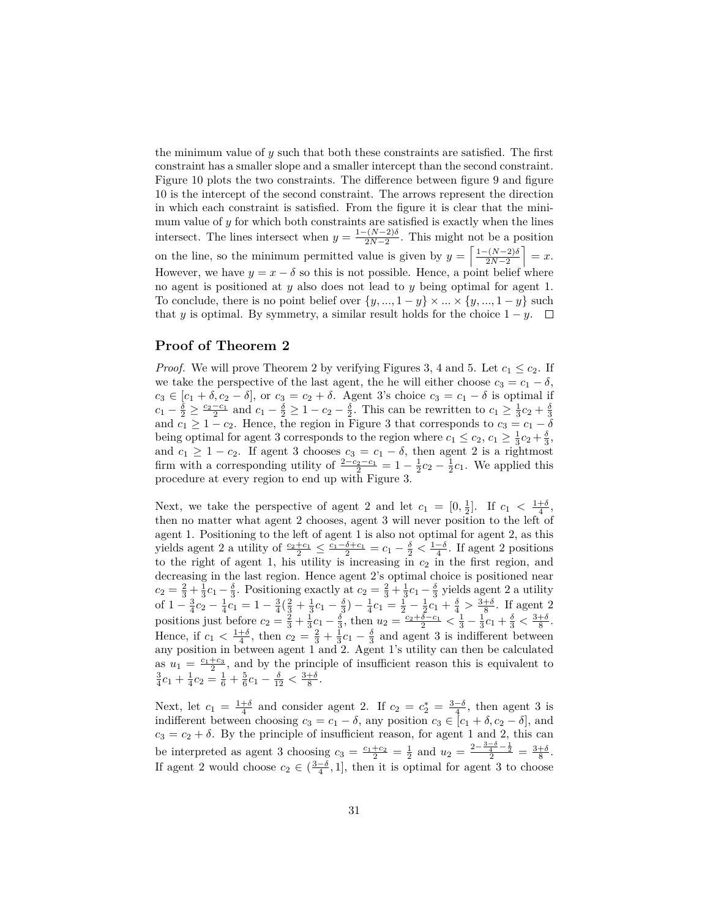the minimum value of *y* such that both these constraints are satisfied. The first constraint has a smaller slope and a smaller intercept than the second constraint. Figure 10 plots the two constraints. The difference between figure 9 and figure 10 is the intercept of the second constraint. The arrows represent the direction in which each constraint is satisfied. From the figure it is clear that the minimum value of *y* for which both constraints are satisfied is exactly when the lines intersect. The lines intersect when  $y = \frac{1-(N-2)\delta}{2N-2}$  $\frac{(N-2)\delta}{2N-2}$ . This might not be a position on the line, so the minimum permitted value is given by  $y = \left[\frac{1-(N-2)\delta}{2N-2}\right]$  $\left[\frac{(N-2)\delta}{2N-2}\right] = x.$ However, we have  $y = x - \delta$  so this is not possible. Hence, a point belief where no agent is positioned at *y* also does not lead to *y* being optimal for agent 1. To conclude, there is no point belief over  $\{y, ..., 1 - y\} \times ... \times \{y, ..., 1 - y\}$  such that *y* is optimal. By symmetry, a similar result holds for the choice  $1 - y$ .  $\Box$ 

### **Proof of Theorem 2**

*Proof.* We will prove Theorem 2 by verifying Figures 3, 4 and 5. Let  $c_1 \leq c_2$ . If we take the perspective of the last agent, the he will either choose  $c_3 = c_1 - \delta$ ,  $c_3 \in [c_1 + \delta, c_2 - \delta]$ , or  $c_3 = c_2 + \delta$ . Agent 3's choice  $c_3 = c_1 - \delta$  is optimal if  $c_1 - \frac{\delta}{2} \ge \frac{c_2 - c_1}{2}$  and  $c_1 - \frac{\delta}{2} \ge 1 - c_2 - \frac{\delta}{2}$ . This can be rewritten to  $c_1 \ge \frac{1}{3}c_2 + \frac{\delta}{3}$  and  $c_1 \ge 1 - c_2$ . Hence, the region in Figure 3 that corresponds to  $c_3 = c_1 - \delta$ being optimal for agent 3 corresponds to the region where  $c_1 \le c_2$ ,  $c_1 \ge \frac{1}{3}c_2 + \frac{\delta}{3}$ , and  $c_1 \geq 1 - c_2$ . If agent 3 chooses  $c_3 = c_1 - \delta$ , then agent 2 is a rightmost firm with a corresponding utility of  $\frac{2-c_2-c_1}{2} = 1 - \frac{1}{2}c_2 - \frac{1}{2}c_1$ . We applied this procedure at every region to end up with Figure 3.

Next, we take the perspective of agent 2 and let  $c_1 = [0, \frac{1}{2}]$ . If  $c_1 < \frac{1+\delta}{4}$ , then no matter what agent 2 chooses, agent 3 will never position to the left of agent 1. Positioning to the left of agent 1 is also not optimal for agent 2, as this yields agent 2 a utility of  $\frac{c_2+c_1}{2} \le \frac{c_1-\delta+c_1}{2} = c_1 - \frac{\delta}{2} < \frac{1-\delta}{4}$ . If agent 2 positions to the right of agent 1, his utility is increasing in  $c_2$  in the first region, and decreasing in the last region. Hence agent 2's optimal choice is positioned near  $c_2 = \frac{2}{3} + \frac{1}{3}c_1 - \frac{5}{3}$ . Positioning exactly at  $c_2 = \frac{2}{3} + \frac{1}{3}c_1 - \frac{5}{3}$  yields agent 2 a utility of  $1 - \frac{3}{4}c_2 - \frac{1}{4}c_1 = 1 - \frac{3}{4}(\frac{2}{3} + \frac{1}{3}c_1 - \frac{5}{3}) - \frac{1}{4}c_1 = \frac{1}{2} - \frac{1}{2}c_1 + \frac{5}{4} > \frac{3+5}{8}$ . If agent 2 positions just before  $c_2 = \frac{2}{3} + \frac{1}{3}c_1 - \frac{5}{3}$ , then  $u_2 = \frac{c_2 + \delta - c_1}{2} < \frac{1}{3} - \frac{1}{3}c_1 + \frac{\delta}{3} < \frac{3+\delta}{8}$ . Hence, if  $c_1 < \frac{1+\delta}{4}$ , then  $c_2 = \frac{2}{3} + \frac{1}{3}c_1 - \frac{\delta}{3}$  and agent 3 is indifferent between any position in between agent 1 and 2. Agent 1's utility can then be calculated as  $u_1 = \frac{c_1+c_3}{2}$ , and by the principle of insufficient reason this is equivalent to  $\frac{3}{4}c_1 + \frac{1}{4}c_2 = \frac{1}{6} + \frac{5}{6}c_1 - \frac{\delta}{12} < \frac{3+\delta}{8}.$ 

Next, let  $c_1 = \frac{1+\delta}{4}$  and consider agent 2. If  $c_2 = c_2^* = \frac{3-\delta}{4}$ , then agent 3 is indifferent between choosing  $c_3 = c_1 - \delta$ , any position  $c_3 \in [c_1 + \delta, c_2 - \delta]$ , and  $c_3 = c_2 + \delta$ . By the principle of insufficient reason, for agent 1 and 2, this can be interpreted as agent 3 choosing  $c_3 = \frac{c_1+c_2}{2} = \frac{1}{2}$  and  $u_2 = \frac{2-\frac{3-\delta}{4}-\frac{1}{2}}{2} = \frac{3+\delta}{8}$ . If agent 2 would choose  $c_2 \in (\frac{3-\delta}{4}, 1]$ , then it is optimal for agent 3 to choose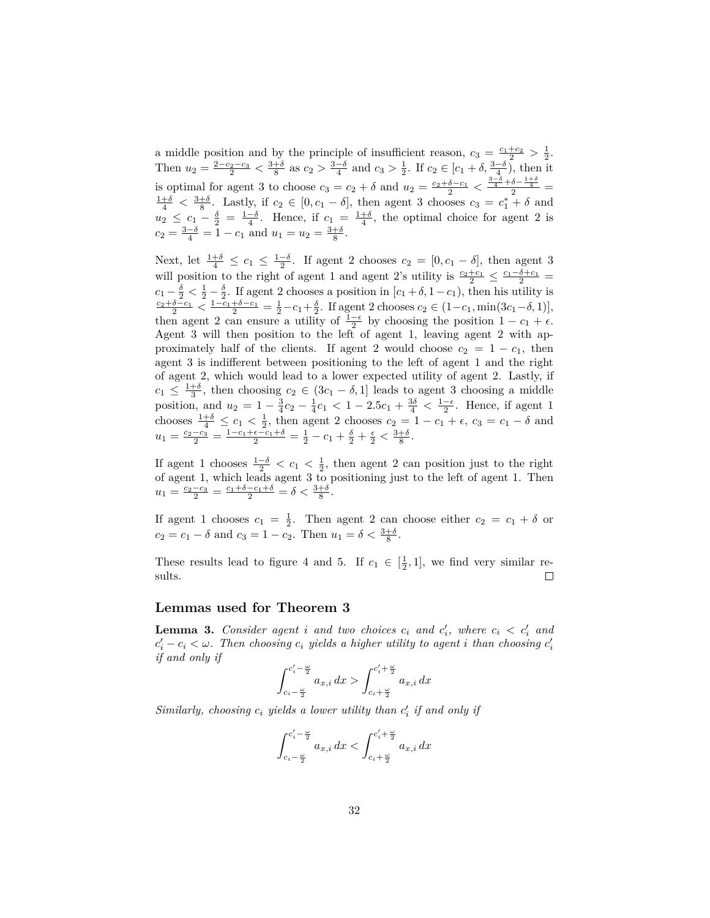a middle position and by the principle of insufficient reason,  $c_3 = \frac{c_1+c_2}{2} > \frac{1}{2}$ . Then  $u_2 = \frac{2-c_2-c_3}{2} < \frac{3+\delta}{8}$  as  $c_2 > \frac{3-\delta}{4}$  and  $c_3 > \frac{1}{2}$ . If  $c_2 \in [c_1 + \delta, \frac{3-\delta}{4})$ , then it is optimal for agent 3 to choose  $c_3 = c_2 + \delta$  and  $u_2 = \frac{c_2 + \delta - c_1}{2} < \frac{\frac{3-\delta}{4} + \delta - \frac{1+\delta}{4}}{2}$  $\frac{1+\delta}{4} < \frac{3+\delta}{8}$ . Lastly, if  $c_2 \in [0, c_1 - \delta]$ , then agent 3 chooses  $c_3 = c_1^* + \delta$  and  $u_2 \leq c_1 - \frac{\delta}{2} = \frac{1-\delta}{4}$ . Hence, if  $c_1 = \frac{1+\delta}{4}$ , the optimal choice for agent 2 is  $c_2 = \frac{3-\delta}{4} = 1 - c_1$  and  $u_1 = u_2 = \frac{3+\delta}{8}$ .

Next, let  $\frac{1+\delta}{4} \leq c_1 \leq \frac{1-\delta}{2}$ . If agent 2 chooses  $c_2 = [0, c_1 - \delta]$ , then agent 3 will position to the right of agent 1 and agent 2's utility is  $\frac{c_2+c_1}{2} \le \frac{c_1-\delta+c_1}{2}$  $c_1 - \frac{\delta}{2} < \frac{1}{2} - \frac{\delta}{2}$ . If agent 2 chooses a position in  $[c_1 + \delta, 1 - c_1)$ , then his utility is  $\frac{c_2+\delta-c_1}{2} < \frac{1-c_1+\delta-c_1}{2} = \frac{1}{2}-c_1+\frac{\delta}{2}$ . If agent 2 chooses  $c_2 \in (1-c_1, \min(3c_1-\delta, 1)],$ then agent 2 can ensure a utility of  $\frac{1-\epsilon}{2}$  by choosing the position  $1 - c_1 + \epsilon$ . Agent 3 will then position to the left of agent 1, leaving agent 2 with approximately half of the clients. If agent 2 would choose  $c_2 = 1 - c_1$ , then agent 3 is indifferent between positioning to the left of agent 1 and the right of agent 2, which would lead to a lower expected utility of agent 2. Lastly, if  $c_1 \leq \frac{1+\delta}{3}$ , then choosing  $c_2 \in (3c_1 - \delta, 1]$  leads to agent 3 choosing a middle position, and  $u_2 = 1 - \frac{3}{4}c_2 - \frac{1}{4}c_1 < 1 - 2.5c_1 + \frac{3\delta}{4} < \frac{1-\epsilon}{2}$ . Hence, if agent 1 chooses  $\frac{1+\delta}{4} \leq c_1 < \frac{1}{2}$ , then agent 2 chooses  $c_2 = 1 - c_1 + \epsilon$ ,  $c_3 = c_1 - \delta$  and  $u_1 = \frac{c_2 - c_3}{2} = \frac{1 - c_1 + \epsilon - c_1 + \delta}{2} = \frac{1}{2} - c_1 + \frac{\delta}{2} + \frac{\epsilon}{2} < \frac{3 + \delta}{8}.$ 

If agent 1 chooses  $\frac{1-\delta}{2} < c_1 < \frac{1}{2}$ , then agent 2 can position just to the right of agent 1, which leads agent 3 to positioning just to the left of agent 1. Then  $u_1 = \frac{c_2 - c_3}{2} = \frac{c_1 + \delta - c_1 + \delta}{2} = \delta < \frac{3 + \delta}{8}.$ 

If agent 1 chooses  $c_1 = \frac{1}{2}$ . Then agent 2 can choose either  $c_2 = c_1 + \delta$  or  $c_2 = c_1 - \delta$  and  $c_3 = 1 - c_2$ . Then  $u_1 = \delta < \frac{3+\delta}{8}$ .

These results lead to figure 4 and 5. If  $c_1 \in [\frac{1}{2}, 1]$ , we find very similar results.  $\Box$ 

#### **Lemmas used for Theorem 3**

**Lemma 3.** *Consider agent i and two choices*  $c_i$  *and*  $c'_i$ , *where*  $c_i < c'_i$  *and*  $c_i' - c_i < \omega$ . Then choosing  $c_i$  yields a higher utility to agent *i* than choosing  $c_i'$ *if and only if*

$$
\int_{c_i - \frac{\omega}{2}}^{c_i' - \frac{\omega}{2}} a_{x,i} dx > \int_{c_i + \frac{\omega}{2}}^{c_i' + \frac{\omega}{2}} a_{x,i} dx
$$

*Similarly, choosing*  $c_i$  *yields* a lower utility than  $c'_i$  if and only if

$$
\int_{c_i - \frac{\omega}{2}}^{c_i' - \frac{\omega}{2}} a_{x,i} dx < \int_{c_i + \frac{\omega}{2}}^{c_i' + \frac{\omega}{2}} a_{x,i} dx
$$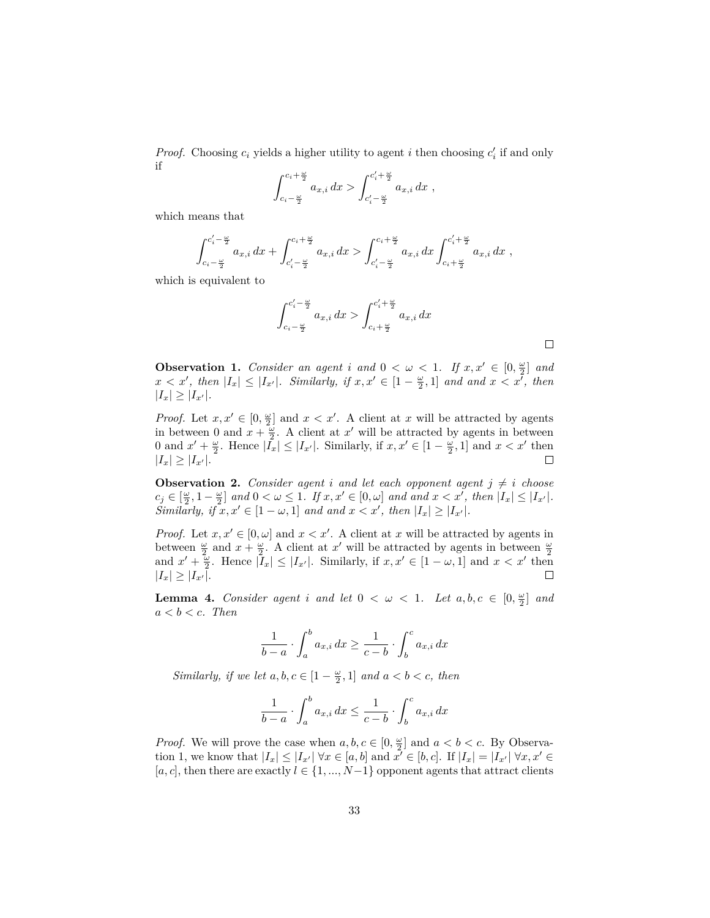*Proof.* Choosing  $c_i$  yields a higher utility to agent *i* then choosing  $c'_i$  if and only if  $\overline{a}$ 

$$
\int_{c_i - \frac{\omega}{2}}^{c_i + \frac{\omega}{2}} a_{x,i} dx > \int_{c_i' - \frac{\omega}{2}}^{c_i' + \frac{\omega}{2}} a_{x,i} dx ,
$$

which means that

$$
\int_{c_i - \frac{\omega}{2}}^{c_i' - \frac{\omega}{2}} a_{x,i} dx + \int_{c_i' - \frac{\omega}{2}}^{c_i + \frac{\omega}{2}} a_{x,i} dx > \int_{c_i' - \frac{\omega}{2}}^{c_i + \frac{\omega}{2}} a_{x,i} dx \int_{c_i + \frac{\omega}{2}}^{c_i' + \frac{\omega}{2}} a_{x,i} dx ,
$$

which is equivalent to

$$
\int_{c_i - \frac{\omega}{2}}^{c_i' - \frac{\omega}{2}} a_{x,i} dx > \int_{c_i + \frac{\omega}{2}}^{c_i' + \frac{\omega}{2}} a_{x,i} dx
$$

**Observation 1.** *Consider an agent i and*  $0 < \omega < 1$ *. If*  $x, x' \in [0, \frac{\omega}{2}]$  *and*  $x < x'$ , then  $|I_x| \leq |I_{x'}|$ . Similarly, if  $x, x' \in [1 - \frac{\omega}{2}, 1]$  and and  $x < x''$ , then  $|I_x| \geq |I_{x'}|$ .

*Proof.* Let  $x, x' \in [0, \frac{\omega}{2}]$  and  $x < x'$ . A client at *x* will be attracted by agents in between 0 and  $x + \frac{w}{2}$ . A client at *x*' will be attracted by agents in between 0 and  $x' + \frac{\omega}{2}$ . Hence  $|\tilde{I}_x| \leq |I_{x'}|$ . Similarly, if  $x, x' \in [1 - \frac{\omega}{2}, 1]$  and  $x < x'$  then  $|I_x| \geq |I_{x'}|$ .  $\Box$ 

**Observation 2.** *Consider agent i and let each opponent agent*  $j \neq i$  *choose*  $c_j \in \left[\frac{\omega}{2}, 1 - \frac{\omega}{2}\right]$  and  $0 < \omega \le 1$ . If  $x, x' \in [0, \omega]$  and and  $x < x'$ , then  $|I_x| \le |I_{x'}|$ . *Similarly, if*  $x, x' \in [1 - \omega, 1]$  *and and*  $x < x'$ *, then*  $|I_x| \geq |I_{x'}|$ *.* 

*Proof.* Let  $x, x' \in [0, \omega]$  and  $x < x'$ . A client at x will be attracted by agents in between  $\frac{\omega}{2}$  and  $x + \frac{\omega}{2}$ . A client at *x*' will be attracted by agents in between  $\frac{\omega}{2}$ and  $x' + \frac{w}{2}$ . Hence  $|I_x| \leq |I_{x'}|$ . Similarly, if  $x, x' \in [1 - \omega, 1]$  and  $x < x'$  then  $|I_x| \geq |I_{x'}|$ .  $\Box$ 

**Lemma 4.** *Consider agent i and let*  $0 < \omega < 1$ *. Let*  $a, b, c \in [0, \frac{\omega}{2}]$  *and a < b < c. Then*

$$
\frac{1}{b-a} \cdot \int_a^b a_{x,i} \, dx \ge \frac{1}{c-b} \cdot \int_b^c a_{x,i} \, dx
$$

*Similarly, if we let*  $a, b, c \in [1 - \frac{\omega}{2}, 1]$  and  $a < b < c$ , then

$$
\frac{1}{b-a} \cdot \int_a^b a_{x,i} \, dx \le \frac{1}{c-b} \cdot \int_b^c a_{x,i} \, dx
$$

*Proof.* We will prove the case when  $a, b, c \in [0, \frac{\omega}{2}]$  and  $a < b < c$ . By Observation 1, we know that  $|I_x| \leq |I_{x'}| \forall x \in [a, b]$  and  $\tilde{x'} \in [b, c]$ . If  $|I_x| = |I_{x'}| \forall x, x' \in$  $[a, c]$ , then there are exactly  $l \in \{1, ..., N-1\}$  opponent agents that attract clients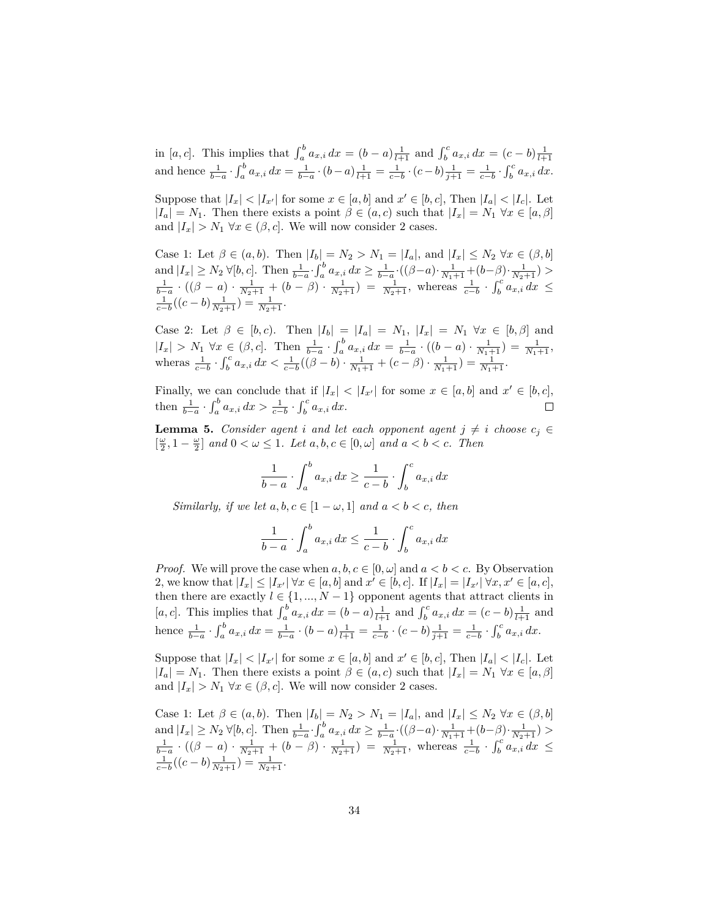in [*a, c*]. This implies that  $\int_a^b a_{x,i} dx = (b-a)\frac{1}{l+1}$  and  $\int_b^c a_{x,i} dx = (c-b)\frac{1}{l+1}$ and hence  $\frac{1}{b-a} \cdot \int_a^b a_{x,i} dx = \frac{1}{b-a} \cdot (b-a) \frac{1}{l+1} = \frac{1}{c-b} \cdot (c-b) \frac{1}{j+1} = \frac{1}{c-b} \cdot \int_b^c a_{x,i} dx$ .

Suppose that  $|I_x| < |I_{x'}|$  for some  $x \in [a, b]$  and  $x' \in [b, c]$ , Then  $|I_a| < |I_c|$ . Let  $|I_a| = N_1$ . Then there exists a point  $\beta \in (a, c)$  such that  $|I_x| = N_1 \,\forall x \in [a, \beta]$ and  $|I_x| > N_1 \,\forall x \in (\beta, c]$ . We will now consider 2 cases.

Case 1: Let  $\beta \in (a, b)$ . Then  $|I_b| = N_2 > N_1 = |I_a|$ , and  $|I_x| \le N_2 \,\forall x \in (\beta, b]$ and  $|I_x| \ge N_2 \forall [b, c]$ . Then  $\frac{1}{b-a} \cdot \int_a^b a_{x,i} dx \ge \frac{1}{b-a} \cdot ((\beta - a) \cdot \frac{1}{N_1+1} + (b-\beta) \cdot \frac{1}{N_2+1}) > \frac{1}{b-a} \cdot ((\beta - a) \cdot \frac{1}{N_2+1} + (b-\beta) \cdot \frac{1}{N_2+1}) = \frac{1}{N_2+1}$ , whereas  $\frac{1}{c-b} \cdot \int_b^c a_{x,i} dx \le$  $\frac{1}{c-b}((c-b)\frac{1}{N_2+1}) = \frac{1}{N_2+1}.$ 

Case 2: Let  $\beta \in [b, c)$ . Then  $|I_b| = |I_a| = N_1$ ,  $|I_x| = N_1 \,\forall x \in [b, \beta]$  and  $|I_x| > N_1 \ \forall x \in (\beta, c].$  Then  $\frac{1}{b-a} \cdot \int_a^b a_{x,i} dx = \frac{1}{b-a} \cdot ((b-a) \cdot \frac{1}{N_1+1}) = \frac{1}{N_1+1},$ wheras  $\frac{1}{c-b} \cdot \int_b^c a_{x,i} dx < \frac{1}{c-b} ((\beta - b) \cdot \frac{1}{N_1+1} + (c - \beta) \cdot \frac{1}{N_1+1}) = \frac{1}{N_1+1}.$ 

Finally, we can conclude that if  $|I_x| < |I_{x'}|$  for some  $x \in [a, b]$  and  $x' \in [b, c]$ , then  $\frac{1}{b-a} \cdot \int_a^b a_{x,i} dx > \frac{1}{c-b} \cdot \int_b^c a_{x,i} dx.$  $\Box$ 

**Lemma 5.** *Consider agent i and let each opponent agent*  $j \neq i$  *choose*  $c_j \in$  $\left[\frac{\omega}{2}, 1 - \frac{\omega}{2}\right]$  *and*  $0 < \omega \le 1$ *. Let*  $a, b, c \in [0, \omega]$  *and*  $a < b < c$ *. Then* 

$$
\frac{1}{b-a} \cdot \int_a^b a_{x,i} \, dx \ge \frac{1}{c-b} \cdot \int_b^c a_{x,i} \, dx
$$

*Similarly, if we let*  $a, b, c \in [1 - \omega, 1]$  *and*  $a < b < c$ *, then* 

$$
\frac{1}{b-a} \cdot \int_a^b a_{x,i} \, dx \le \frac{1}{c-b} \cdot \int_b^c a_{x,i} \, dx
$$

*Proof.* We will prove the case when  $a, b, c \in [0, \omega]$  and  $a < b < c$ . By Observation 2, we know that  $|I_x| \leq |I_{x'}| \forall x \in [a, b]$  and  $x' \in [b, c]$ . If  $|I_x| = |I_{x'}| \forall x, x' \in [a, c]$ , then there are exactly  $l \in \{1, ..., N-1\}$  opponent agents that attract clients in  $[a, c]$ . This implies that  $\int_a^b a_{x,i} dx = (b - a) \frac{1}{l+1}$  and  $\int_b^c a_{x,i} dx = (c - b) \frac{1}{l+1}$  and hence  $\frac{1}{b-a} \cdot \int_a^b a_{x,i} dx = \frac{1}{b-a} \cdot (b-a) \frac{1}{b+1} = \frac{1}{c-b} \cdot (c-b) \frac{1}{j+1} = \frac{1}{c-b} \cdot \int_b^c a_{x,i} dx$ .

Suppose that  $|I_x| < |I_{x'}|$  for some  $x \in [a, b]$  and  $x' \in [b, c]$ , Then  $|I_a| < |I_c|$ . Let  $|I_a| = N_1$ . Then there exists a point  $\beta \in (a, c)$  such that  $|I_x| = N_1 \,\forall x \in [a, \beta]$ and  $|I_x| > N_1 \,\forall x \in (\beta, c]$ . We will now consider 2 cases.

Case 1: Let  $\beta \in (a, b)$ . Then  $|I_b| = N_2 > N_1 = |I_a|$ , and  $|I_x| \le N_2 \,\forall x \in (\beta, b]$ and  $|I_x| \ge N_2 \forall [b, c]$ . Then  $\frac{1}{b-a} \cdot \int_a^b a_{x,i} dx \ge \frac{1}{b-a} \cdot ((\beta - a) \cdot \frac{1}{N_1+1} + (b-\beta) \cdot \frac{1}{N_2+1}) > \frac{1}{b-a} \cdot ((\beta - a) \cdot \frac{1}{N_2+1} + (b-\beta) \cdot \frac{1}{N_2+1}) = \frac{1}{N_2+1}$ , whereas  $\frac{1}{c-b} \cdot \int_b^c a_{x,i} dx \le$  $\frac{1}{c-b}((c-b)\frac{1}{N_2+1}) = \frac{1}{N_2+1}.$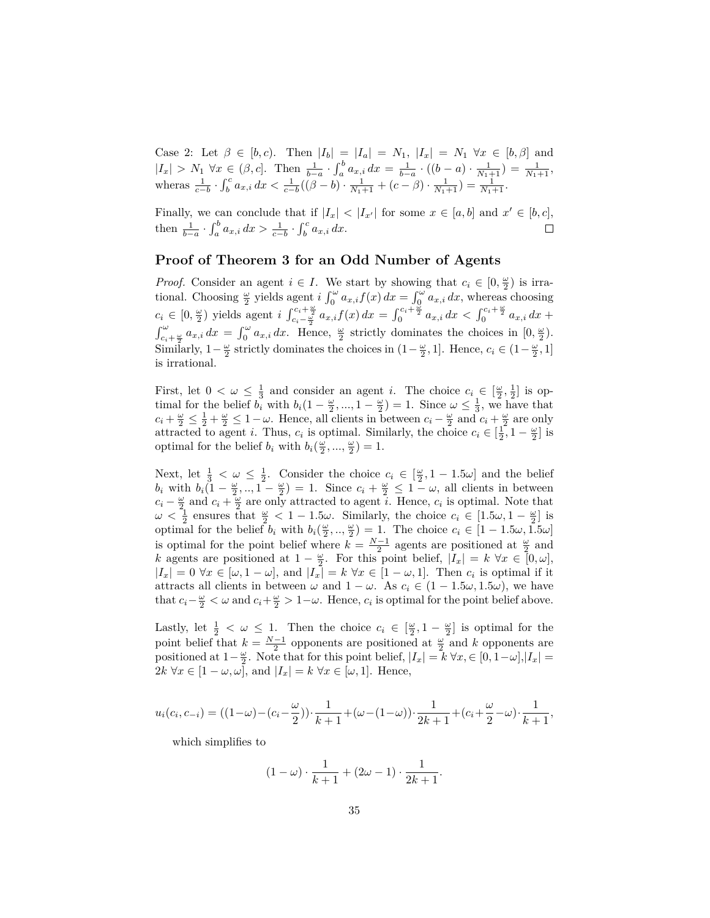Case 2: Let  $\beta \in [b, c)$ . Then  $|I_b| = |I_a| = N_1$ ,  $|I_x| = N_1 \,\forall x \in [b, \beta]$  and  $|I_x| > N_1 \ \forall x \in (\beta, c].$  Then  $\frac{1}{b-a} \cdot \int_a^b a_{x,i} dx = \frac{1}{b-a} \cdot ((b-a) \cdot \frac{1}{N_1+1}) = \frac{1}{N_1+1},$ wheras  $\frac{1}{c-b} \cdot \int_b^c a_{x,i} dx < \frac{1}{c-b} ((\beta - b) \cdot \frac{1}{N_1+1} + (c - \beta) \cdot \frac{1}{N_1+1}) = \frac{1}{N_1+1}.$ 

Finally, we can conclude that if  $|I_x| < |I_{x'}|$  for some  $x \in [a, b]$  and  $x' \in [b, c]$ , then  $\frac{1}{b-a} \cdot \int_a^b a_{x,i} dx > \frac{1}{c-b} \cdot \int_b^c a_{x,i} dx.$  $\Box$ 

### **Proof of Theorem 3 for an Odd Number of Agents**

*Proof.* Consider an agent  $i \in I$ . We start by showing that  $c_i \in [0, \frac{\omega}{2})$  is irra*i*  $\int_0^{\infty} a_{x,i} f(x) dx = \int_0^{\infty} a_{x,i} dx$ , whereas choosing  $\frac{\omega}{2}$  yields agent *i*  $\int_0^{\infty} a_{x,i} f(x) dx = \int_0^{\infty} a_{x,i} dx$ , whereas choosing  $c_i \in [0, \frac{\omega}{2})$  yields agent  $i \int_{c_i - \frac{\omega}{2}}^{c_i + \frac{\omega}{2}} a_{x,i} f(x) dx = \int_0^{c_i + \frac{\omega}{2}} a_{x,i} dx < \int_0^{c_i + \frac{\omega}{2}} a_{x,i} dx +$  $\int_{c_i + \frac{\omega}{2}}^{\omega} a_{x,i} dx = \int_0^{\omega} a_{x,i} dx$ . Hence,  $\frac{\omega}{2}$  strictly dominates the choices in  $[0, \frac{\omega}{2})$ . Similarly,  $1 - \frac{\omega}{2}$  strictly dominates the choices in  $(1 - \frac{\omega}{2}, 1]$ . Hence,  $c_i \in (1 - \frac{\omega}{2}, 1]$ is irrational.

First, let  $0 < \omega \leq \frac{1}{3}$  and consider an agent *i*. The choice  $c_i \in \left[\frac{\omega}{2}, \frac{1}{2}\right]$  is optimal for the belief  $b_i$  with  $b_i(1-\frac{\omega}{2},...,1-\frac{\omega}{2})=1$ . Since  $\omega \leq \frac{1}{3}$ , we have that  $c_i + \frac{\omega}{2} \leq \frac{1}{2} + \frac{\omega}{2} \leq 1 - \omega$ . Hence, all clients in between  $c_i - \frac{\omega}{2}$  and  $c_i + \frac{\omega}{2}$  are only attracted to agent *i*. Thus,  $c_i$  is optimal. Similarly, the choice  $c_i \in \left[\frac{1}{2}, 1 - \frac{\omega}{2}\right]$  is optimal for the belief  $b_i$  with  $b_i(\frac{\omega}{2}, ..., \frac{\omega}{2}) = 1$ .

Next, let  $\frac{1}{3} < \omega \leq \frac{1}{2}$ . Consider the choice  $c_i \in [\frac{\omega}{2}, 1 - 1.5\omega]$  and the belief *b*<sub>*i*</sub> with  $b_i(1-\frac{\omega}{2},..,1-\frac{\omega}{2}) = 1$ . Since  $c_i + \frac{\omega}{2} \leq 1-\omega$ , all clients in between  $c_i - \frac{\omega}{2}$  and  $c_i + \frac{\omega}{2}$  are only attracted to agent *i*. Hence,  $c_i$  is optimal. Note that  $\omega < \frac{1}{2}$  ensures that  $\frac{\omega}{2} < 1 - 1.5\omega$ . Similarly, the choice  $c_i \in [1.5\omega, 1 - \frac{\omega}{2}]$  is optimal for the belief  $b_i$  with  $b_i(\frac{\omega}{2}, \dots, \frac{\omega}{2}) = 1$ . The choice  $c_i \in [1 - 1.5\omega, 1.5\omega]$ is optimal for the point belief where  $k = \frac{N-1}{2}$  agents are positioned at  $\frac{\omega}{2}$  and *k* agents are positioned at  $1 - \frac{\omega}{2}$ . For this point belief,  $|I_x| = k \,\forall x \in [0, \omega]$ ,  $|I_x| = 0 \ \forall x \in [\omega, 1 - \omega]$ , and  $|I_x| = k \ \forall x \in [1 - \omega, 1]$ . Then  $c_i$  is optimal if it attracts all clients in between  $\omega$  and  $1 - \omega$ . As  $c_i \in (1 - 1.5\omega, 1.5\omega)$ , we have that  $c_i - \frac{\omega}{2} < \omega$  and  $c_i + \frac{\omega}{2} > 1 - \omega$ . Hence,  $c_i$  is optimal for the point belief above.

Lastly, let  $\frac{1}{2} < \omega \leq 1$ . Then the choice  $c_i \in \left[\frac{\omega}{2}, 1-\frac{\omega}{2}\right]$  is optimal for the point belief that  $k = \frac{N-1}{2}$  opponents are positioned at  $\frac{\omega}{2}$  and *k* opponents are positioned at  $1-\frac{\omega}{2}$ . Note that for this point belief,  $|I_x| = k \forall x, \in [0, 1-\omega], |I_x| =$  $2k \ \forall x \in [1 - \omega, \omega]$ , and  $|I_x| = k \ \forall x \in [\omega, 1]$ . Hence,

$$
u_i(c_i, c_{-i}) = ((1 - \omega) - (c_i - \frac{\omega}{2})) \cdot \frac{1}{k+1} + (\omega - (1 - \omega)) \cdot \frac{1}{2k+1} + (c_i + \frac{\omega}{2} - \omega) \cdot \frac{1}{k+1},
$$

which simplifies to

$$
(1 - \omega) \cdot \frac{1}{k+1} + (2\omega - 1) \cdot \frac{1}{2k+1}.
$$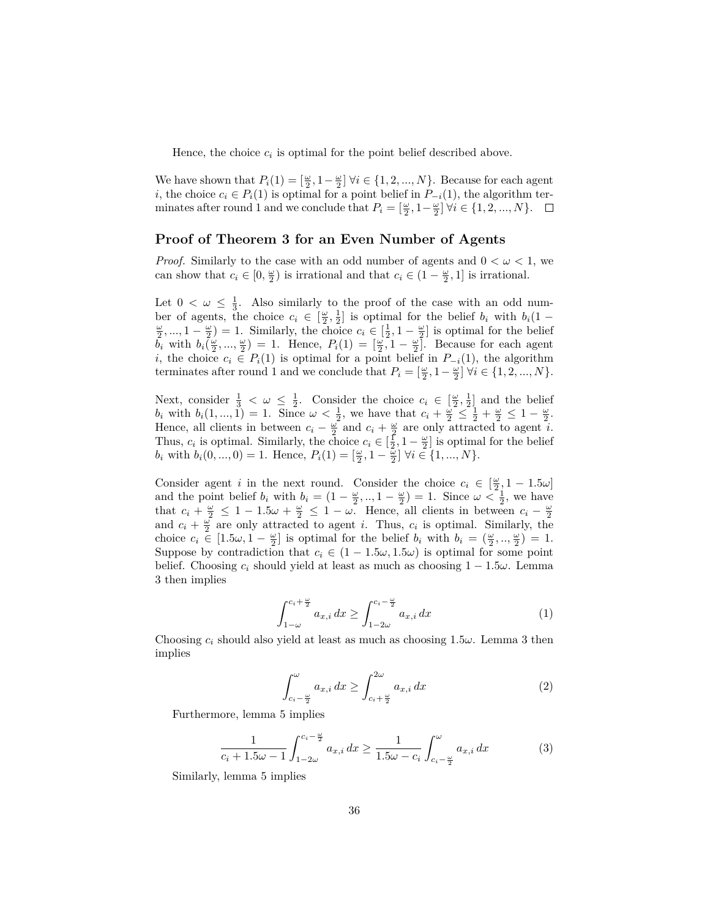Hence, the choice  $c_i$  is optimal for the point belief described above.

We have shown that  $P_i(1) = \left[\frac{\omega}{2}, 1 - \frac{\omega}{2}\right] \forall i \in \{1, 2, ..., N\}$ . Because for each agent *i*, the choice  $c_i \in P_i(1)$  is optimal for a point belief in  $P_{-i}(1)$ , the algorithm terminates after round 1 and we conclude that  $P_i = \left[\frac{\omega}{2}, 1 - \frac{\omega}{2}\right] \forall i \in \{1, 2, ..., N\}.$ 

### **Proof of Theorem 3 for an Even Number of Agents**

*Proof.* Similarly to the case with an odd number of agents and  $0 < \omega < 1$ , we can show that  $c_i \in [0, \frac{\omega}{2})$  is irrational and that  $c_i \in (1 - \frac{\omega}{2}, 1]$  is irrational.

Let  $0 < \omega \leq \frac{1}{3}$ . Also similarly to the proof of the case with an odd number of agents, the choice  $c_i \in [\frac{\omega}{2}, \frac{1}{2}]$  is optimal for the belief  $b_i$  with  $b_i(1 (\frac{\omega}{2}, ..., 1 - \frac{\omega}{2}) = 1$ . Similarly, the choice  $c_i \in [\frac{1}{2}, 1 - \frac{\omega}{2}]$  is optimal for the belief  $\tilde{b}_i$  with  $b_i(\frac{\omega}{2},...,\frac{\omega}{2}) = 1$ . Hence,  $P_i(1) = [\frac{\omega}{2},1-\frac{\omega}{2}]$ . Because for each agent *i*, the choice  $c_i \in P_i(1)$  is optimal for a point belief in  $P_{-i}(1)$ , the algorithm terminates after round 1 and we conclude that  $P_i = \left[\frac{\omega}{2}, 1 - \frac{\omega}{2}\right] \forall i \in \{1, 2, ..., N\}.$ 

Next, consider  $\frac{1}{3} < \omega \leq \frac{1}{2}$ . Consider the choice  $c_i \in \left[\frac{\omega}{2}, \frac{1}{2}\right]$  and the belief *b*<sub>*i*</sub> with  $b_i(1, ..., 1) = 1$ . Since  $\omega < \frac{1}{2}$ , we have that  $c_i + \frac{\omega}{2} \leq \frac{1}{2} + \frac{\omega}{2} \leq 1 - \frac{\omega}{2}$ . Hence, all clients in between  $c_i - \frac{\omega}{2}$  and  $c_i + \frac{\omega}{2}$  are only attracted to agent *i*. Thus,  $c_i$  is optimal. Similarly, the choice  $c_i \in \left[\frac{1}{2}, 1 - \frac{\omega}{2}\right]$  is optimal for the belief  $b_i$  with  $b_i(0, ..., 0) = 1$ . Hence,  $P_i(1) = \left[\frac{\omega}{2}, 1 - \frac{\omega}{2}\right] \forall i \in \{1, ..., N\}.$ 

Consider agent *i* in the next round. Consider the choice  $c_i \in \left[\frac{\omega}{2}, 1 - 1.5\omega\right]$ and the point belief  $b_i$  with  $b_i = (1 - \frac{\omega}{2}, ..., 1 - \frac{\omega}{2}) = 1$ . Since  $\omega < \frac{\omega}{2}$ , we have that  $c_i + \frac{\omega}{2} \leq 1 - 1.5\omega + \frac{\omega}{2} \leq 1 - \omega$ . Hence, all clients in between  $c_i - \frac{\omega}{2}$ and  $c_i + \frac{\omega}{2}$  are only attracted to agent *i*. Thus,  $c_i$  is optimal. Similarly, the choice  $c_i \in [1.5\omega, 1 - \frac{\omega}{2}]$  is optimal for the belief  $b_i$  with  $b_i = (\frac{\omega}{2}, \dots, \frac{\omega}{2}) = 1$ . Suppose by contradiction that  $c_i \in (1 - 1.5\omega, 1.5\omega)$  is optimal for some point belief. Choosing  $c_i$  should yield at least as much as choosing  $1 - 1.5\omega$ . Lemma 3 then implies

$$
\int_{1-\omega}^{c_i+\frac{\omega}{2}} a_{x,i} dx \ge \int_{1-2\omega}^{c_i-\frac{\omega}{2}} a_{x,i} dx \tag{1}
$$

Choosing *c<sup>i</sup>* should also yield at least as much as choosing 1*.*5*ω*. Lemma 3 then implies

$$
\int_{c_i - \frac{\omega}{2}}^{\omega} a_{x,i} dx \ge \int_{c_i + \frac{\omega}{2}}^{2\omega} a_{x,i} dx \tag{2}
$$

Furthermore, lemma 5 implies

$$
\frac{1}{c_i + 1.5\omega - 1} \int_{1 - 2\omega}^{c_i - \frac{\omega}{2}} a_{x,i} dx \ge \frac{1}{1.5\omega - c_i} \int_{c_i - \frac{\omega}{2}}^{\omega} a_{x,i} dx \tag{3}
$$

Similarly, lemma 5 implies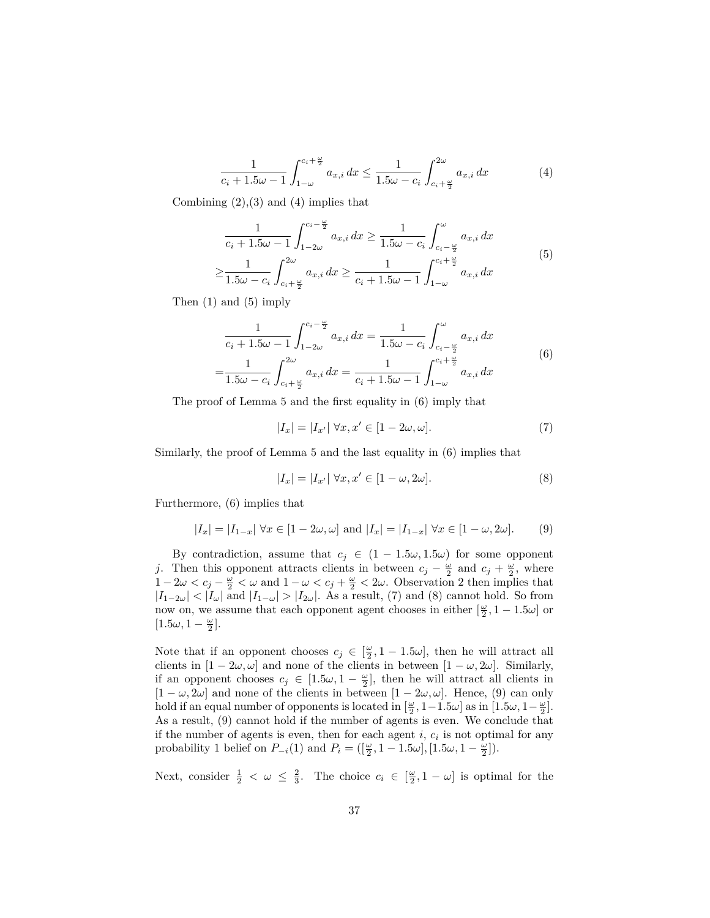$$
\frac{1}{c_i + 1.5\omega - 1} \int_{1-\omega}^{c_i + \frac{\omega}{2}} a_{x,i} dx \le \frac{1}{1.5\omega - c_i} \int_{c_i + \frac{\omega}{2}}^{2\omega} a_{x,i} dx \tag{4}
$$

Combining  $(2),(3)$  and  $(4)$  implies that

$$
\frac{1}{c_i + 1.5\omega - 1} \int_{1 - 2\omega}^{c_i - \frac{\omega}{2}} a_{x,i} dx \ge \frac{1}{1.5\omega - c_i} \int_{c_i - \frac{\omega}{2}}^{\omega} a_{x,i} dx
$$
\n
$$
\ge \frac{1}{1.5\omega - c_i} \int_{c_i + \frac{\omega}{2}}^{2\omega} a_{x,i} dx \ge \frac{1}{c_i + 1.5\omega - 1} \int_{1 - \omega}^{c_i + \frac{\omega}{2}} a_{x,i} dx
$$
\n(5)

Then (1) and (5) imply

$$
\frac{1}{c_i + 1.5\omega - 1} \int_{1 - 2\omega}^{c_i - \frac{\omega}{2}} a_{x,i} dx = \frac{1}{1.5\omega - c_i} \int_{c_i - \frac{\omega}{2}}^{\omega} a_{x,i} dx
$$

$$
= \frac{1}{1.5\omega - c_i} \int_{c_i + \frac{\omega}{2}}^{2\omega} a_{x,i} dx = \frac{1}{c_i + 1.5\omega - 1} \int_{1 - \omega}^{c_i + \frac{\omega}{2}} a_{x,i} dx
$$
(6)

The proof of Lemma 5 and the first equality in (6) imply that

$$
|I_x| = |I_{x'}| \forall x, x' \in [1 - 2\omega, \omega].
$$
 (7)

Similarly, the proof of Lemma 5 and the last equality in (6) implies that

$$
|I_x| = |I_{x'}| \,\forall x, x' \in [1 - \omega, 2\omega].\tag{8}
$$

Furthermore, (6) implies that

$$
|I_x| = |I_{1-x}| \forall x \in [1 - 2\omega, \omega] \text{ and } |I_x| = |I_{1-x}| \forall x \in [1 - \omega, 2\omega].
$$
 (9)

By contradiction, assume that  $c_j \in (1 - 1.5\omega, 1.5\omega)$  for some opponent *j*. Then this opponent attracts clients in between  $c_j - \frac{\omega}{2}$  and  $c_j + \frac{\omega}{2}$ , where  $1 - 2\omega < c_j - \frac{\omega}{2} < \omega$  and  $1 - \omega < c_j + \frac{\omega}{2} < 2\omega$ . Observation 2 then implies that  $|I_{1-2\omega}|$  <  $|I_{\omega}|$  and  $|I_{1-\omega}|$  >  $|I_{2\omega}|$ . As a result, (7) and (8) cannot hold. So from now on, we assume that each opponent agent chooses in either  $\left[\frac{\omega}{2}, 1 - 1.5\omega\right]$  or  $[1.5\omega, 1-\frac{\omega}{2}].$ 

Note that if an opponent chooses  $c_j \in [\frac{\omega}{2}, 1 - 1.5\omega]$ , then he will attract all clients in  $[1 - 2\omega, \omega]$  and none of the clients in between  $[1 - \omega, 2\omega]$ . Similarly, if an opponent chooses  $c_j \in [1.5\omega, 1-\frac{\omega}{2}]$ , then he will attract all clients in  $[1 - \omega, 2\omega]$  and none of the clients in between  $[1 - 2\omega, \omega]$ . Hence, (9) can only hold if an equal number of opponents is located in  $\left[\frac{\omega}{2}, 1-1.5\omega\right]$  as in  $\left[1.5\omega, 1-\frac{\omega}{2}\right]$ . As a result, (9) cannot hold if the number of agents is even. We conclude that if the number of agents is even, then for each agent *i*, *c<sup>i</sup>* is not optimal for any probability 1 belief on  $P_{-i}(1)$  and  $P_i = (\frac{\omega}{2}, 1 - 1.5\omega], [1.5\omega, 1 - \frac{\omega}{2}]).$ 

Next, consider  $\frac{1}{2} < \omega \leq \frac{2}{3}$ . The choice  $c_i \in [\frac{\omega}{2}, 1 - \omega]$  is optimal for the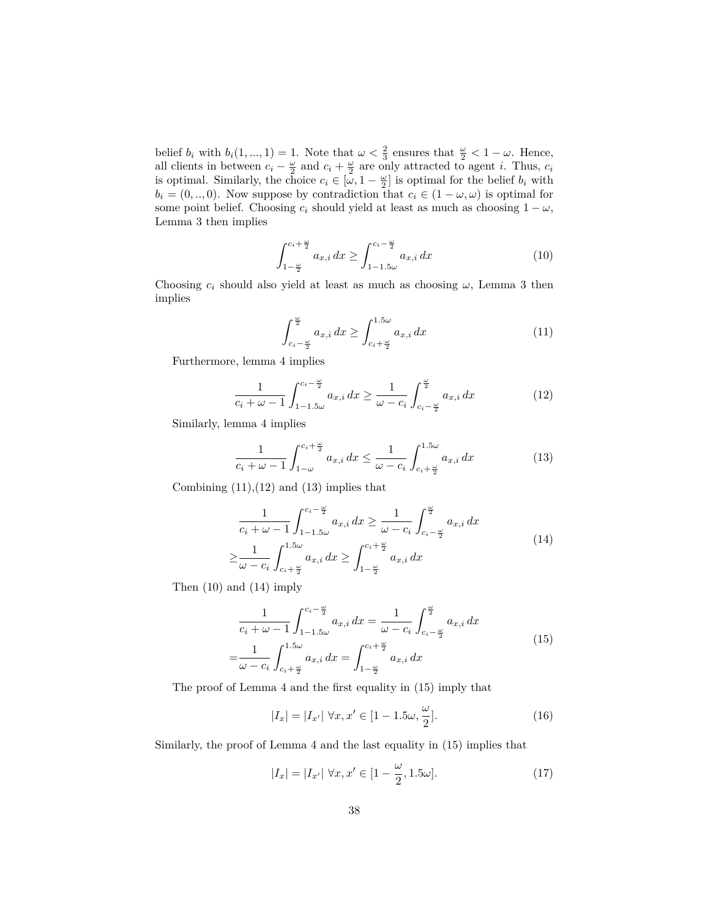belief  $b_i$  with  $b_i(1, ..., 1) = 1$ . Note that  $\omega < \frac{2}{3}$  ensures that  $\frac{\omega}{2} < 1 - \omega$ . Hence, all clients in between  $c_i - \frac{\omega}{2}$  and  $c_i + \frac{\omega}{2}$  are only attracted to agent *i*. Thus,  $c_i$ is optimal. Similarly, the choice  $c_i \in [\omega, 1 - \frac{\omega}{2}]$  is optimal for the belief  $b_i$  with  $b_i = (0, ..., 0)$ . Now suppose by contradiction that  $c_i \in (1 - \omega, \omega)$  is optimal for some point belief. Choosing  $c_i$  should yield at least as much as choosing  $1 - \omega$ , Lemma 3 then implies

$$
\int_{1-\frac{\omega}{2}}^{c_i+\frac{\omega}{2}} a_{x,i} \, dx \ge \int_{1-1.5\omega}^{c_i-\frac{\omega}{2}} a_{x,i} \, dx \tag{10}
$$

Choosing  $c_i$  should also yield at least as much as choosing  $\omega$ , Lemma 3 then implies

$$
\int_{c_i - \frac{\omega}{2}}^{\frac{\omega}{2}} a_{x,i} dx \ge \int_{c_i + \frac{\omega}{2}}^{1.5\omega} a_{x,i} dx \tag{11}
$$

Furthermore, lemma 4 implies

$$
\frac{1}{c_i + \omega - 1} \int_{1 - 1.5\omega}^{c_i - \frac{\omega}{2}} a_{x,i} dx \ge \frac{1}{\omega - c_i} \int_{c_i - \frac{\omega}{2}}^{\frac{\omega}{2}} a_{x,i} dx \tag{12}
$$

Similarly, lemma 4 implies

$$
\frac{1}{c_i + \omega - 1} \int_{1-\omega}^{c_i + \frac{\omega}{2}} a_{x,i} dx \le \frac{1}{\omega - c_i} \int_{c_i + \frac{\omega}{2}}^{1.5\omega} a_{x,i} dx \tag{13}
$$

Combining  $(11),(12)$  and  $(13)$  implies that

$$
\frac{1}{c_i + \omega - 1} \int_{1-1.5\omega}^{c_i - \frac{\omega}{2}} a_{x,i} dx \ge \frac{1}{\omega - c_i} \int_{c_i - \frac{\omega}{2}}^{\frac{\omega}{2}} a_{x,i} dx
$$
\n
$$
\ge \frac{1}{\omega - c_i} \int_{c_i + \frac{\omega}{2}}^{1.5\omega} a_{x,i} dx \ge \int_{1-\frac{\omega}{2}}^{c_i + \frac{\omega}{2}} a_{x,i} dx
$$
\n(14)

Then (10) and (14) imply

$$
\frac{1}{c_i + \omega - 1} \int_{1 - 1.5\omega}^{c_i - \frac{\omega}{2}} a_{x,i} dx = \frac{1}{\omega - c_i} \int_{c_i - \frac{\omega}{2}}^{\frac{\omega}{2}} a_{x,i} dx
$$
\n
$$
= \frac{1}{\omega - c_i} \int_{c_i + \frac{\omega}{2}}^{1.5\omega} a_{x,i} dx = \int_{1 - \frac{\omega}{2}}^{c_i + \frac{\omega}{2}} a_{x,i} dx
$$
\n(15)

The proof of Lemma 4 and the first equality in (15) imply that

$$
|I_x| = |I_{x'}| \,\forall x, x' \in [1 - 1.5\omega, \frac{\omega}{2}].\tag{16}
$$

Similarly, the proof of Lemma 4 and the last equality in (15) implies that

$$
|I_x| = |I_{x'}| \,\forall x, x' \in [1 - \frac{\omega}{2}, 1.5\omega].
$$
 (17)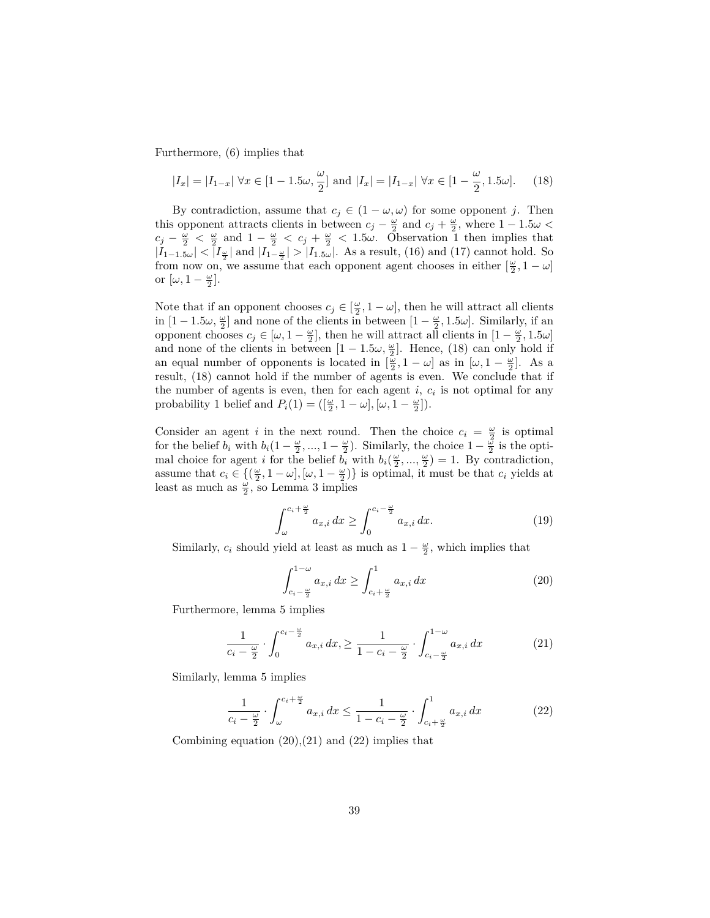Furthermore, (6) implies that

$$
|I_x| = |I_{1-x}| \,\forall x \in [1 - 1.5\omega, \frac{\omega}{2}] \text{ and } |I_x| = |I_{1-x}| \,\forall x \in [1 - \frac{\omega}{2}, 1.5\omega]. \tag{18}
$$

By contradiction, assume that  $c_j \in (1 - \omega, \omega)$  for some opponent *j*. Then this opponent attracts clients in between  $c_j - \frac{\omega}{2}$  and  $c_j + \frac{\omega}{2}$ , where  $1 - 1.5\omega$  $c_j - \frac{\omega}{2} < \frac{\omega}{2}$  and  $1 - \frac{\omega}{2} < c_j + \frac{\omega}{2} < 1.5\omega$ . Observation 1 then implies that  $|I_{1-1.5\omega}| < |I_{\frac{\omega}{2}}|$  and  $|I_{1-\frac{\omega}{2}}| > |I_{1.5\omega}|$ . As a result, (16) and (17) cannot hold. So from now on, we assume that each opponent agent chooses in either  $\left[\frac{\omega}{2}, 1 - \omega\right]$ or  $[\omega, 1 - \frac{\omega}{2}].$ 

Note that if an opponent chooses  $c_j \in [\frac{\omega}{2}, 1 - \omega]$ , then he will attract all clients in  $[1 - 1.5\omega, \frac{\omega}{2}]$  and none of the clients in between  $[1 - \frac{\omega}{2}, 1.5\omega]$ . Similarly, if an opponent chooses  $c_j \in [\omega, 1 - \frac{\omega}{2}]$ , then he will attract all clients in  $[1 - \frac{\omega}{2}, 1.5\omega]$ and none of the clients in between  $[1 - 1.5\omega, \frac{\omega}{2}]$ . Hence, (18) can only hold if an equal number of opponents is located in  $\left[\frac{\tilde{\omega}}{2}, 1 - \omega\right]$  as in  $\left[\omega, 1 - \frac{\omega}{2}\right]$ . As a result, (18) cannot hold if the number of agents is even. We conclude that if the number of agents is even, then for each agent  $i$ ,  $c_i$  is not optimal for any probability 1 belief and  $P_i(1) = ([\frac{\omega}{2}, 1 - \omega], [\omega, 1 - \frac{\omega}{2}]).$ 

Consider an agent *i* in the next round. Then the choice  $c_i = \frac{\omega}{2}$  is optimal for the belief  $b_i$  with  $b_i(1-\frac{\omega}{2},...,1-\frac{\omega}{2})$ . Similarly, the choice  $1-\frac{\tilde{\omega}}{2}$  is the optimal choice for agent *i* for the belief  $b_i$  with  $b_i(\frac{\omega}{2},...,\frac{\omega}{2}) = 1$ . By contradiction, assume that  $c_i \in \{(\frac{\omega}{2}, 1 - \omega], [\omega, 1 - \frac{\omega}{2})\}$  is optimal, it must be that  $c_i$  yields at least as much as  $\frac{\omega}{2}$ , so Lemma 3 implies

$$
\int_{\omega}^{c_i + \frac{\omega}{2}} a_{x,i} dx \ge \int_0^{c_i - \frac{\omega}{2}} a_{x,i} dx.
$$
 (19)

Similarly,  $c_i$  should yield at least as much as  $1 - \frac{\omega}{2}$ , which implies that

$$
\int_{c_i - \frac{\omega}{2}}^{1 - \omega} a_{x,i} dx \ge \int_{c_i + \frac{\omega}{2}}^1 a_{x,i} dx \tag{20}
$$

Furthermore, lemma 5 implies

$$
\frac{1}{c_i - \frac{\omega}{2}} \cdot \int_0^{c_i - \frac{\omega}{2}} a_{x,i} dx, \ge \frac{1}{1 - c_i - \frac{\omega}{2}} \cdot \int_{c_i - \frac{\omega}{2}}^{1 - \omega} a_{x,i} dx \tag{21}
$$

Similarly, lemma 5 implies

$$
\frac{1}{c_i - \frac{\omega}{2}} \cdot \int_{\omega}^{c_i + \frac{\omega}{2}} a_{x,i} dx \le \frac{1}{1 - c_i - \frac{\omega}{2}} \cdot \int_{c_i + \frac{\omega}{2}}^1 a_{x,i} dx \tag{22}
$$

Combining equation  $(20),(21)$  and  $(22)$  implies that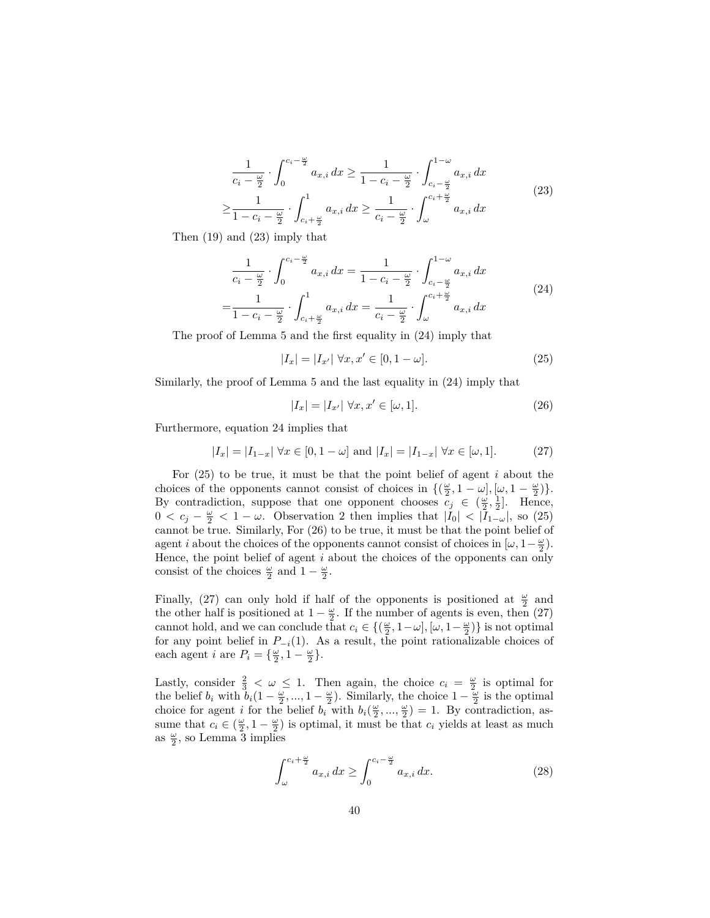$$
\frac{1}{c_i - \frac{\omega}{2}} \cdot \int_0^{c_i - \frac{\omega}{2}} a_{x,i} dx \ge \frac{1}{1 - c_i - \frac{\omega}{2}} \cdot \int_{c_i - \frac{\omega}{2}}^{1 - \omega} a_{x,i} dx
$$
\n
$$
\ge \frac{1}{1 - c_i - \frac{\omega}{2}} \cdot \int_{c_i + \frac{\omega}{2}}^1 a_{x,i} dx \ge \frac{1}{c_i - \frac{\omega}{2}} \cdot \int_{\omega}^{c_i + \frac{\omega}{2}} a_{x,i} dx
$$
\n(23)

Then (19) and (23) imply that

=

$$
\frac{1}{c_i - \frac{\omega}{2}} \cdot \int_0^{c_i - \frac{\omega}{2}} a_{x,i} dx = \frac{1}{1 - c_i - \frac{\omega}{2}} \cdot \int_{c_i - \frac{\omega}{2}}^{1 - \omega} a_{x,i} dx
$$
\n
$$
= \frac{1}{1 - c_i - \frac{\omega}{2}} \cdot \int_{c_i + \frac{\omega}{2}}^1 a_{x,i} dx = \frac{1}{c_i - \frac{\omega}{2}} \cdot \int_{\omega}^{c_i + \frac{\omega}{2}} a_{x,i} dx
$$
\n(24)

The proof of Lemma 5 and the first equality in (24) imply that

$$
|I_x| = |I_{x'}| \,\forall x, x' \in [0, 1 - \omega].
$$
 (25)

Similarly, the proof of Lemma 5 and the last equality in (24) imply that

$$
|I_x| = |I_{x'}| \,\forall x, x' \in [\omega, 1].\tag{26}
$$

Furthermore, equation 24 implies that

$$
|I_x| = |I_{1-x}| \forall x \in [0, 1 - \omega] \text{ and } |I_x| = |I_{1-x}| \forall x \in [\omega, 1].
$$
 (27)

For (25) to be true, it must be that the point belief of agent *i* about the choices of the opponents cannot consist of choices in  $\{(\frac{\omega}{2}, 1 - \omega], [\omega, 1 - \frac{\omega}{2})\}.$ By contradiction, suppose that one opponent chooses  $c_j \in \left(\frac{\omega}{2}, \frac{1}{2}\right]$ . Hence,  $0 < c_j - \frac{\omega}{2} < 1 - \omega$ . Observation 2 then implies that  $|\tilde{I}_0| < |\tilde{I}_{1-\omega}|$ , so (25) cannot be true. Similarly, For (26) to be true, it must be that the point belief of agent *i* about the choices of the opponents cannot consist of choices in  $\left[\omega, 1-\frac{\omega}{2}\right)$ . Hence, the point belief of agent *i* about the choices of the opponents can only consist of the choices  $\frac{\omega}{2}$  and  $1 - \frac{\omega}{2}$ .

Finally, (27) can only hold if half of the opponents is positioned at  $\frac{\omega}{2}$  and the other half is positioned at  $1 - \frac{\omega}{2}$ . If the number of agents is even, then (27) cannot hold, and we can conclude that  $c_i \in \{(\frac{\omega}{2}, 1-\omega], [\omega, 1-\frac{\omega}{2})\}$  is not optimal for any point belief in  $P_{-i}(1)$ . As a result, the point rationalizable choices of each agent *i* are  $P_i = \{\frac{\omega}{2}, 1 - \frac{\omega}{2}\}.$ 

Lastly, consider  $\frac{2}{3} < \omega \leq 1$ . Then again, the choice  $c_i = \frac{\omega}{2}$  is optimal for the belief  $b_i$  with  $b_i(1-\frac{\omega}{2},...,1-\frac{\omega}{2})$ . Similarly, the choice  $1-\frac{\omega}{2}$  is the optimal choice for agent *i* for the belief  $b_i$  with  $b_i(\frac{\omega}{2}, ..., \frac{\omega}{2}) = 1$ . By contradiction, assume that  $c_i \in \left(\frac{\omega}{2}, 1 - \frac{\omega}{2}\right)$  is optimal, it must be that  $c_i$  yields at least as much as  $\frac{\omega}{2}$ , so Lemma 3 implies

$$
\int_{\omega}^{c_i + \frac{\omega}{2}} a_{x,i} dx \ge \int_0^{c_i - \frac{\omega}{2}} a_{x,i} dx.
$$
 (28)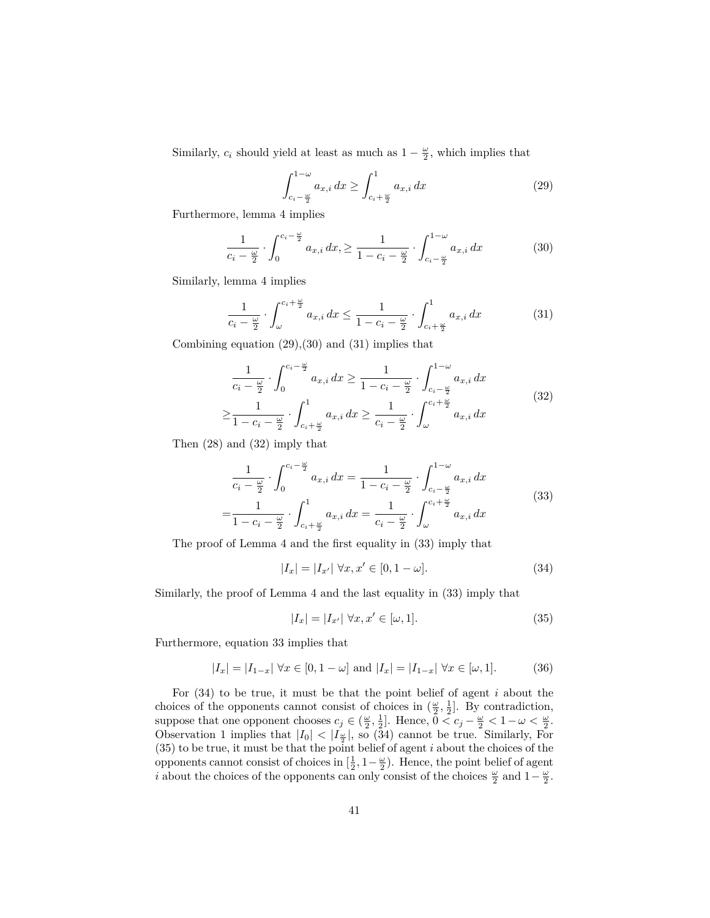Similarly,  $c_i$  should yield at least as much as  $1 - \frac{\omega}{2}$ , which implies that

$$
\int_{c_i - \frac{\omega}{2}}^{1 - \omega} a_{x,i} dx \ge \int_{c_i + \frac{\omega}{2}}^1 a_{x,i} dx \tag{29}
$$

Furthermore, lemma 4 implies

$$
\frac{1}{c_i - \frac{\omega}{2}} \cdot \int_0^{c_i - \frac{\omega}{2}} a_{x,i} dx, \ge \frac{1}{1 - c_i - \frac{\omega}{2}} \cdot \int_{c_i - \frac{\omega}{2}}^{1 - \omega} a_{x,i} dx \tag{30}
$$

Similarly, lemma 4 implies

$$
\frac{1}{c_i - \frac{\omega}{2}} \cdot \int_{\omega}^{c_i + \frac{\omega}{2}} a_{x,i} dx \le \frac{1}{1 - c_i - \frac{\omega}{2}} \cdot \int_{c_i + \frac{\omega}{2}}^1 a_{x,i} dx \tag{31}
$$

Combining equation  $(29),(30)$  and  $(31)$  implies that

$$
\frac{1}{c_i - \frac{\omega}{2}} \cdot \int_0^{c_i - \frac{\omega}{2}} a_{x,i} dx \ge \frac{1}{1 - c_i - \frac{\omega}{2}} \cdot \int_{c_i - \frac{\omega}{2}}^{1 - \omega} a_{x,i} dx
$$
\n
$$
\ge \frac{1}{1 - c_i - \frac{\omega}{2}} \cdot \int_{c_i + \frac{\omega}{2}}^1 a_{x,i} dx \ge \frac{1}{c_i - \frac{\omega}{2}} \cdot \int_{\omega}^{c_i + \frac{\omega}{2}} a_{x,i} dx
$$
\n(32)

Then (28) and (32) imply that

$$
\frac{1}{c_i - \frac{\omega}{2}} \cdot \int_0^{c_i - \frac{\omega}{2}} a_{x,i} dx = \frac{1}{1 - c_i - \frac{\omega}{2}} \cdot \int_{c_i - \frac{\omega}{2}}^{1 - \omega} a_{x,i} dx
$$
\n
$$
= \frac{1}{1 - c_i - \frac{\omega}{2}} \cdot \int_{c_i + \frac{\omega}{2}}^1 a_{x,i} dx = \frac{1}{c_i - \frac{\omega}{2}} \cdot \int_{\omega}^{c_i + \frac{\omega}{2}} a_{x,i} dx
$$
\n(33)

The proof of Lemma 4 and the first equality in (33) imply that

$$
|I_x| = |I_{x'}| \,\forall x, x' \in [0, 1 - \omega].\tag{34}
$$

Similarly, the proof of Lemma 4 and the last equality in (33) imply that

$$
|I_x| = |I_{x'}| \,\forall x, x' \in [\omega, 1]. \tag{35}
$$

Furthermore, equation 33 implies that

$$
|I_x| = |I_{1-x}| \forall x \in [0, 1 - \omega] \text{ and } |I_x| = |I_{1-x}| \forall x \in [\omega, 1].
$$
 (36)

For (34) to be true, it must be that the point belief of agent *i* about the choices of the opponents cannot consist of choices in  $(\frac{\omega}{2}, \frac{1}{2}]$ . By contradiction, suppose that one opponent chooses  $c_j \in (\frac{\omega}{2}, \frac{1}{2}]$ . Hence,  $0 < c_j - \frac{\omega}{2} < 1 - \omega < \frac{\omega}{2}$ . Observation 1 implies that  $|I_0| < |I_{\frac{\omega}{2}}|$ , so (34) cannot be true. Similarly, For (35) to be true, it must be that the point belief of agent *i* about the choices of the opponents cannot consist of choices in  $\left[\frac{1}{2}, 1-\frac{\omega}{2}\right)$ . Hence, the point belief of agent *i* about the choices of the opponents can only consist of the choices  $\frac{\omega}{2}$  and  $1-\frac{\omega}{2}$ .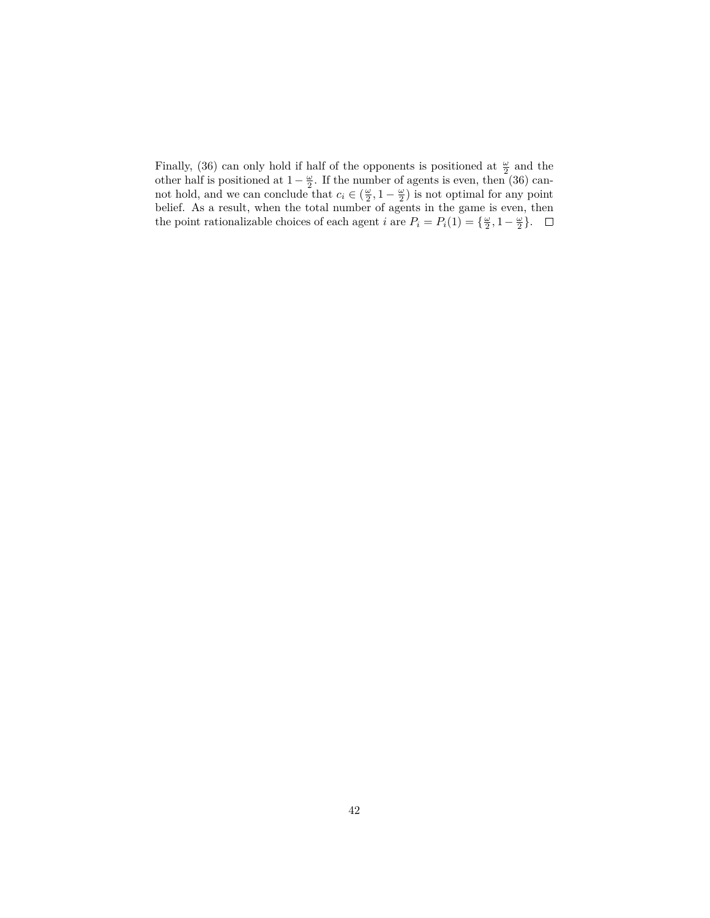Finally, (36) can only hold if half of the opponents is positioned at  $\frac{\omega}{2}$  and the other half is positioned at  $1-\frac{\omega}{2}$ . If the number of agents is even, then (36) cannot hold, and we can conclude that  $c_i \in (\frac{\omega}{2}, 1 - \frac{\omega}{2})$  is not optimal for any point belief. As a result, when the total number of agents in the game is even, then the point rationalizable choices of each agent *i* are  $P_i = P_i(1) = \{\frac{\omega}{2}, 1 - \frac{\omega}{2}\}.$